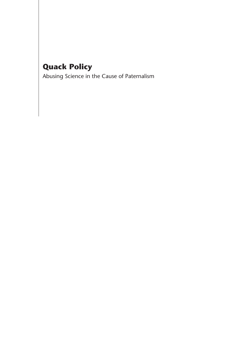## **Quack Policy**

Abusing Science in the Cause of Paternalism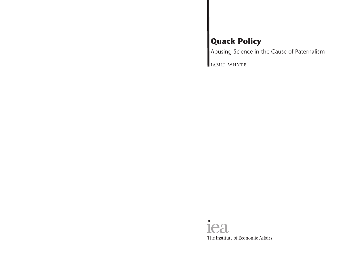# **Quack Policy**

Abusing Science in the Cause of Paternalism

JAMIE WHYTE

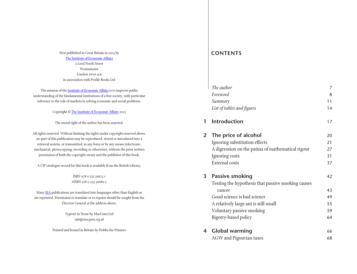First published in Great Britain in 2013 by [The Institute of Economic Affairs](http://www.iea.org.uk/) 2 Lord North Street Westminster London sw1P 3LB in association with Profile Books Ltd

The mission of the **Institute of Economic Affairs** is to improve public understanding of the fundamental institutions of a free society, with particular reference to the role of markets in solving economic and social problems.

Copyright © [The Institute of Economic Affairs](http://www.iea.org.uk/) 2013

The moral right of the author has been asserted.

All rights reserved. Without limiting the rights under copyright reserved above, no part of this publication may be reproduced, stored or introduced into a retrieval system, or transmitted, in any form or by any means (electronic, mechanical, photocopying, recording or otherwise), without the prior written permission of both the copyright owner and the publisher of this book.

A CIP catalogue record for this book is available from the British Library.

ISBN 978 0 255 36673 1 eISBN 978 0 255 36689 2

Many **IEA** publications are translated into languages other than English or are reprinted. Permission to translate or to reprint should be sought from the Director General at the address above.

> Typeset in Stone by MacGuru Ltd info@macguru.org.uk

Printed and bound in Britain by Hobbs the Printers

## **contents**

| The author                                         | 7  |
|----------------------------------------------------|----|
| Foreword                                           | 8  |
| Summary                                            | 11 |
| List of tables and figures                         | 14 |
| Introduction                                       | 17 |
| The price of alcohol                               | 20 |
| Ignoring substitution effects                      | 21 |
| A digression on the patina of mathematical rigour  | 27 |
| Ignoring costs                                     | 31 |
| <b>External costs</b>                              | 37 |
| <b>Passive smoking</b>                             | 42 |
| Testing the hypothesis that passive smoking causes |    |
| cancer                                             | 43 |
| Good science is bad science                        | 49 |
| A relatively large ant is still small              | 55 |
| Voluntary passive smoking                          | 59 |
| Bigotry-based policy                               | 64 |
| <b>Global warming</b>                              | 66 |
| <b>AGW</b> and Pigouvian taxes                     | 68 |
|                                                    |    |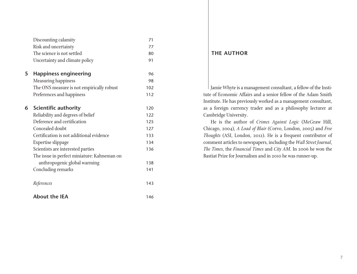|   | Discounting calamity                        | 71  |
|---|---------------------------------------------|-----|
|   | Risk and uncertainty                        | 77  |
|   | The science is not settled                  | 80  |
|   | Uncertainty and climate policy              | 91  |
| 5 | <b>Happiness engineering</b>                | 96  |
|   | <b>Measuring happiness</b>                  | 98  |
|   | The ONS measure is not empirically robust   | 102 |
|   | Preferences and happiness                   | 112 |
| 6 | <b>Scientific authority</b>                 | 120 |
|   | Reliability and degrees of belief           | 122 |
|   | Deference and certification                 | 125 |
|   | Concealed doubt                             | 127 |
|   | Certification is not additional evidence    | 133 |
|   | Expertise slippage                          | 134 |
|   | Scientists are interested parties           | 136 |
|   | The issue in perfect miniature: Kahneman on |     |
|   | anthropogenic global warming                | 138 |
|   | Concluding remarks                          | 141 |
|   | References                                  | 143 |
|   | <b>About the IEA</b>                        | 146 |

## **the author**

Jamie Whyte is a management consultant, a fellow of the Institute of Economic Affairs and a senior fellow of the Adam Smith Institute. He has previously worked as a management consultant, as a foreign currency trader and as a philosophy lecturer at Cambridge University.

He is the author of Crimes Against Logic (McGraw Hill, Chicago, 2004), A Load of Blair (Corvo, London, 2005) and Free Thoughts (ASI, London, 2012). He is a frequent contributor of comment articles to newspapers, including the Wall Street Journal, The Times, the Financial Times and City AM. In 2006 he won the Bastiat Prize for Journalism and in 2010 he was runner-up.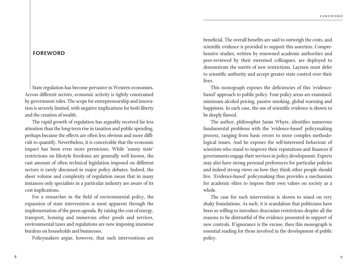## **FOREWORD**

State regulation has become pervasive in Western economies. Across different sectors, economic activity is tightly constrained by government rules. The scope for entrepreneurship and innovation is severely limited, with negative implications for both liberty and the creation of wealth.

The rapid growth of regulation has arguably received far less attention than the long-term rise in taxation and public spending, perhaps because the effects are often less obvious and more difficult to quantify. Nevertheless, it is conceivable that the economic impact has been even more pernicious. While 'nanny state' restrictions on lifestyle freedoms are generally well known, the vast amount of often technical legislation imposed on different sectors is rarely discussed in major policy debates. Indeed, the sheer volume and complexity of regulation mean that in many instances only specialists in a particular industry are aware of its cost implications.

For a researcher in the field of environmental policy, the expansion of state intervention is most apparent through the implementation of the green agenda. By raising the cost of energy, transport, housing and numerous other goods and services, environmental taxes and regulations are now imposing immense burdens on households and businesses.

Policymakers argue, however, that such interventions are

beneficial. The overall benefits are said to outweigh the costs, and scientific evidence is provided to support this assertion. Comprehensive studies, written by renowned academic authorities and peer-reviewed by their esteemed colleagues, are deployed to demonstrate the merits of new restrictions. Laymen must defer to scientific authority and accept greater state control over their lives.

This monograph exposes the deficiencies of this 'evidencebased' approach to public policy. Four policy areas are examined: minimum alcohol pricing, passive smoking, global warming and happiness. In each case, the use of scientific evidence is shown to be deeply flawed.

The author, philosopher Jamie Whyte, identifies numerous fundamental problems with the 'evidence-based' policymaking process, ranging from basic errors to more complex methodological issues. And he exposes the self-interested behaviour of scientists who stand to improve their reputations and finances if governments engage their services in policy development. Experts may also have strong personal preferences for particular policies and indeed strong views on how they think other people should live. 'Evidence-based' policymaking thus provides a mechanism for academic elites to impose their own values on society as a whole.

The case for such intervention is shown to stand on very shaky foundations. As such, it is scandalous that politicians have been so willing to introduce draconian restrictions despite all the reasons to be distrustful of the evidence presented in support of new controls. If ignorance is the excuse, then this monograph is essential reading for those involved in the development of public policy.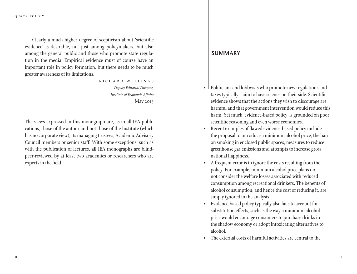Clearly a much higher degree of scepticism about 'scientific evidence' is desirable, not just among policymakers, but also among the general public and those who promote state regulation in the media. Empirical evidence must of course have an important role in policy formation, but there needs to be much greater awareness of its limitations.

> richard wellings Deputy Editorial Director, Institute of Economic Affairs May 2013

The views expressed in this monograph are, as in all IEA publications, those of the author and not those of the Institute (which has no corporate view), its managing trustees, Academic Advisory Council members or senior staff. With some exceptions, such as with the publication of lectures, all IEA monographs are blindpeer-reviewed by at least two academics or researchers who are experts in the field.

#### **summary**

- Politicians and lobbyists who promote new regulations and taxes typically claim to have science on their side. Scientific evidence shows that the actions they wish to discourage are harmful and that government intervention would reduce this harm. Yet much 'evidence-based policy' is grounded on poor scientific reasoning and even worse economics.
- Recent examples of flawed evidence-based policy include the proposal to introduce a minimum alcohol price, the ban on smoking in enclosed public spaces, measures to reduce greenhouse gas emissions and attempts to increase gross national happiness.
- A frequent error is to ignore the costs resulting from the policy. For example, minimum alcohol price plans do not consider the welfare losses associated with reduced consumption among recreational drinkers. The benefits of alcohol consumption, and hence the cost of reducing it, are simply ignored in the analysis.
- Evidence-based policy typically also fails to account for substitution effects, such as the way a minimum alcohol price would encourage consumers to purchase drinks in the shadow economy or adopt intoxicating alternatives to alcohol.
- The external costs of harmful activities are central to the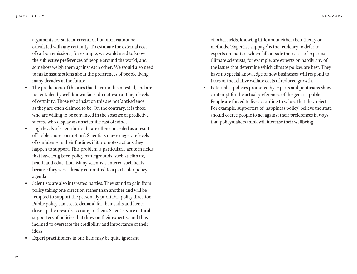arguments for state intervention but often cannot be calculated with any certainty. To estimate the external cost of carbon emissions, for example, we would need to know the subjective preferences of people around the world, and somehow weigh them against each other. We would also need to make assumptions about the preferences of people living many decades in the future.

- The predictions of theories that have not been tested, and are not entailed by well-known facts, do not warrant high levels of certainty. Those who insist on this are not 'anti-science', as they are often claimed to be. On the contrary, it is those who are willing to be convinced in the absence of predictive success who display an unscientific cast of mind.
- High levels of scientific doubt are often concealed as a result of 'noble-cause corruption'. Scientists may exaggerate levels of confidence in their findings if it promotes actions they happen to support. This problem is particularly acute in fields that have long been policy battlegrounds, such as climate, health and education. Many scientists entered such fields because they were already committed to a particular policy agenda.
- Scientists are also interested parties. They stand to gain from policy taking one direction rather than another and will be tempted to support the personally profitable policy direction. Public policy can create demand for their skills and hence drive up the rewards accruing to them. Scientists are natural supporters of policies that draw on their expertise and thus inclined to overstate the credibility and importance of their ideas.
- Expert practitioners in one field may be quite ignorant

of other fields, knowing little about either their theory or methods. 'Expertise slippage' is the tendency to defer to experts on matters which fall outside their area of expertise. Climate scientists, for example, are experts on hardly any of the issues that determine which climate polices are best. They have no special knowledge of how businesses will respond to taxes or the relative welfare costs of reduced growth.

• Paternalist policies promoted by experts and politicians show contempt for the actual preferences of the general public. People are forced to live according to values that they reject. For example, supporters of 'happiness policy' believe the state should coerce people to act against their preferences in ways that policymakers think will increase their wellbeing.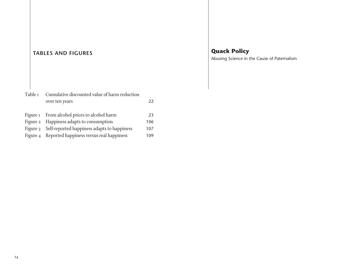## **tables and figures**

## **Quack Policy** Abusing Science in the Cause of Paternalism

| Table 1  | Cumulative discounted value of harm reduction        |     |  |
|----------|------------------------------------------------------|-----|--|
|          | over ten years                                       | 22  |  |
|          |                                                      |     |  |
|          | Figure 1 From alcohol prices to alcohol harm         | 23  |  |
|          | Figure 2 Happiness adapts to consumption             | 106 |  |
|          | Figure 3 Self-reported happiness adapts to happiness | 107 |  |
| Figure 4 | Reported happiness versus real happiness             | 109 |  |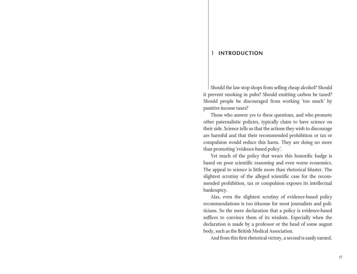#### 1 **iNTRODUCTION**

Should the law stop shops from selling cheap alcohol? Should it prevent smoking in pubs? Should emitting carbon be taxed? Should people be discouraged from working 'too much' by punitive income taxes?

Those who answer yes to these questions, and who promote other paternalistic policies, typically claim to have science on their side. Science tells us that the actions they wish to discourage are harmful and that their recommended prohibition or tax or compulsion would reduce this harm. They are doing no more than promoting 'evidence-based policy'.

Yet much of the policy that wears this honorific badge is based on poor scientific reasoning and even worse economics. The appeal to science is little more than rhetorical bluster. The slightest scrutiny of the alleged scientific case for the recommended prohibition, tax or compulsion exposes its intellectual bankruptcy.

Alas, even the slightest scrutiny of evidence-based policy recommendations is too irksome for most journalists and politicians. So the mere declaration that a policy is evidence-based suffices to convince them of its wisdom. Especially when the declaration is made by a professor or the head of some august body, such as the British Medical Association.

And from this first rhetorical victory, a second is easily earned.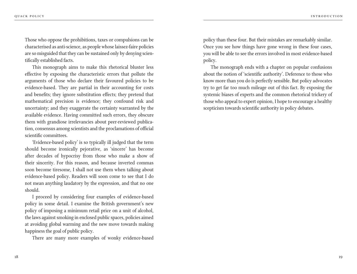Those who oppose the prohibitions, taxes or compulsions can be characterised as anti-science, as people whose laissez-faire policies are so misguided that they can be sustained only by denying scientifically established facts.

This monograph aims to make this rhetorical bluster less effective by exposing the characteristic errors that pollute the arguments of those who declare their favoured policies to be evidence-based. They are partial in their accounting for costs and benefits; they ignore substitution effects; they pretend that mathematical precision is evidence; they confound risk and uncertainty; and they exaggerate the certainty warranted by the available evidence. Having committed such errors, they obscure them with grandiose irrelevancies about peer-reviewed publication, consensus among scientists and the proclamations of official scientific committees.

'Evidence-based policy' is so typically ill judged that the term should become ironically pejorative, as 'sincere' has become after decades of hypocrisy from those who make a show of their sincerity. For this reason, and because inverted commas soon become tiresome, I shall not use them when talking about evidence-based policy. Readers will soon come to see that I do not mean anything laudatory by the expression, and that no one should.

I proceed by considering four examples of evidence-based policy in some detail. I examine the British government's new policy of imposing a minimum retail price on a unit of alcohol, the laws against smoking in enclosed public spaces, policies aimed at avoiding global warming and the new move towards making happiness the goal of public policy.

There are many more examples of wonky evidence-based

policy than these four. But their mistakes are remarkably similar. Once you see how things have gone wrong in these four cases, you will be able to see the errors involved in most evidence-based policy.

The monograph ends with a chapter on popular confusions about the notion of 'scientific authority'. Deference to those who know more than you do is perfectly sensible. But policy advocates try to get far too much mileage out of this fact. By exposing the systemic biases of experts and the common rhetorical trickery of those who appeal to expert opinion, I hope to encourage a healthy scepticism towards scientific authority in policy debates.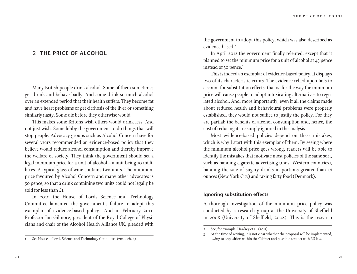## 2 **THE PRICE OF ALCOHOL**

Many British people drink alcohol. Some of them sometimes get drunk and behave badly. And some drink so much alcohol over an extended period that their health suffers. They become fat and have heart problems or get cirrhosis of the liver or something similarly nasty. Some die before they otherwise would.

This makes some Britons wish others would drink less. And not just wish. Some lobby the government to do things that will stop people. Advocacy groups such as Alcohol Concern have for several years recommended an evidence-based policy that they believe would reduce alcohol consumption and thereby improve the welfare of society. They think the government should set a legal minimum price for a unit of alcohol – a unit being 10 millilitres. A typical glass of wine contains two units. The minimum price favoured by Alcohol Concern and many other advocates is 50 pence, so that a drink containing two units could not legally be sold for less than £1.

In 2010 the House of Lords Science and Technology Committee lamented the government's failure to adopt this exemplar of evidence-based policy.<sup>1</sup> And in February 2011, Professor Ian Gilmore, president of the Royal College of Physicians and chair of the Alcohol Health Alliance UK, pleaded with

the government to adopt this policy, which was also described as evidence-based<sup>2</sup>

In April 2012 the government finally relented, except that it planned to set the minimum price for a unit of alcohol at 45 pence instead of 50 pence.3

This is indeed an exemplar of evidence-based policy. It displays two of its characteristic errors. The evidence relied upon fails to account for substitution effects: that is, for the way the minimum price will cause people to adopt intoxicating alternatives to regulated alcohol. And, more importantly, even if all the claims made about reduced health and behavioural problems were properly established, they would not suffice to justify the policy. For they are partial: the benefits of alcohol consumption and, hence, the cost of reducing it are simply ignored in the analysis.

Most evidence-based policies depend on these mistakes, which is why I start with this exemplar of them. By seeing where the minimum alcohol price goes wrong, readers will be able to identify the mistakes that motivate most policies of the same sort, such as banning cigarette advertising (most Western countries), banning the sale of sugary drinks in portions greater than 16 ounces (New York City) and taxing fatty food (Denmark).

#### **Ignoring substitution effects**

A thorough investigation of the minimum price policy was conducted by a research group at the University of Sheffield in 2008 (University of Sheffield, 2008). This is the research

See House of Lords Science and Technology Committee (2010: ch. 4).

<sup>2</sup> See, for example, Hawkey et al. (2011).

At the time of writing, it is not clear whether the proposal will be implemented, owing to opposition within the Cabinet and possible conflict with EU law.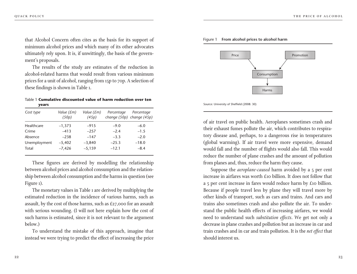that Alcohol Concern often cites as the basis for its support of minimum alcohol prices and which many of its other advocates ultimately rely upon. It is, if unwittingly, the basis of the government's proposals.

The results of the study are estimates of the reduction in alcohol-related harms that would result from various minimum prices for a unit of alcohol, ranging from 15p to 70p. A selection of these findings is shown in Table 1.

#### Table 1 **Cumulative discounted value of harm reduction over ten years**

| Cost type    | Value (£m)<br>(50p) | Value (£m)<br>(45p) | Percentage | Percentage<br>change $(50p)$ change $(45p)$ |
|--------------|---------------------|---------------------|------------|---------------------------------------------|
| Healthcare   | $-1,373$            | $-915$              | $-9.0$     | $-6.0$                                      |
| Crime        | $-413$              | $-257$              | $-2.4$     | $-1.5$                                      |
| Absence      | $-238$              | $-147$              | $-3.3$     | $-2.0$                                      |
| Unemployment | $-5,402$            | $-3,840$            | $-25.3$    | $-18.0$                                     |
| Total        | $-7,426$            | $-5,159$            | $-12.1$    | $-8.4$                                      |

These figures are derived by modelling the relationship between alcohol prices and alcohol consumption and the relationship between alcohol consumption and the harms in question (see Figure 1).

The monetary values in Table 1 are derived by multiplying the estimated reduction in the incidence of various harms, such as assault, by the cost of those harms, such as £27,000 for an assault with serious wounding. (I will not here explain how the cost of such harms is estimated, since it is not relevant to the argument below.)

To understand the mistake of this approach, imagine that instead we were trying to predict the effect of increasing the price



#### Figure 1 **From alcohol prices to alcohol harm**

Source: University of Sheffield (2008: 30)

of air travel on public health. Aeroplanes sometimes crash and their exhaust fumes pollute the air, which contributes to respiratory disease and, perhaps, to a dangerous rise in temperatures (global warming). If air travel were more expensive, demand would fall and the number of flights would also fall. This would reduce the number of plane crashes and the amount of pollution from planes and, thus, reduce the harm they cause.

Suppose the *aeroplane-caused* harm avoided by a 5 per cent increase in airfares was worth £10 billion. It does not follow that a 5 per cent increase in fares would reduce harm by £10 billion. Because if people travel less by plane they will travel more by other kinds of transport, such as cars and trains. And cars and trains also sometimes crash and also pollute the air. To understand the public health effects of increasing airfares, we would need to understand such substitution effects. We get not only a decrease in plane crashes and pollution but an increase in car and train crashes and in car and train pollution. It is the net effect that should interest us.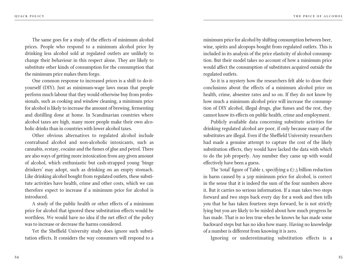The same goes for a study of the effects of minimum alcohol prices. People who respond to a minimum alcohol price by drinking less alcohol sold at regulated outlets are unlikely to change their behaviour in this respect alone. They are likely to substitute other kinds of consumption for the consumption that the minimum price makes them forgo.

One common response to increased prices is a shift to do-ityourself (DIY). Just as minimum-wage laws mean that people perform much labour that they would otherwise buy from professionals, such as cooking and window cleaning, a minimum price for alcohol is likely to increase the amount of brewing, fermenting and distilling done at home. In Scandinavian countries where alcohol taxes are high, many more people make their own alcoholic drinks than in countries with lower alcohol taxes.

Other obvious alternatives to regulated alcohol include contraband alcohol and non-alcoholic intoxicants, such as cannabis, ecstasy, cocaine and the fumes of glue and petrol. There are also ways of getting more intoxication from any given amount of alcohol, which enthusiastic but cash-strapped young 'binge drinkers' may adopt, such as drinking on an empty stomach. Like drinking alcohol bought from regulated outlets, these substitute activities have health, crime and other costs, which we can therefore expect to increase if a minimum price for alcohol is introduced.

A study of the public health or other effects of a minimum price for alcohol that ignored these substitution effects would be worthless. We would have no idea if the net effect of the policy was to increase or decrease the harms considered.

Yet the Sheffield University study does ignore such substitution effects. It considers the way consumers will respond to a minimum price for alcohol by shifting consumption between beer, wine, spirits and alcopops bought from regulated outlets. This is included in its analysis of the price elasticity of alcohol consumption. But their model takes no account of how a minimum price would affect the consumption of substitutes acquired outside the regulated outlets.

So it is a mystery how the researchers felt able to draw their conclusions about the effects of a minimum alcohol price on health, crime, absentee rates and so on. If they do not know by how much a minimum alcohol price will increase the consumption of DIY alcohol, illegal drugs, glue fumes and the rest, they cannot know its effects on public health, crime and employment.

Publicly available data concerning substitute activities for drinking regulated alcohol are poor, if only because many of the substitutes are illegal. Even if the Sheffield University researchers had made a genuine attempt to capture the cost of the likely substitution effects, they would have lacked the data with which to do the job properly. Any number they came up with would effectively have been a guess.

The 'total' figure of Table 1, specifying a  $\pounds$ 7.5 billion reduction in harm caused by a 50p minimum price for alcohol, is correct in the sense that it is indeed the sum of the four numbers above it. But it carries no serious information. If a man takes two steps forward and two steps back every day for a week and then tells you that he has taken fourteen steps forward, he is not strictly lying but you are likely to be misled about how much progress he has made. That is no less true when he knows he has made some backward steps but has no idea how many. Having no knowledge of a number is different from knowing it is zero.

Ignoring or underestimating substitution effects is a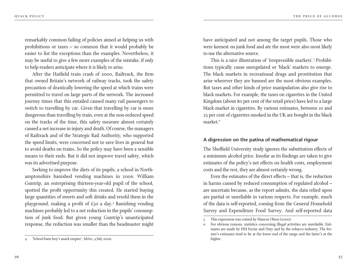remarkably common failing of policies aimed at helping us with prohibitions or taxes – so common that it would probably be easier to list the exceptions than the examples. Nevertheless, it may be useful to give a few more examples of the mistake, if only to help readers anticipate where it is likely to arise.

After the Hatfield train crash of 2000, Railtrack, the firm that owned Britain's network of railway tracks, took the safety precaution of drastically lowering the speed at which trains were permitted to travel on large parts of the network. The increased journey times that this entailed caused many rail passengers to switch to travelling by car. Given that travelling by car is more dangerous than travelling by train, even at the non-reduced speed on the tracks of the time, this safety measure almost certainly caused a net increase in injury and death. Of course, the managers of Railtrack and of the Strategic Rail Authority, who supported the speed limits, were concerned not to save lives in general but to avoid deaths on trains. So the policy may have been a sensible means to their ends. But it did not improve travel safety, which was its advertised purpose.

Seeking to improve the diets of its pupils, a school in Northamptonshire banished vending machines in 2006. William Guntrip, an enterprising thirteen-year-old pupil of the school, spotted the profit opportunity this created. He started buying large quantities of sweets and soft drinks and resold them in the playground, making a profit of  $f_5$ o a day.<sup>4</sup> Banishing vending machines probably led to a net reduction in the pupils' consumption of junk food. But given young Guntrip's unanticipated response, the reduction was smaller than the headmaster might have anticipated and not among the target pupils. Those who were keenest on junk food and ate the most were also most likely to use the alternative source.

This is a nice illustration of 'irrepressible markets'.5 Prohibitions typically cause unregulated or 'black' markets to emerge. The black markets in recreational drugs and prostitution that arise wherever they are banned are the most obvious examples. But taxes and other kinds of price manipulation also give rise to black markets. For example, the taxes on cigarettes in the United Kingdom (about 80 per cent of the retail price) have led to a large black market in cigarettes. By various estimates, between 10 and 25 per cent of cigarettes smoked in the UK are bought in the black market.<sup>6</sup>

#### **A digression on the patina of mathematical rigour**

The Sheffield University study ignores the substitution effects of a minimum alcohol price. Insofar as its findings are taken to give estimates of the policy's net effects on health costs, employment costs and the rest, they are almost certainly wrong.

Even the estimates of the direct effects – that is, the reduction in harms caused by reduced consumption of regulated alcohol – are uncertain because, as the report admits, the data relied upon are partial or unreliable in various respects. For example, much of the data is self-reported, coming from the General Household Survey and Expenditure Food Survey. And self-reported data

<sup>&#</sup>x27;School bans boy's snack empire', Metro, 4 July 2006.

<sup>5</sup> This expression was coined by Mancur Olson (2000).

<sup>6</sup> For obvious reasons, statistics concerning illegal activities are unreliable. Estimates are made by HM Excise and Duty and by the tobacco industry. The former's estimates tend to be at the lower end of the range and the latter's at the higher.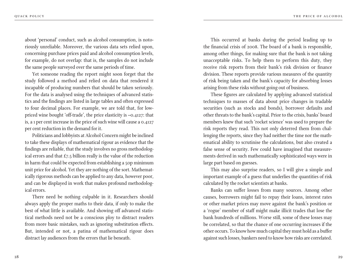about 'personal' conduct, such as alcohol consumption, is notoriously unreliable. Moreover, the various data sets relied upon, concerning purchase prices paid and alcohol consumption levels, for example, do not overlap: that is, the samples do not include the same people surveyed over the same periods of time.

Yet someone reading the report might soon forget that the study followed a method and relied on data that rendered it incapable of producing numbers that should be taken seriously. For the data is analysed using the techniques of advanced statistics and the findings are listed in large tables and often expressed to four decimal places. For example, we are told that, for lowpriced wine bought 'off-trade', the price elasticity is –0.4127: that is, a 1 per cent increase in the price of such wine will cause a 0.4127 per cent reduction in the demand for it.

Politicians and lobbyists at Alcohol Concern might be inclined to take these displays of mathematical rigour as evidence that the findings are reliable, that the study involves no gross methodological errors and that  $\pounds$ 7.5 billion really is the value of the reduction in harm that could be expected from establishing a 50p minimum unit price for alcohol. Yet they are nothing of the sort. Mathematically rigorous methods can be applied to any data, however poor, and can be displayed in work that makes profound methodological errors.

There need be nothing culpable in it. Researchers should always apply the proper maths to their data, if only to make the best of what little is available. And showing off advanced statistical methods need not be a conscious ploy to distract readers from more basic mistakes, such as ignoring substitution effects. But, intended or not, a patina of mathematical rigour does distract lay audiences from the errors that lie beneath.

This occurred at banks during the period leading up to the financial crisis of 2008. The board of a bank is responsible, among other things, for making sure that the bank is not taking unacceptable risks. To help them to perform this duty, they receive risk reports from their bank's risk division or finance division. These reports provide various measures of the quantity of risk being taken and the bank's capacity for absorbing losses arising from these risks without going out of business.

These figures are calculated by applying advanced statistical techniques to masses of data about price changes in tradable securities (such as stocks and bonds), borrower defaults and other threats to the bank's capital. Prior to the crisis, banks' board members knew that such 'rocket science' was used to prepare the risk reports they read. This not only deterred them from challenging the reports, since they had neither the time nor the mathematical ability to scrutinise the calculations, but also created a false sense of security. Few could have imagined that measurements derived in such mathematically sophisticated ways were in large part based on guesses.

This may also surprise readers, so I will give a simple and important example of a guess that underlies the quantities of risk calculated by the rocket scientists at banks.

Banks can suffer losses from many sources. Among other causes, borrowers might fail to repay their loans, interest rates or other market prices may move against the bank's position or a 'rogue' member of staff might make illicit trades that lose the bank hundreds of millions. Worse still, some of these losses may be correlated, so that the chance of one occurring increases if the other occurs. To know how much capital they must hold as a buffer against such losses, bankers need to know how risks are correlated.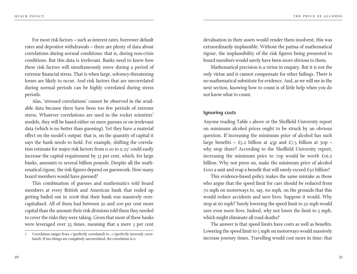For most risk factors – such as interest rates, borrower default rates and depositor withdrawals – there are plenty of data about correlations during normal conditions: that is, during non-crisis conditions. But this data is irrelevant. Banks need to know how these risk factors will simultaneously move during a period of extreme financial stress. That is when large, solvency-threatening losses are likely to occur. And risk factors that are uncorrelated during normal periods can be highly correlated during stress periods.

Alas, 'stressed correlations' cannot be observed in the available data because there have been too few periods of extreme stress. Whatever correlations are used in the rocket scientists' models, they will be based either on mere guesses or on irrelevant data (which is no better than guessing). Yet they have a material effect on the model's output: that is, on the quantity of capital it says the bank needs to hold. For example, shifting the correlation estimate for major risk factors from 0.10 to 0.25<sup>7</sup> could easily increase the capital requirement by 33 per cent, which, for large banks, amounts to several billion pounds. Despite all the mathematical rigour, the risk figures depend on guesswork. How many board members would have guessed?

This combination of guesses and mathematics told board members at every British and American bank that ended up getting bailed out in 2008 that their bank was massively overcapitalised. All of them had between 50 and 100 per cent more capital than the amount their risk divisions told them they needed to cover the risks they were taking. Given that most of these banks were leveraged over 35 times, meaning that a mere 3 per cent

devaluation in their assets would render them insolvent, this was extraordinarily implausible. Without the patina of mathematical rigour, the implausibility of the risk figures being presented to board members would surely have been more obvious to them.

Mathematical precision is a virtue in enquiry. But it is not the only virtue and it cannot compensate for other failings. There is no mathematical substitute for evidence. And, as we will see in the next section, knowing how to count is of little help when you do not know what to count.

#### **Ignoring costs**

Anyone reading Table 1 above or the Sheffield University report on minimum alcohol prices ought to be struck by an obvious question. If increasing the minimum price of alcohol has such large benefits –  $£5.2$  billion at 45p and  $£7.5$  billion at 50p – why stop there? According to the Sheffield University report, increasing the minimum price to 70p would be worth £16.2 billion. Why not press on, make the minimum price of alcohol £100 a unit and reap a benefit that will surely exceed £50 billion?

This evidence-based policy makes the same mistake as those who argue that the speed limit for cars should be reduced from 70 mph on motorways to, say, 60 mph, on the grounds that this would reduce accidents and save lives. Suppose it would. Why stop at 60 mph? Surely lowering the speed limit to 50 mph would save even more lives. Indeed, why not lower the limit to 5 mph, which might eliminate all road deaths?

The answer is that speed limits have costs as well as benefits. Lowering the speed limit to 5 mph on motorways would massively increase journey times. Travelling would cost more in time: that

Correlation ranges from 1 (perfectly correlated) to  $-1$  (perfectly inversely correlated). If two things are completely uncorrelated, the correlation is 0.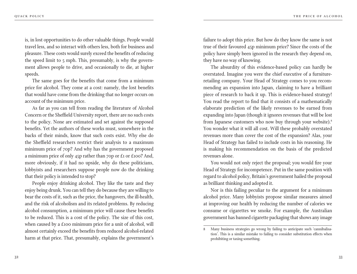is, in lost opportunities to do other valuable things. People would travel less, and so interact with others less, both for business and pleasure. These costs would surely exceed the benefits of reducing the speed limit to 5 mph. This, presumably, is why the government allows people to drive, and occasionally to die, at higher speeds.

The same goes for the benefits that come from a minimum price for alcohol. They come at a cost: namely, the lost benefits that would have come from the drinking that no longer occurs on account of the minimum price.

As far as you can tell from reading the literature of Alcohol Concern or the Sheffield University report, there are no such costs to the policy. None are estimated and set against the supposed benefits. Yet the authors of these works must, somewhere in the backs of their minds, know that such costs exist. Why else do the Sheffield researchers restrict their analysis to a maximum minimum price of 70p? And why has the government proposed a minimum price of only 45p rather than 70p or  $\pounds$ 1 or  $\pounds$ 100? And, more obviously, if it had no upside, why do these politicians, lobbyists and researchers suppose people now do the drinking that their policy is intended to stop?

People enjoy drinking alcohol. They like the taste and they enjoy being drunk. You can tell they do because they are willing to bear the costs of it, such as the price, the hangovers, the ill-health, and the risk of alcoholism and its related problems. By reducing alcohol consumption, a minimum price will cause these benefits to be reduced. This is a cost of the policy. The size of this cost, when caused by a £100 minimum price for a unit of alcohol, will almost certainly exceed the benefits from reduced alcohol-related harm at that price. That, presumably, explains the government's

failure to adopt this price. But how do they know the same is not true of their favoured 45p minimum price? Since the costs of the policy have simply been ignored in the research they depend on, they have no way of knowing.

The absurdity of this evidence-based policy can hardly be overstated. Imagine you were the chief executive of a furnitureretailing company. Your Head of Strategy comes to you recommending an expansion into Japan, claiming to have a brilliant piece of research to back it up. This is evidence-based strategy! You read the report to find that it consists of a mathematically elaborate prediction of the likely revenues to be earned from expanding into Japan (though it ignores revenues that will be lost from Japanese customers who now buy through your website).<sup>8</sup> You wonder what it will all cost. Will these probably overstated revenues more than cover the cost of the expansion? Alas, your Head of Strategy has failed to include costs in his reasoning. He is making his recommendation on the basis of the predicted revenues alone.

You would not only reject the proposal; you would fire your Head of Strategy for incompetence. Put in the same position with regard to alcohol policy, Britain's government hailed the proposal as brilliant thinking and adopted it.

Nor is this failing peculiar to the argument for a minimum alcohol price. Many lobbyists propose similar measures aimed at improving our health by reducing the number of calories we consume or cigarettes we smoke. For example, the Australian government has banned cigarette packaging that shows any image

Many business strategies go wrong by failing to anticipate such 'cannibalisation'. This is a similar mistake to failing to consider substitution effects when prohibiting or taxing something.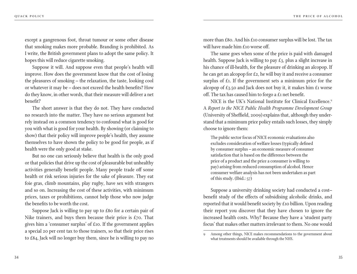except a gangrenous foot, throat tumour or some other disease that smoking makes more probable. Branding is prohibited. As I write, the British government plans to adopt the same policy. It hopes this will reduce cigarette smoking.

Suppose it will. And suppose even that people's health will improve. How does the government know that the cost of losing the pleasures of smoking – the relaxation, the taste, looking cool or whatever it may be – does not exceed the health benefits? How do they know, in other words, that their measure will deliver a net benefit?

The short answer is that they do not. They have conducted no research into the matter. They have no serious argument but rely instead on a common tendency to confound what is good for you with what is good for your health. By showing (or claiming to show) that their policy will improve people's health, they assume themselves to have shown the policy to be good for people, as if health were the only good at stake.

But no one can seriously believe that health is the only good or that policies that drive up the cost of pleasurable but unhealthy activities generally benefit people. Many people trade off some health or risk serious injuries for the sake of pleasure. They eat foie gras, climb mountains, play rugby, have sex with strangers and so on. Increasing the cost of these activities, with minimum prices, taxes or prohibitions, cannot help those who now judge the benefits to be worth the cost.

Suppose Jack is willing to pay up to £80 for a certain pair of Nike trainers, and buys them because their price is  $£70$ . That gives him a 'consumer surplus' of £10. If the government applies a special 20 per cent tax to those trainers, so that their price rises to £84, Jack will no longer buy them, since he is willing to pay no

more than £80. And his £10 consumer surplus will be lost. The tax will have made him  $f_1$ 0 worse off.

The same goes when some of the price is paid with damaged health. Suppose Jack is willing to pay  $f_3$ , plus a slight increase in his chance of ill-health, for the pleasure of drinking an alcopop. If he can get an alcopop for  $\mathcal{L}_2$ , he will buy it and receive a consumer surplus of  $\pounds$ 1. If the government sets a minimum price for the alcopop of  $\mathfrak{L}_3$ , so and Jack does not buy it, it makes him  $\mathfrak{L}_1$  worse off. The tax has caused him to forgo a £1 net benefit.

NICE is the UK's National Institute for Clinical Excellence.<sup>9</sup> A Report to the NICE Public Health Programme Development Group (University of Sheffield, 2009) explains that, although they understand that a minimum price policy entails such losses, they simply choose to ignore them:

The public sector focus of NICE economic evaluations also excludes consideration of welfare losses (typically defined by consumer surplus – an economic measure of consumer satisfaction that is based on the difference between the price of a product and the price a consumer is willing to pay) arising from reduced consumption of alcohol. Hence consumer welfare analysis has not been undertaken as part of this study. (Ibid.: 57)

Suppose a university drinking society had conducted a cost– benefit study of the effects of subsidising alcoholic drinks, and reported that it would benefit society by £10 billion. Upon reading their report you discover that they have chosen to ignore the increased health costs. Why? Because they have a 'student party focus' that makes other matters irrelevant to them. No one would

Among other things, NICE makes recommendations to the government about what treatments should be available through the NHS.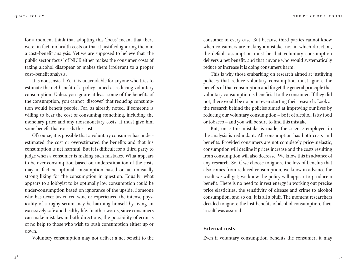for a moment think that adopting this 'focus' meant that there were, in fact, no health costs or that it justified ignoring them in a cost–benefit analysis. Yet we are supposed to believe that 'the public sector focus' of NICE either makes the consumer costs of taxing alcohol disappear or makes them irrelevant to a proper cost–benefit analysis.

It is nonsensical. Yet it is unavoidable for anyone who tries to estimate the net benefit of a policy aimed at reducing voluntary consumption. Unless you ignore at least some of the benefits of the consumption, you cannot 'discover' that reducing consumption would benefit people. For, as already noted, if someone is willing to bear the cost of consuming something, including the monetary price and any non-monetary costs, it must give him some benefit that exceeds this cost.

Of course, it is possible that a voluntary consumer has underestimated the cost or overestimated the benefits and that his consumption is net harmful. But it is difficult for a third party to judge when a consumer is making such mistakes. What appears to be over-consumption based on underestimation of the costs may in fact be optimal consumption based on an unusually strong liking for the consumption in question. Equally, what appears to a lobbyist to be optimally low consumption could be under-consumption based on ignorance of the upside. Someone who has never tasted red wine or experienced the intense physicality of a rugby scrum may be harming himself by living an excessively safe and healthy life. In other words, since consumers can make mistakes in both directions, the possibility of error is of no help to those who wish to push consumption either up or down.

Voluntary consumption may not deliver a net benefit to the

consumer in every case. But because third parties cannot know when consumers are making a mistake, nor in which direction, the default assumption must be that voluntary consumption delivers a net benefit, and that anyone who would systematically reduce or increase it is doing consumers harm.

This is why those embarking on research aimed at justifying policies that reduce voluntary consumption must ignore the benefits of that consumption and forget the general principle that voluntary consumption is beneficial to the consumer. If they did not, there would be no point even starting their research. Look at the research behind the policies aimed at improving our lives by reducing our voluntary consumption – be it of alcohol, fatty food or tobacco – and you will be sure to find this mistake.

But, once this mistake is made, the science employed in the analysis is redundant. All consumption has both costs and benefits. Provided consumers are not completely price-inelastic, consumption will decline if prices increase and the costs resulting from consumption will also decrease. We know this in advance of any research. So, if we choose to ignore the loss of benefits that also comes from reduced consumption, we know in advance the result we will get; we know the policy will appear to produce a benefit. There is no need to invest energy in working out precise price elasticities, the sensitivity of disease and crime to alcohol consumption, and so on. It is all a bluff. The moment researchers decided to ignore the lost benefits of alcohol consumption, their 'result' was assured.

#### **External costs**

Even if voluntary consumption benefits the consumer, it may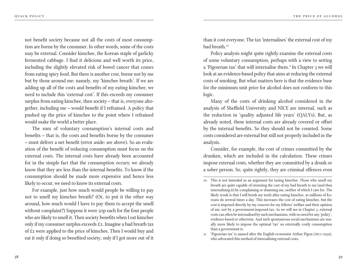not benefit society because not all the costs of most consumption are borne by the consumer. In other words, some of the costs may be external. Consider kimchee, the Korean staple of garlicky fermented cabbage. I find it delicious and well worth its price, including the slightly elevated risk of bowel cancer that comes from eating spicy food. But there is another cost, borne not by me but by those around me: namely, my 'kimchee breath'. If we are adding up all of the costs and benefits of my eating kimchee, we need to include this 'external cost'. If this exceeds my consumer surplus from eating kimchee, then society – that is, everyone altogether, including me – would benefit if I refrained. A policy that pushed up the price of kimchee to the point where I refrained would make the world a better place.

The sum of voluntary consumption's internal costs and benefits – that is, the costs and benefits borne by the consumer – must deliver a net benefit (error aside: see above). So an evaluation of the benefit of reducing consumption must focus on the external costs. The internal costs have already been accounted for in the simple fact that the consumption occurs; we already know that they are less than the internal benefits. To know if the consumption should be made more expensive and hence less likely to occur, we need to know its external costs.

For example, just how much would people be willing to pay not to smell my kimchee breath? (Or, to put it the other way around, how much would I have to pay them to accept the smell without complaint?) Suppose it were 50p each for the four people who are likely to smell it. Then society benefits when I eat kimchee only if my consumer surplus exceeds £2. Imagine a bad breath tax of £2 were applied to the price of kimchee. Then I would buy and eat it only if doing so benefited society, only if I got more out of it

than it cost everyone. The tax 'internalises' the external cost of my had breath<sup>10</sup>

Policy analysis might quite rightly examine the external costs of some voluntary consumption, perhaps with a view to setting a 'Pigouvian tax' that will internalise them.11 In Chapter 3 we will look at an evidence-based policy that aims at reducing the external costs of smoking. But what matters here is that the evidence base for the minimum unit price for alcohol does not conform to this logic.

Many of the costs of drinking alcohol considered in the analysis of Sheffield University and NICE are internal, such as the reduction in 'quality adjusted life years' (QALYs). But, as already noted, these internal costs are already covered or offset by the internal benefits. So they should not be counted. Some costs considered are external but still not properly included in the analysis.

Consider, for example, the cost of crimes committed by the drunken, which are included in the calculation. These crimes impose external costs, whether they are committed by a drunk or a sober person. So, quite rightly, they are criminal offences even

<sup>10</sup> This is not intended as an argument for taxing kimchee. Those who smell my breath are quite capable of returning the cost of my bad breath to me (and thus internalising it) by complaining or shunning me, neither of which I care for. The likely result is that I will brush my teeth after eating kimchee, as millions of Koreans do several times a day. This increases the cost of eating kimchee, but the cost is imposed directly by my concern for my fellows' welfare and their opinion of me, not by a government-imposed tax. As we will see in Chapter 3, external costs can often be internalised by such mechanisms, with no need for any 'policy', evidence-based or otherwise. And such spontaneous social mechanisms are usually more likely to impose the optimal 'tax' on externally costly consumption than a government is.

<sup>11</sup> 'Pigouvian tax' is named after the English economist Arthur Pigou (1877–1959), who advocated this method of internalising external costs.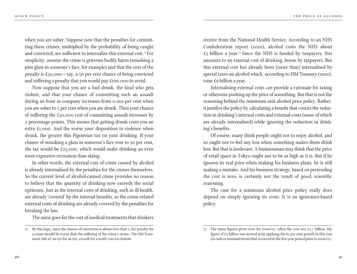when you are sober. Suppose now that the penalties for committing these crimes, multiplied by the probability of being caught and convicted, are sufficient to internalise this external cost.12 For simplicity, assume the crime is grievous bodily harm (smashing a pint glass in someone's face, for example) and that the cost of the penalty is  $\text{\pounds}_{50,000}$  – say, a 50 per cent chance of being convicted and suffering a penalty that you would pay £100,000 to avoid.

Now suppose that you are a bad drunk, the kind who gets violent, and that your chance of committing such an assault during an hour in company increases from 0.001 per cent when you are sober to 2 per cent when you are drunk. Then your chance of suffering the £50,000 cost of committing assault increases by 2 percentage points. This means that getting drunk costs you an extra £1,000. And the worse your disposition to violence when drunk, the greater this Pigouvian tax on your drinking. If your chance of smashing a glass in someone's face rose to 50 per cent, the tax would be  $£25,000$ , which would make drinking an even more expensive recreation than skiing.

In other words, the external cost of crime caused by alcohol is already internalised by the penalties for the crimes themselves. So the current level of alcohol-caused crime provides no reason to believe that the quantity of drinking now exceeds the social optimum. Just as the internal costs of drinking, such as ill-health, are already 'covered' by the internal benefits, so the crime-related external costs of drinking are already covered by the penalties for breaking the law.

The same goes for the cost of medical treatments that drinkers

receive from the National Health Service. According to an NHS Confederation report (2010), alcohol costs the NHS about  $£5$  billion a year.<sup>13</sup> Since the NHS is funded by taxpayers, this amounts to an external cost of drinking, borne by taxpayers. But this external cost has already been (more than) internalised by special taxes on alcohol which, according to HM Treasury (2010), raise £9 billion a year.

Internalising external costs can provide a rationale for taxing or otherwise pushing up the price of something. But that is not the reasoning behind the minimum unit alcohol price policy. Rather, it justifies the policy by calculating a benefit that counts the reduction in drinking's internal costs and external costs (some of which are already internalised) while ignoring the reduction in drinking's benefits.

Of course, many think people ought not to enjoy alcohol, and so ought not to feel any loss when something makes them drink less. But that is irrelevant. A businessman may think that the price of retail space in Tokyo ought not to be as high as it is. But if he ignores its real price when making his business plans, he is still making a mistake. And his business strategy, based on pretending the cost is zero, is certainly not the result of good, scientific reasoning.

The case for a minimum alcohol price policy really does depend on simply ignoring its costs. It is an ignorance-based policy.

<sup>12</sup> By this logic, since the chance of conviction is always less than 1, the penalty for a crime should be worse than the suffering of the crime's victim. The Old Testament rule of 'an eye for an eye, a tooth for a tooth' was too lenient.

<sup>13</sup> The latest figures given were for 2006/07, when the cost was  $£2.7$  billion. My figure of  $\pounds$ 5 billion was arrived at by applying the 85 per cent growth in this cost (in cash or nominal terms) that occurred in the five-year period prior to 2006/07.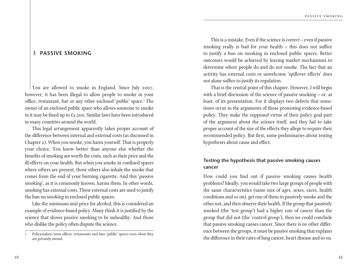#### 3 **PASSIVE SMOKING**

You are allowed to smoke in England. Since July 2007, however, it has been illegal to allow people to smoke in your office, restaurant, bar or any other enclosed 'public' space.<sup>1</sup> The owner of an enclosed public space who allows someone to smoke in it may be fined up to  $£2,500$ . Similar laws have been introduced in many countries around the world.

This legal arrangement apparently takes proper account of the difference between internal and external costs (as discussed in Chapter 2). When you smoke, you harm yourself. That is properly your choice. You know better than anyone else whether the benefits of smoking are worth the costs, such as their price and the ill-effects on your health. But when you smoke in confined spaces where others are present, those others also inhale the smoke that comes from the end of your burning cigarette. And this 'passive smoking', as it is commonly known, harms them. In other words, smoking has external costs. These external costs are used to justify the ban on smoking in enclosed public spaces.

Like the minimum unit price for alcohol, this is considered an example of evidence-based policy. Many think it is justified by the science that shows passive smoking to be unhealthy. And those who dislike the policy often dispute the science.

This is a mistake. Even if the science is correct – even if passive smoking really is bad for your health – this does not suffice to justify a ban on smoking in enclosed public spaces. Better outcomes would be achieved by leaving market mechanisms to determine where people do and do not smoke. The fact that an activity has external costs or unwelcome 'spillover effects' does not alone suffice to justify its regulation.

That is the central point of this chapter. However, I will begin with a brief discussion of the science of passive smoking – or, at least, of its presentation. For it displays two defects that sometimes occur in the arguments of those promoting evidence-based policy. They make the supposed virtue of their policy goal part of the argument about the science itself, and they fail to take proper account of the size of the effects they allege to require their recommended policy. But first, some preliminaries about testing hypotheses about cause and effect.

## **Testing the hypothesis that passive smoking causes cancer**

How could you find out if passive smoking causes health problems? Ideally, you would take two large groups of people with the same characteristics (same mix of ages, sexes, races, health conditions and so on), get one of them to passively smoke and the other not, and then observe their health. If the group that passively smoked (the 'test group') had a higher rate of cancer than the group that did not (the 'control group'), then we could conclude that passive smoking causes cancer. Since there is no other difference between the groups, it must be passive smoking that explains the difference in their rates of lung cancer, heart disease and so on.

<sup>1</sup> Policymakers term offices, restaurants and bars 'public' spaces even when they are privately owned.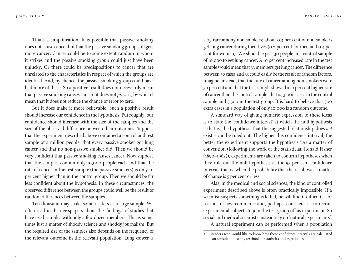That's a simplification. It is possible that passive smoking does not cause cancer but that the passive smoking group still gets more cancer. Cancer could be to some extent random in whom it strikes and the passive smoking group could just have been unlucky. Or there could be predispositions to cancer that are unrelated to the characteristics in respect of which the groups are identical. And, by chance, the passive smoking group could have had more of these. So a positive result does not necessarily mean that passive smoking causes cancer; it does not prove it, by which I mean that it does not reduce the chance of error to zero.

But it does make it more believable. Such a positive result should increase our confidence in the hypothesis. Put roughly, our confidence should increase with the size of the samples and the size of the observed difference between their outcomes. Suppose that the experiment described above contained a control and test sample of a million people, that every passive smoker got lung cancer and that no non-passive smoker did. Then we should be very confident that passive smoking causes cancer. Now suppose that the samples contain only 10,000 people each and that the rate of cancer in the test sample (the passive smokers) is only 10 per cent higher than in the control group. Then we should be far less confident about the hypothesis. In these circumstances, the observed difference between the groups could well be the result of random differences between the samples.

Ten thousand may strike some readers as a large sample. We often read in the newspapers about the 'findings' of studies that have used samples with only a few dozen members. This is sometimes just a matter of shoddy science and shoddy journalism. But the required size of the samples also depends on the frequency of the relevant outcome in the relevant population. Lung cancer is

very rare among non-smokers; about 0.3 per cent of non-smokers get lung cancer during their lives (0.2 per cent for men and 0.4 per cent for women). We should expect 30 people in a control sample of 10,000 to get lung cancer. A 10 per cent increased rate in the test sample would mean that 33 members get lung cancer. The difference between 30 cases and 33 could easily be the result of random factors. Imagine, instead, that the rate of cancer among non-smokers were 30 per cent and that the test sample showed a 10 per cent higher rate of cancer than the control sample: that is, 3,000 cases in the control sample and 3,300 in the test group. It is hard to believe that 300 extra cases in a population of only 10,000 is a random outcome.

A standard way of giving numeric expression to these ideas is to state the 'confidence interval' at which the null hypothesis – that is, the hypothesis that the suggested relationship does not exist – can be ruled out. The higher this confidence interval, the better the experiment supports the hypothesis.<sup>2</sup> As a matter of convention (following the work of the statistician Ronald Fisher (1890–1962)), experiments are taken to confirm hypotheses when they rule out the null hypothesis at the 95 per cent confidence interval: that is, when the probability that the result was a matter of chance is 5 per cent or less.

Alas, in the medical and social sciences, the kind of controlled experiment described above is often practically impossible. If a scientist suspects something is lethal, he will find it difficult – for reasons of law, commerce and, perhaps, conscience – to recruit experimental subjects to join the test group of his experiment. So social and medical scientists instead rely on 'natural experiments'.

A natural experiment can be performed when a population

<sup>2</sup> Readers who would like to know how these confidence intervals are calculated can consult almost any textbook for statistics undergraduates.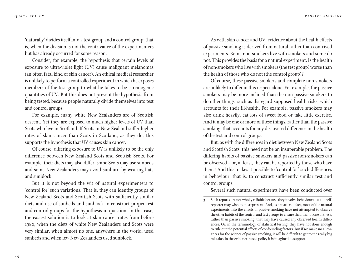'naturally' divides itself into a test group and a control group: that is, when the division is not the contrivance of the experimenters but has already occurred for some reason.

Consider, for example, the hypothesis that certain levels of exposure to ultra-violet light (UV) cause malignant melanomas (an often fatal kind of skin cancer). An ethical medical researcher is unlikely to perform a controlled experiment in which he exposes members of the test group to what he takes to be carcinogenic quantities of UV. But this does not prevent the hypothesis from being tested, because people naturally divide themselves into test and control groups.

For example, many white New Zealanders are of Scottish descent. Yet they are exposed to much higher levels of UV than Scots who live in Scotland. If Scots in New Zealand suffer higher rates of skin cancer than Scots in Scotland, as they do, this supports the hypothesis that UV causes skin cancer.

Of course, differing exposure to UV is unlikely to be the only difference between New Zealand Scots and Scottish Scots. For example, their diets may also differ, some Scots may use sunbeds and some New Zealanders may avoid sunburn by wearing hats and sunblock.

But it is not beyond the wit of natural experimenters to 'control for' such variations. That is, they can identify groups of New Zealand Scots and Scottish Scots with sufficiently similar diets and use of sunbeds and sunblock to construct proper test and control groups for the hypothesis in question. In this case, the easiest solution is to look at skin cancer rates from before 1980, when the diets of white New Zealanders and Scots were very similar, when almost no one, anywhere in the world, used sunbeds and when few New Zealanders used sunblock.

As with skin cancer and UV, evidence about the health effects of passive smoking is derived from natural rather than contrived experiments. Some non-smokers live with smokers and some do not. This provides the basis for a natural experiment. Is the health of non-smokers who live with smokers (the test group) worse than the health of those who do not (the control group)?

Of course, these passive smokers and complete non-smokers are unlikely to differ in this respect alone. For example, the passive smokers may be more inclined than the non-passive smokers to do other things, such as disregard supposed health risks, which accounts for their ill-health. For example, passive smokers may also drink heavily, eat lots of sweet food or take little exercise. And it may be one or more of these things, rather than the passive smoking, that accounts for any discovered difference in the health of the test and control groups.

But, as with the differences in diet between New Zealand Scots and Scottish Scots, this need not be an insuperable problem. The differing habits of passive smokers and passive non-smokers can be observed – or, at least, they can be reported by those who have them.3 And this makes it possible to 'control for' such differences in behaviour: that is, to construct sufficiently similar test and control groups.

Several such natural experiments have been conducted over

<sup>3</sup> Such reports are not wholly reliable because they involve behaviour that the selfreporter may wish to misrepresent. And, as a matter of fact, most of the natural experiments into the effects of passive smoking have not attempted to observe the other habits of the control and test groups to ensure that it is not one of these, rather than passive smoking, that may have caused any observed health differences. Or, in the terminology of statistical testing, they have not done enough to rule out the potential effects of confounding factors. But if we make no allowances for the science of passive smoking, it will be difficult to get to the really big mistakes in the evidence-based policy it is imagined to support.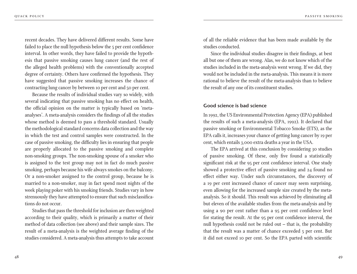recent decades. They have delivered different results. Some have failed to place the null hypothesis below the 5 per cent confidence interval. In other words, they have failed to provide the hypothesis that passive smoking causes lung cancer (and the rest of the alleged health problems) with the conventionally accepted degree of certainty. Others have confirmed the hypothesis. They have suggested that passive smoking increases the chance of contracting lung cancer by between 10 per cent and 50 per cent.

Because the results of individual studies vary so widely, with several indicating that passive smoking has no effect on health, the official opinion on the matter is typically based on 'metaanalyses'. A meta-analysis considers the findings of all the studies whose method is deemed to pass a threshold standard. Usually the methodological standard concerns data collection and the way in which the test and control samples were constructed. In the case of passive smoking, the difficulty lies in ensuring that people are properly allocated to the passive smoking and complete non-smoking groups. The non-smoking spouse of a smoker who is assigned to the test group may not in fact do much passive smoking, perhaps because his wife always smokes on the balcony. Or a non-smoker assigned to the control group, because he is married to a non-smoker, may in fact spend most nights of the week playing poker with his smoking friends. Studies vary in how strenuously they have attempted to ensure that such misclassifications do not occur.

Studies that pass the threshold for inclusion are then weighted according to their quality, which is primarily a matter of their method of data collection (see above) and their sample sizes. The result of a meta-analysis is the weighted average finding of the studies considered. A meta-analysis thus attempts to take account

of all the reliable evidence that has been made available by the studies conducted.

Since the individual studies disagree in their findings, at best all but one of them are wrong. Alas, we do not know which of the studies included in the meta-analysis went wrong. If we did, they would not be included in the meta-analysis. This means it is more rational to believe the result of the meta-analysis than to believe the result of any one of its constituent studies.

#### **Good science is bad science**

In 1992, the US Environmental Protection Agency (EPA) published the results of such a meta-analysis (EPA, 1992). It declared that passive smoking or Environmental Tobacco Smoke (ETS), as the EPA calls it, increases your chance of getting lung cancer by 19 per cent, which entails 3,000 extra deaths a year in the USA.

The EPA arrived at this conclusion by considering 30 studies of passive smoking. Of these, only five found a statistically significant risk at the 95 per cent confidence interval. One study showed a protective effect of passive smoking and 24 found no effect either way. Under such circumstances, the discovery of a 19 per cent increased chance of cancer may seem surprising, even allowing for the increased sample size created by the metaanalysis. So it should. This result was achieved by eliminating all but eleven of the available studies from the meta-analysis and by using a 90 per cent rather than a 95 per cent confidence level for stating the result. At the 95 per cent confidence interval, the null hypothesis could not be ruled out – that is, the probability that the result was a matter of chance exceeded 5 per cent. But it did not exceed 10 per cent. So the EPA parted with scientific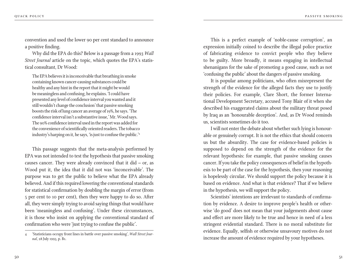convention and used the lower 90 per cent standard to announce a positive finding.

Why did the EPA do this? Below is a passage from a 1993 Wall Street Journal article on the topic, which quotes the EPA's statistical consultant, Dr Wood:

The EPA believes it is inconceivable that breathing in smoke containing known cancer-causing substances could be healthy and any hint in the report that it might be would be meaningless and confusing, he explains. 'I could have presented any level of confidence interval you wanted and it still wouldn't change the conclusion' that passive smoking boosts the risk of lung cancer an average of 19%, he says. 'The confidence interval isn't a substantive issue,' Mr. Wood says. The 90% confidence interval used in the report was added for the convenience of scientifically oriented readers. The tobacco industry's harping on it, he says, 'is just to confuse the public.'4

This passage suggests that the meta-analysis performed by EPA was not intended to test the hypothesis that passive smoking causes cancer. They were already convinced that it did – or, as Wood put it, the idea that it did not was 'inconceivable'. The purpose was to get the public to believe what the EPA already believed. And if this required lowering the conventional standards for statistical confirmation by doubling the margin of error (from 5 per cent to 10 per cent), then they were happy to do so. After all, they were simply trying to avoid saying things that would have been 'meaningless and confusing'. Under these circumstances, it is those who insist on applying the conventional standard of confirmation who were 'just trying to confuse the public'.

This is a perfect example of 'noble-cause corruption', an expression initially coined to describe the illegal police practice of fabricating evidence to convict people who they believe to be guilty. More broadly, it means engaging in intellectual shenanigans for the sake of promoting a good cause, such as not 'confusing the public' about the dangers of passive smoking.

It is popular among politicians, who often misrepresent the strength of the evidence for the alleged facts they use to justify their policies. For example, Clare Short, the former International Development Secretary, accused Tony Blair of it when she described his exaggerated claims about the military threat posed by Iraq as an 'honourable deception'. And, as Dr Wood reminds us, scientists sometimes do it too.

I will not enter the debate about whether such lying is honourable or genuinely corrupt. It is not the ethics that should concern us but the absurdity. The case for evidence-based policies is supposed to depend on the strength of the evidence for the relevant hypothesis: for example, that passive smoking causes cancer. If you take the policy consequences of belief in the hypothesis to be part of the case for the hypothesis, then your reasoning is hopelessly circular. We should support the policy because it is based on evidence. And what is that evidence? That if we believe in the hypothesis, we will support the policy.

Scientists' intentions are irrelevant to standards of confirmation by evidence. A desire to improve people's health or otherwise 'do good' does not mean that your judgements about cause and effect are more likely to be true and hence in need of a less stringent evidential standard. There is no moral substitute for evidence. Equally, selfish or otherwise unsavoury motives do not increase the amount of evidence required by your hypotheses.

<sup>&#</sup>x27;Statisticians occupy front lines in battle over passive smoking', Wall Street Journal, 28 July 1993, p. B1.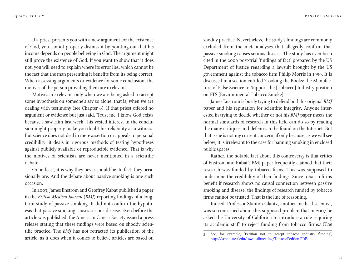If a priest presents you with a new argument for the existence of God, you cannot properly dismiss it by pointing out that his income depends on people believing in God. The argument might still prove the existence of God. If you want to show that it does not, you will need to explain where its error lies, which cannot be the fact that the man presenting it benefits from its being correct. When assessing arguments or evidence for some conclusion, the motives of the person providing them are irrelevant.

Motives are relevant only when we are being asked to accept some hypothesis on someone's say so alone: that is, when we are dealing with testimony (see Chapter 6). If that priest offered no argument or evidence but just said, 'Trust me, I know God exists because I saw Him last week', his vested interest in the conclusion might properly make you doubt his reliability as a witness. But science does not deal in mere assertion or appeals to personal credibility; it deals in rigorous methods of testing hypotheses against publicly available or reproducible evidence. That is why the motives of scientists are never mentioned in a scientific debate.

Or, at least, it is why they never should be. In fact, they occasionally are. And the debate about passive smoking is one such occasion.

In 2003, James Enstrom and Geoffrey Kabat published a paper in the British Medical Journal (BMJ) reporting findings of a longterm study of passive smoking. It did not confirm the hypothesis that passive smoking causes serious disease. Even before the article was published, the American Cancer Society issued a press release stating that these findings were based on shoddy scientific practice. The BMJ has not retracted its publication of the article, as it does when it comes to believe articles are based on

shoddy practice. Nevertheless, the study's findings are commonly excluded from the meta-analyses that allegedly confirm that passive smoking causes serious disease. The study has even been cited in the 2006 post-trial 'findings of fact' prepared by the US Department of Justice regarding a lawsuit brought by the US government against the tobacco firm Philip Morris in 1999. It is discussed in a section entitled 'Cooking the Books: the Manufacture of False Science to Support the [Tobacco] Industry position on ETS [Environmental Tobacco Smoke]'.

James Enstrom is busily trying to defend both his original BMJ paper and his reputation for scientific integrity. Anyone interested in trying to decide whether or not his BMJ paper meets the normal standards of research in this field can do so by reading the many critiques and defences to be found on the Internet. But that issue is not my current concern, if only because, as we will see below, it is irrelevant to the case for banning smoking in enclosed public spaces.

Rather, the notable fact about this controversy is that critics of Enstrom and Kabat's BMJ paper frequently claimed that their research was funded by tobacco firms. This was supposed to undermine the credibility of their findings. Since tobacco firms benefit if research shows no causal connection between passive smoking and disease, the findings of research funded by tobacco firms cannot be trusted. That is the line of reasoning.

Indeed, Professor Stanton Glantz, another medical scientist, was so concerned about this supposed problem that in 2007 he asked the University of California to introduce a rule requiring its academic staff to reject funding from tobacco firms.<sup>5</sup> (The

<sup>5</sup> See, for example, 'Petition not to accept tobacco industry funding', [http://senate.ucsf.edu/townhallmeeting/TobaccoPetition.PDF.](http://senate.ucsf.edu/townhallmeeting/TobaccoPetition.PDF)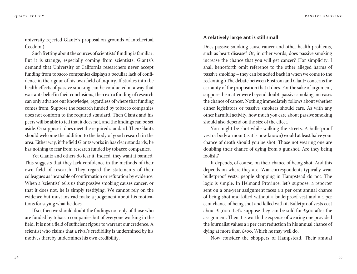university rejected Glantz's proposal on grounds of intellectual freedom.)

Such fretting about the sources of scientists' funding is familiar. But it is strange, especially coming from scientists. Glantz's demand that University of California researchers never accept funding from tobacco companies displays a peculiar lack of confidence in the rigour of his own field of inquiry. If studies into the health effects of passive smoking can be conducted in a way that warrants belief in their conclusions, then extra funding of research can only advance our knowledge, regardless of where that funding comes from. Suppose the research funded by tobacco companies does not conform to the required standard. Then Glantz and his peers will be able to tell that it does not, and the findings can be set aside. Or suppose it does meet the required standard. Then Glantz should welcome the addition to the body of good research in the area. Either way, if the field Glantz works in has clear standards, he has nothing to fear from research funded by tobacco companies.

Yet Glantz and others do fear it. Indeed, they want it banned. This suggests that they lack confidence in the methods of their own field of research. They regard the statements of their colleagues as incapable of confirmation or refutation by evidence. When a 'scientist' tells us that passive smoking causes cancer, or that it does not, he is simply testifying. We cannot rely on the evidence but must instead make a judgement about his motivations for saying what he does.

If so, then we should doubt the findings not only of those who are funded by tobacco companies but of everyone working in the field. It is not a field of sufficient rigour to warrant our credence. A scientist who claims that a rival's credibility is undermined by his motives thereby undermines his own credibility.

#### **A relatively large ant is still small**

Does passive smoking cause cancer and other health problems, such as heart disease? Or, in other words, does passive smoking increase the chance that you will get cancer? (For simplicity, I shall henceforth omit reference to the other alleged harms of passive smoking – they can be added back in when we come to the reckoning.) The debate between Enstrom and Glantz concerns the certainty of the proposition that it does. For the sake of argument, suppose the matter were beyond doubt: passive smoking increases the chance of cancer. Nothing immediately follows about whether either legislators or passive smokers should care. As with any other harmful activity, how much you care about passive smoking should also depend on the size of the effect.

You might be shot while walking the streets. A bulletproof vest or body armour (as it is now known) would at least halve your chance of death should you be shot. Those not wearing one are doubling their chance of dying from a gunshot. Are they being foolish?

It depends, of course, on their chance of being shot. And this depends on where they are. War correspondents typically wear bulletproof vests; people shopping in Hampstead do not. The logic is simple. In Helmand Province, let's suppose, a reporter sent on a one-year assignment faces a 2 per cent annual chance of being shot and killed without a bulletproof vest and a 1 per cent chance of being shot and killed with it. Bulletproof vests cost about £1,000. Let's suppose they can be sold for  $\pounds$ 500 after the assignment. Then it is worth the expense of wearing one provided the journalist values a 1 per cent reduction in his annual chance of dying at more than £500. Which he may well do.

Now consider the shoppers of Hampstead. Their annual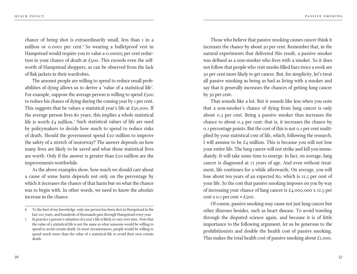chance of being shot is extraordinarily small, less than 1 in a million or 0.0001 per cent.<sup>6</sup> So wearing a bulletproof vest in Hampstead would require you to value a 0.00005 per cent reduction in your chance of death at  $f_5$ 00. This exceeds even the selfworth of Hampstead shoppers, as can be observed from the lack of flak jackets in their wardrobes.

The amount people are willing to spend to reduce small probabilities of dying allows us to derive a 'value of a statistical life'. For example, suppose the average person is willing to spend  $£500$ to reduce his chance of dying during the coming year by 1 per cent. This suggests that he values a statistical year's life at  $£50,000$ . If the average person lives 80 years, this implies a whole statistical life is worth £4 million.7 Such statistical values of life are used by policymakers to decide how much to spend to reduce risks of death. Should the government spend £20 million to improve the safety of a stretch of motorway? The answer depends on how many lives are likely to be saved and what those statistical lives are worth. Only if the answer is greater than £20 million are the improvements worthwhile.

As the above examples show, how much we should care about a cause of some harm depends not only on the percentage by which it increases the chance of that harm but on what the chance was to begin with. In other words, we need to know the *absolute* increase in the chance.

Those who believe that passive smoking causes cancer think it increases the chance by about 30 per cent. Remember that, in the natural experiments that delivered this result, a passive smoker was defined as a non-smoker who lives with a smoker. So it does not follow that people who visit smoke-filled bars twice a week are 30 per cent more likely to get cancer. But, for simplicity, let's treat all passive smoking as being as bad as living with a smoker and say that it generally increases the chances of getting lung cancer by 30 per cent.

That sounds like a lot. But it sounds like less when you note that a non-smoker's chance of dying from lung cancer is only about 0.3 per cent. Being a passive smoker thus increases the chance to about 0.4 per cent: that is, it increases the chance by 0.1 percentage points. But the cost of this is not 0.1 per cent multiplied by your statistical cost of life, which, following the research, I will assume to be £4 million. This is because you will not lose your entire life. The lung cancer will not strike and kill you immediately. It will take some time to emerge. In fact, on average, lung cancer is diagnosed at 71 years of age. And even without treatment, life continues for a while afterwards. On average, you will lose about ten years of an expected 80, which is 12.5 per cent of your life. So the cost that passive smoking imposes on you by way of increasing your chance of lung cancer is £4,000,000 x 12.5 per cent x 0.1 per cent =  $£500$ .

Of course, passive smoking may cause not just lung cancer but other illnesses besides, such as heart disease. To avoid trawling through the disputed science again, and because it is of little importance to the following argument, let us be generous to the prohibitionists and double the health cost of passive smoking. This makes the total health cost of passive smoking about £1,000.

<sup>6</sup> To the best of my knowledge, only one person has been shot in Hampstead in the last 100 years, and hundreds of thousands pass through Hampstead every year.

In practice a person's valuation of a year's life is likely to vary over time. Note that the value of a statistical life is not the same as what someone would be willing to spend to avoid certain death. In most circumstances, people would be willing to spend much more than the value of a statistical life to avoid their own certain death.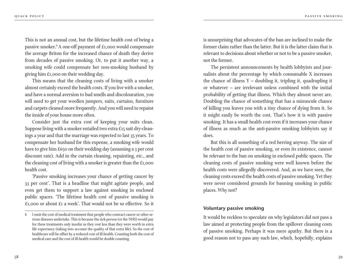This is not an annual cost, but the lifetime health cost of being a passive smoker. $8$  A one-off payment of £1,000 would compensate the average Briton for the increased chance of death they derive from decades of passive smoking. Or, to put it another way, a smoking wife could compensate her non-smoking husband by giving him £1,000 on their wedding day.

This means that the cleaning costs of living with a smoker almost certainly exceed the health costs. If you live with a smoker, and have a normal aversion to bad smells and discolouration, you will need to get your woollen jumpers, suits, curtains, furniture and carpets cleaned more frequently. And you will need to repaint the inside of your house more often.

Consider just the extra cost of keeping your suits clean. Suppose living with a smoker entailed two extra  $\pounds$ 15 suit dry-cleanings a year and that the marriage was expected to last 35 years. To compensate her husband for this expense, a smoking wife would have to give him £650 on their wedding day (assuming a 3 per cent discount rate). Add in the curtain cleaning, repainting, etc., and the cleaning cost of living with a smoker is greater than the  $£1,000$ health cost.

'Passive smoking increases your chance of getting cancer by 33 per cent'. That is a headline that might agitate people, and even get them to support a law against smoking in enclosed public spaces. 'The lifetime health cost of passive smoking is £1,000 or about £1 a week'. That would not be so effective. So it is unsurprising that advocates of the ban are inclined to make the former claim rather than the latter. But it is the latter claim that is relevant to decisions about whether or not to be a passive smoker, not the former.

The persistent announcements by health lobbyists and journalists about the percentage by which consumable X increases the chance of illness  $Y -$  doubling it, tripling it, quadrupling it or whatever – are irrelevant unless combined with the initial probability of getting that illness. Which they almost never are. Doubling the chance of something that has a minuscule chance of killing you leaves you with a tiny chance of dying from it. So it might easily be worth the cost. That's how it is with passive smoking. It has a small health cost even if it increases your chance of illness as much as the anti-passive smoking lobbyists say it does.

But this is all something of a red herring anyway. The size of the health cost of passive smoking, or even its existence, cannot be relevant to the ban on smoking in enclosed public spaces. The cleaning costs of passive smoking were well known before the health costs were allegedly discovered. And, as we have seen, the cleaning costs exceed the health costs of passive smoking. Yet they were never considered grounds for banning smoking in public places. Why not?

#### **Voluntary passive smoking**

It would be reckless to speculate on why legislators did not pass a law aimed at protecting people from the spillover cleaning costs of passive smoking. Perhaps it was mere apathy. But there is a good reason not to pass any such law, which, hopefully, explains

<sup>8</sup> I omit the cost of medical treatment that people who contract cancer or other serious diseases undertake. This is because the sick person (or the NHS) would pay for these treatments only insofar as they cost less than they were worth in extra life expectancy (taking into account the quality of that extra life). So the cost of healthcare will be offset by a reduced cost of ill-health. Counting both the cost of medical care and the cost of ill-health would be double counting.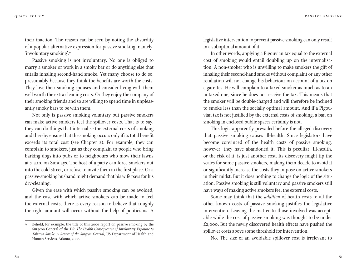their inaction. The reason can be seen by noting the absurdity of a popular alternative expression for passive smoking: namely, 'involuntary smoking'.9

Passive smoking is not involuntary. No one is obliged to marry a smoker or work in a smoky bar or do anything else that entails inhaling second-hand smoke. Yet many choose to do so, presumably because they think the benefits are worth the costs. They love their smoking spouses and consider living with them well worth the extra cleaning costs. Or they enjoy the company of their smoking friends and so are willing to spend time in unpleasantly smoky bars to be with them.

Not only is passive smoking voluntary but passive smokers can make active smokers feel the spillover costs. That is to say, they can do things that internalise the external costs of smoking and thereby ensure that the smoking occurs only if its total benefit exceeds its total cost (see Chapter 2). For example, they can complain to smokers, just as they complain to people who bring barking dogs into pubs or to neighbours who mow their lawns at 7 a.m. on Sundays. The host of a party can force smokers out into the cold street, or refuse to invite them in the first place. Or a passive-smoking husband might demand that his wife pays for his dry-cleaning.

Given the ease with which passive smoking can be avoided, and the ease with which active smokers can be made to feel the external costs, there is every reason to believe that roughly the right amount will occur without the help of politicians. A

legislative intervention to prevent passive smoking can only result in a suboptimal amount of it.

In other words, applying a Pigouvian tax equal to the external cost of smoking would entail doubling up on the internalisation. A non-smoker who is unwilling to make smokers the gift of inhaling their second-hand smoke without complaint or any other retaliation will not change his behaviour on account of a tax on cigarettes. He will complain to a taxed smoker as much as to an untaxed one, since he does not receive the tax. This means that the smoker will be double-charged and will therefore be inclined to smoke less than the socially optimal amount. And if a Pigouvian tax is not justified by the external costs of smoking, a ban on smoking in enclosed public spaces certainly is not.

This logic apparently prevailed before the alleged discovery that passive smoking causes ill-health. Since legislators have become convinced of the health costs of passive smoking, however, they have abandoned it. This is peculiar. Ill-health, or the risk of it, is just another cost. Its discovery might tip the scales for some passive smokers, making them decide to avoid it or significantly increase the costs they impose on active smokers in their midst. But it does nothing to change the logic of the situation. Passive smoking is still voluntary and passive smokers still have ways of making active smokers feel the external costs.

Some may think that the addition of health costs to all the other known costs of passive smoking justifies the legislative intervention. Leaving the matter to those involved was acceptable while the cost of passive smoking was thought to be under £2,000. But the newly discovered health effects have pushed the spillover costs above some threshold for intervention.

No. The size of an avoidable spillover cost is irrelevant to

<sup>9</sup> Behold, for example, the title of this 2006 report on passive smoking by the Surgeon General of the US: The Health Consequences of Involuntary Exposure to Tobacco Smoke: A Report of the Surgeon General, US Department of Health and Human Services, Atlanta, 2006.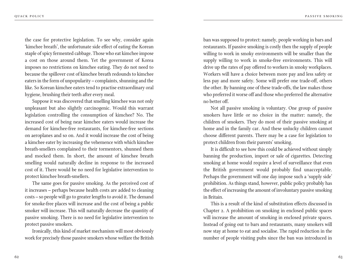the case for protective legislation. To see why, consider again 'kimchee breath', the unfortunate side effect of eating the Korean staple of spicy fermented cabbage. Those who eat kimchee impose a cost on those around them. Yet the government of Korea imposes no restrictions on kimchee eating. They do not need to because the spillover cost of kimchee breath redounds to kimchee eaters in the form of unpopularity – complaints, shunning and the like. So Korean kimchee eaters tend to practise extraordinary oral hygiene, brushing their teeth after every meal.

Suppose it was discovered that smelling kimchee was not only unpleasant but also slightly carcinogenic. Would this warrant legislation controlling the consumption of kimchee? No. The increased cost of being near kimchee eaters would increase the demand for kimchee-free restaurants, for kimchee-free sections on aeroplanes and so on. And it would increase the cost of being a kimchee eater by increasing the vehemence with which kimchee breath-smellers complained to their tormentors, shunned them and mocked them. In short, the amount of kimchee breath smelling would naturally decline in response to the increased cost of it. There would be no need for legislative intervention to protect kimchee breath-smellers.

The same goes for passive smoking. As the perceived cost of it increases – perhaps because health costs are added to cleaning costs – so people will go to greater lengths to avoid it. The demand for smoke-free places will increase and the cost of being a public smoker will increase. This will naturally decrease the quantity of passive smoking. There is no need for legislative intervention to protect passive smokers.

Ironically, this kind of market mechanism will most obviously work for precisely those passive smokers whose welfare the British

ban was supposed to protect: namely, people working in bars and restaurants. If passive smoking is costly then the supply of people willing to work in smoky environments will be smaller than the supply willing to work in smoke-free environments. This will drive up the rates of pay offered to workers in smoky workplaces. Workers will have a choice between more pay and less safety or less pay and more safety. Some will prefer one trade-off, others the other. By banning one of these trade-offs, the law makes those who preferred it worse off and those who preferred the alternative no better off.

Not all passive smoking is voluntary. One group of passive smokers have little or no choice in the matter: namely, the children of smokers. They do most of their passive smoking at home and in the family car. And these unlucky children cannot choose different parents. There may be a case for legislation to protect children from their parents' smoking.

It is difficult to see how this could be achieved without simply banning the production, import or sale of cigarettes. Detecting smoking at home would require a level of surveillance that even the British government would probably find unacceptable. Perhaps the government will one day impose such a 'supply side' prohibition. As things stand, however, public policy probably has the effect of increasing the amount of involuntary passive smoking in Britain.

This is a result of the kind of substitution effects discussed in Chapter 2. A prohibition on smoking in enclosed public spaces will increase the amount of smoking in enclosed private spaces. Instead of going out to bars and restaurants, many smokers will now stay at home to eat and socialise. The rapid reduction in the number of people visiting pubs since the ban was introduced in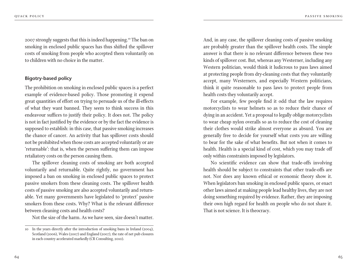2007 strongly suggests that this is indeed happening.10 The ban on smoking in enclosed public spaces has thus shifted the spillover costs of smoking from people who accepted them voluntarily on to children with no choice in the matter.

#### **Bigotry-based policy**

The prohibition on smoking in enclosed public spaces is a perfect example of evidence-based policy. Those promoting it expend great quantities of effort on trying to persuade us of the ill-effects of what they want banned. They seem to think success in this endeavour suffices to justify their policy. It does not. The policy is not in fact justified by the evidence or by the fact the evidence is supposed to establish: in this case, that passive smoking increases the chance of cancer. An activity that has spillover costs should not be prohibited when those costs are accepted voluntarily or are 'returnable': that is, when the person suffering them can impose retaliatory costs on the person causing them.

The spillover cleaning costs of smoking are both accepted voluntarily and returnable. Quite rightly, no government has imposed a ban on smoking in enclosed public spaces to protect passive smokers from these cleaning costs. The spillover health costs of passive smoking are also accepted voluntarily and returnable. Yet many governments have legislated to 'protect' passive smokers from these costs. Why? What is the relevant difference between cleaning costs and health costs?

Not the size of the harm. As we have seen, size doesn't matter.

And, in any case, the spillover cleaning costs of passive smoking are probably greater than the spillover health costs. The simple answer is that there is no relevant difference between these two kinds of spillover cost. But, whereas any Westerner, including any Western politician, would think it ludicrous to pass laws aimed at protecting people from dry-cleaning costs that they voluntarily accept, many Westerners, and especially Western politicians, think it quite reasonable to pass laws to protect people from health costs they voluntarily accept.

For example, few people find it odd that the law requires motorcyclists to wear helmets so as to reduce their chance of dying in an accident. Yet a proposal to legally oblige motorcyclists to wear cheap nylon overalls so as to reduce the cost of cleaning their clothes would strike almost everyone as absurd. You are generally free to decide for yourself what costs you are willing to bear for the sake of what benefits. But not when it comes to health. Health is a special kind of cost, which you may trade off only within constraints imposed by legislators.

No scientific evidence can show that trade-offs involving health should be subject to constraints that other trade-offs are not. Nor does any known ethical or economic theory show it. When legislators ban smoking in enclosed public spaces, or enact other laws aimed at making people lead healthy lives, they are not doing something required by evidence. Rather, they are imposing their own high regard for health on people who do not share it. That is not science. It is theocracy.

<sup>10</sup> In the years directly after the introduction of smoking bans in Ireland (2004), Scotland (2006), Wales (2007) and England (2007), the rate of net pub closures in each country accelerated markedly (CR Consulting, 2010).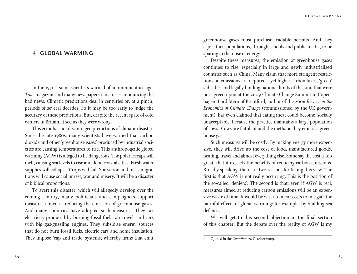## 4 **GLOBAL WARMING**

In the 1970s, some scientists warned of an imminent ice age. Time magazine and many newspapers ran stories announcing the bad news. Climatic predictions deal in centuries or, at a pinch, periods of several decades. So it may be too early to judge the accuracy of these predictions. But, despite the recent spate of cold winters in Britain, it seems they were wrong.

This error has not discouraged predictions of climatic disaster. Since the late 1980s, many scientists have warned that carbon dioxide and other 'greenhouse gases' produced by industrial societies are causing temperatures to rise. This anthropogenic global warming (AGW) is alleged to be dangerous. The polar icecaps will melt, causing sea levels to rise and flood coastal cities. Fresh water supplies will collapse. Crops will fail. Starvation and mass migrations will cause social unrest, war and misery. It will be a disaster of biblical proportions.

To avert this disaster, which will allegedly develop over the coming century, many politicians and campaigners support measures aimed at reducing the emission of greenhouse gases. And many countries have adopted such measures. They tax electricity produced by burning fossil fuels, air travel, and cars with big gas-guzzling engines. They subsidise energy sources that do not burn fossil fuels, electric cars and home insulation. They impose 'cap and trade' systems, whereby firms that emit

greenhouse gases must purchase tradable permits. And they cajole their populations, through schools and public media, to be sparing in their use of energy.

Despite these measures, the emission of greenhouse gases continues to rise, especially in large and newly industrialised countries such as China. Many claim that more stringent restrictions on emissions are required – yet higher carbon taxes, 'green' subsidies and legally binding national limits of the kind that were not agreed upon at the 2009 Climate Change Summit in Copenhagen. Lord Stern of Brentford, author of the 2006 Review on the Economics of Climate Change (commissioned by the UK government), has even claimed that eating meat could become 'socially unacceptable' because the practice maintains a large population of cows.1 Cows are flatulent and the methane they emit is a greenhouse gas.

Such measures will be costly. By making energy more expensive, they will drive up the cost of food, manufactured goods, heating, travel and almost everything else. Some say the cost is too great, that it exceeds the benefits of reducing carbon emissions. Broadly speaking, there are two reasons for taking this view. The first is that AGW is not really occurring. This is the position of the so-called 'deniers'. The second is that, even if AGW is real, measures aimed at reducing carbon emissions will be an expensive waste of time. It would be wiser to incur costs to mitigate the harmful effects of global warming: for example, by building sea defences.

We will get to this second objection in the final section of this chapter. But the debate over the reality of AGW is my

Ouoted in the *Guardian*, 26 October 2009.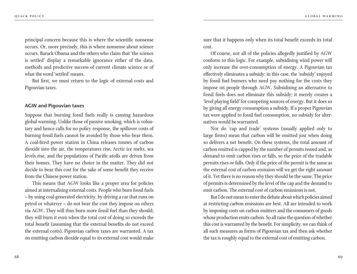principal concern because this is where the scientific nonsense occurs. Or, more precisely, this is where nonsense about science occurs. Barack Obama and the others who claim that 'the science is settled' display a remarkable ignorance either of the data, methods and predictive success of current climate science or of what the word 'settled' means.

But first, we must return to the logic of external costs and Pigouvian taxes.

#### **AGW and Pigouvian taxes**

Suppose that burning fossil fuels really is causing hazardous global warming. Unlike those of passive smoking, which is voluntary and hence calls for no policy response, the spillover costs of burning fossil fuels cannot be avoided by those who bear them. A coal-fired power station in China releases tonnes of carbon dioxide into the air, the temperatures rise, Arctic ice melts, sea levels rise, and the populations of Pacific atolls are driven from their homes. They have no choice in the matter. They did not decide to bear this cost for the sake of some benefit they receive from the Chinese power station.

This means that AGW looks like a proper area for policies aimed at internalising external costs. People who burn fossil fuels – by using coal-generated electricity, by driving a car that runs on petrol or whatever – do not bear the cost they impose on others via AGW. They will thus burn more fossil fuel than they should; they will burn it even when the total cost of doing so exceeds the total benefit (assuming that the external benefits do not exceed the external costs). Pigouvian carbon taxes are warranted. A tax on emitting carbon dioxide equal to its external cost would make sure that it happens only when its total benefit exceeds its total cost.

Of course, not all of the policies allegedly justified by AGW conform to this logic. For example, subsidising wind power will only increase the over-consumption of energy. A Pigouvian tax effectively eliminates a subsidy: in this case, the 'subsidy' enjoyed by fossil fuel burners who need pay nothing for the costs they impose on people through AGW. Subsidising an alternative to fossil fuels does not eliminate this subsidy; it merely creates a 'level playing field' for competing sources of energy. But it does so by giving all energy consumption a subsidy. If a proper Pigouvian tax were applied to fossil fuel consumption, no subsidy for alternatives would be warranted.

Nor do 'cap and trade' systems (usually applied only to large firms) mean that carbon will be emitted just when doing so delivers a net benefit. On these systems, the total amount of carbon emitted is capped by the number of permits issued and, as demand to emit carbon rises or falls, so the price of the tradable permits rises or falls. Only if the price of the permit is the same as the external cost of carbon emission will we get the right amount of it. Yet there is no reason why they should be the same. The price of permits is determined by the level of the cap and the demand to emit carbon. The external cost of carbon emissions is not.

But I do not mean to enter the debate about which policies aimed at restricting carbon emissions are best. All are intended to work by imposing costs on carbon emitters and the consumers of goods whose production emits carbon. So all raise the question of whether this cost is warranted by the benefit. For simplicity, we can think of all such measures as forms of Pigouvian tax and then ask whether the tax is roughly equal to the external cost of emitting carbon.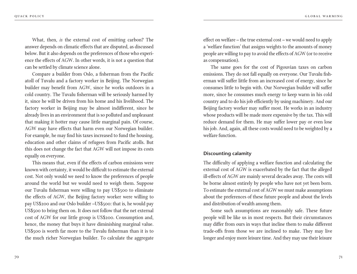What, then, is the external cost of emitting carbon? The answer depends on climatic effects that are disputed, as discussed below. But it also depends on the preferences of those who experience the effects of AGW. In other words, it is not a question that can be settled by climate science alone.

Compare a builder from Oslo, a fisherman from the Pacific atoll of Tuvalu and a factory worker in Beijing. The Norwegian builder may benefit from AGW, since he works outdoors in a cold country. The Tuvalu fisherman will be seriously harmed by it, since he will be driven from his home and his livelihood. The factory worker in Beijing may be almost indifferent, since he already lives in an environment that is so polluted and unpleasant that making it hotter may cause little marginal pain. Of course, AGW may have effects that harm even our Norwegian builder. For example, he may find his taxes increased to fund the housing, education and other claims of refugees from Pacific atolls. But this does not change the fact that AGW will not impose its costs equally on everyone.

This means that, even if the effects of carbon emissions were known with certainty, it would be difficult to estimate the external cost. Not only would we need to know the preferences of people around the world but we would need to weigh them. Suppose our Tuvalu fisherman were willing to pay US\$500 to eliminate the effects of AGW, the Beijing factory worker were willing to pay US\$200 and our Oslo builder –US\$500: that is, he would pay US\$500 to bring them on. It does not follow that the net external cost of AGW for our little group is US\$200. Consumption and, hence, the money that buys it have diminishing marginal value. US\$500 is worth far more to the Tuvalu fisherman than it is to the much richer Norwegian builder. To calculate the aggregate effect on welfare – the true external cost – we would need to apply a 'welfare function' that assigns weights to the amounts of money people are willing to pay to avoid the effects of AGW (or to receive as compensation).

The same goes for the cost of Pigouvian taxes on carbon emissions. They do not fall equally on everyone. Our Tuvalu fisherman will suffer little from an increased cost of energy, since he consumes little to begin with. Our Norwegian builder will suffer more, since he consumes much energy to keep warm in his cold country and to do his job efficiently by using machinery. And our Beijing factory worker may suffer most. He works in an industry whose products will be made more expensive by the tax. This will reduce demand for them. He may suffer lower pay or even lose his job. And, again, all these costs would need to be weighted by a welfare function.

#### **Discounting calamity**

The difficulty of applying a welfare function and calculating the external cost of AGW is exacerbated by the fact that the alleged ill-effects of AGW are mainly several decades away. The costs will be borne almost entirely by people who have not yet been born. To estimate the external cost of AGW we must make assumptions about the preferences of these future people and about the levels and distribution of wealth among them.

Some such assumptions are reasonably safe. These future people will be like us in most respects. But their circumstances may differ from ours in ways that incline them to make different trade-offs from those we are inclined to make. They may live longer and enjoy more leisure time. And they may use their leisure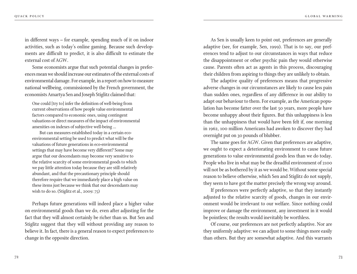in different ways – for example, spending much of it on indoor activities, such as today's online gaming. Because such developments are difficult to predict, it is also difficult to estimate the external cost of AGW.

Some economists argue that such potential changes in preferences mean we should increase our estimates of the external costs of environmental damage. For example, in a report on how to measure national wellbeing, commissioned by the French government, the economists Amartya Sen and Joseph Stiglitz claimed that:

One could [try to] infer the definition of well-being from current observations of how people value environmental factors compared to economic ones, using contingent valuations or direct measures of the impact of environmental amenities on indexes of subjective well-being …

But can measures established today in a certain ecoenvironmental setting be used to predict what will be the valuations of future generations in eco-environmental settings that may have become very different? Some may argue that our descendants may become very sensitive to the relative scarcity of some environmental goods to which we pay little attention today because they are still relatively abundant, and that the precautionary principle should therefore require that we immediately place a high value on these items just because we think that our descendants may wish to do so. (Stiglitz et al., 2009: 75)

Perhaps future generations will indeed place a higher value on environmental goods than we do, even after adjusting for the fact that they will almost certainly be richer than us. But Sen and Stiglitz suggest that they will without providing any reason to believe it. In fact, there is a general reason to expect preferences to change in the opposite direction.

As Sen is usually keen to point out, preferences are generally adaptive (see, for example, Sen, 1999). That is to say, our preferences tend to adjust to our circumstances in ways that reduce the disappointment or other psychic pain they would otherwise cause. Parents often act as agents in this process, discouraging their children from aspiring to things they are unlikely to obtain.

The adaptive quality of preferences means that progressive adverse changes in our circumstances are likely to cause less pain than sudden ones, regardless of any difference in our ability to adapt our behaviour to them. For example, as the American population has become fatter over the last 50 years, more people have become unhappy about their figures. But this unhappiness is less than the unhappiness that would have been felt if, one morning in 1962, 100 million Americans had awoken to discover they had overnight put on 30 pounds of blubber.

The same goes for AGW. Given that preferences are adaptive, we ought to expect a deteriorating environment to cause future generations to value environmental goods less than we do today. People who live in what may be the dreadful environment of 2100 will not be as bothered by it as we would be. Without some special reason to believe otherwise, which Sen and Stiglitz do not supply, they seem to have got the matter precisely the wrong way around.

If preferences were perfectly adaptive, so that they instantly adjusted to the relative scarcity of goods, changes in our environment would be irrelevant to our welfare. Since nothing could improve or damage the environment, any investment in it would be pointless; the results would inevitably be worthless.

Of course, our preferences are not perfectly adaptive. Nor are they uniformly adaptive: we can adjust to some things more easily than others. But they are somewhat adaptive. And this warrants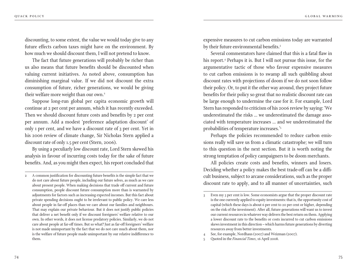discounting, to some extent, the value we would today give to any future effects carbon taxes might have on the environment. By how much we should discount them, I will not pretend to know.

The fact that future generations will probably be richer than us also means that future benefits should be discounted when valuing current initiatives. As noted above, consumption has diminishing marginal value. If we did not discount the extra consumption of future, richer generations, we would be giving their welfare more weight than our own.<sup>2</sup>

Suppose long-run global per capita economic growth will continue at 2 per cent per annum, which it has recently exceeded. Then we should discount future costs and benefits by 2 per cent per annum. Add a modest 'preference adaptation discount' of only 1 per cent, and we have a discount rate of 3 per cent. Yet in his 2006 review of climate change, Sir Nicholas Stern applied a discount rate of only 1.5 per cent (Stern, 2006).

By using a peculiarly low discount rate, Lord Stern skewed his analysis in favour of incurring costs today for the sake of future benefits. And, as you might then expect, his report concluded that

expensive measures to cut carbon emissions today are warranted by their future environmental benefits.<sup>3</sup>

Several commentators have claimed that this is a fatal flaw in his report.4 Perhaps it is. But I will not pursue this issue, for the argumentative tactic of those who favour expensive measures to cut carbon emissions is to swamp all such quibbling about discount rates with projections of doom if we do not soon follow their policy. Or, to put it the other way around, they project future benefits for their policy so great that no realistic discount rate can be large enough to undermine the case for it. For example, Lord Stern has responded to criticism of his 2006 review by saying: 'We underestimated the risks … we underestimated the damage associated with temperature increases … and we underestimated the probabilities of temperature increases.'5

Perhaps the policies recommended to reduce carbon emissions really will save us from a climatic catastrophe; we will turn to this question in the next section. But it is worth noting the strong temptation of policy campaigners to be doom merchants.

All policies create costs and benefits, winners and losers. Deciding whether a policy makes the best trade-off can be a difficult business, subject to arcane considerations, such as the proper discount rate to apply, and to all manner of uncertainties, such

<sup>2</sup> A common justification for discounting future benefits is the simple fact that we do not care about future people, including our future selves, as much as we care about present people. When making decisions that trade off current and future consumption, people discount future consumption more than is warranted by adjustments for factors such as increasing expected incomes. But this fact about private spending decisions ought to be irrelevant to public policy. We care less about people in far-off places than we care about our families and neighbours. That may explain our private behaviour. But it does not justify public policies that deliver a net benefit only if we discount foreigners' welfare relative to our own. In other words, it does not license predatory policies. Similarly, we do not care about people at far-off times. But so what? Just as far-off foreigners' welfare is not made unimportant by the fact that we do not care much about them, nor is the welfare of future people made unimportant by our relative indifference to them.

<sup>3</sup> Even my 3 per cent is low. Some economists argue that the proper discount rate is the one currently applied to equity investments: that is, the opportunity cost of capital (which these days is about 6 per cent to 20 per cent or higher, depending on the risk of the investment). After all, future generations will want us to invest our current resources in whatever way delivers the best return on them. Applying a lower discount rate to the benefits or costs incurred to cut carbon emissions skews investment in this direction – which harms future generations by diverting resources away from better investments.

See, for example, Nordhaus (2007) and Weizman (2007).

<sup>5</sup> Quoted in the Financial Times, 16 April 2008.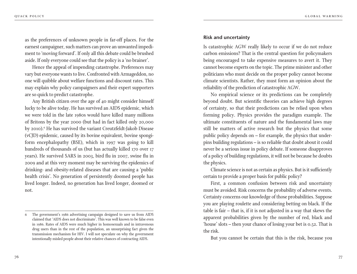as the preferences of unknown people in far-off places. For the earnest campaigner, such matters can prove an unwanted impediment to 'moving forward'. If only all this debate could be brushed aside. If only everyone could see that the policy is a 'no brainer'.

Hence the appeal of impending catastrophe. Preferences may vary but everyone wants to live. Confronted with Armageddon, no one will quibble about welfare functions and discount rates. This may explain why policy campaigners and their expert supporters are so quick to predict catastrophe.

Any British citizen over the age of 40 might consider himself lucky to be alive today. He has survived an AIDS epidemic, which we were told in the late 1980s would have killed many millions of Britons by the year 2000 (but had in fact killed only 20,000 by 2010).<sup>6</sup> He has survived the variant Creutzfeldt-Jakob Disease (vCJD) epidemic, caused by its bovine equivalent, bovine spongiform encephalopathy (BSE), which in 1997 was going to kill hundreds of thousands of us (but has actually killed 170 over 17 years). He survived SARS in 2003, bird flu in 2007, swine flu in 2009 and at this very moment may be surviving the epidemics of drinking- and obesity-related diseases that are causing a 'public health crisis'. No generation of persistently doomed people has lived longer. Indeed, no generation has lived longer, doomed or not.

# **Risk and uncertainty**

Is catastrophic AGW really likely to occur if we do not reduce carbon emissions? That is the central question for policymakers being encouraged to take expensive measures to avert it. They cannot become experts on the topic. The prime minister and other politicians who must decide on the proper policy cannot become climate scientists. Rather, they must form an opinion about the reliability of the prediction of catastrophic AGW.

No empirical science or its predictions can be completely beyond doubt. But scientific theories can achieve high degrees of certainty, so that their predictions can be relied upon when forming policy. Physics provides the paradigm example. The ultimate constituents of nature and the fundamental laws may still be matters of active research but the physics that some public policy depends on – for example, the physics that underpins building regulations – is so reliable that doubt about it could never be a serious issue in policy debate. If someone disapproves of a policy of building regulations, it will not be because he doubts the physics.

Climate science is not as certain as physics. But is it sufficiently certain to provide a proper basis for public policy?

First, a common confusion between risk and uncertainty must be avoided. Risk concerns the probability of adverse events. Certainty concerns our knowledge of those probabilities. Suppose you are playing roulette and considering betting on black. If the table is fair – that is, if it is not adjusted in a way that skews the apparent probabilities given by the number of red, black and 'house' slots – then your chance of losing your bet is 0.52. That is the risk.

But you cannot be certain that this is the risk, because you

<sup>6</sup> The government's 1986 advertising campaign designed to save us from AIDS claimed that 'AIDS does not discriminate'. This was well known to be false even in 1986. Rates of AIDS were much higher in homosexuals and in intravenous drug users than in the rest of the population, an unsurprising fact given the transmission mechanism for HIV. I will not speculate on why the government intentionally misled people about their relative chances of contracting AIDS.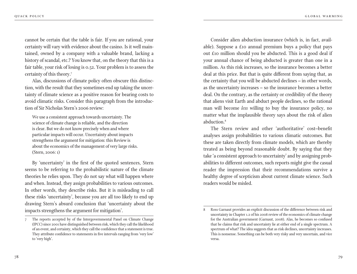cannot be certain that the table is fair. If you are rational, your certainty will vary with evidence about the casino. Is it well maintained, owned by a company with a valuable brand, lacking a history of scandal, etc.? You know that, on the theory that this is a fair table, your risk of losing is 0.52. Your problem is to assess the certainty of this theory.7

Alas, discussions of climate policy often obscure this distinction, with the result that they sometimes end up taking the uncertainty of climate science as a positive reason for bearing costs to avoid climatic risks. Consider this paragraph from the introduction of Sir Nicholas Stern's 2006 review:

We use a consistent approach towards uncertainty. The science of climate change is reliable, and the direction is clear. But we do not know precisely when and where particular impacts will occur. Uncertainty about impacts strengthens the argument for mitigation: this Review is about the economics of the management of very large risks. (Stern, 2006: 1)

By 'uncertainty' in the first of the quoted sentences, Stern seems to be referring to the probabilistic nature of the climate theories he relies upon. They do not say what will happen where and when. Instead, they assign probabilities to various outcomes. In other words, they describe risks. But it is misleading to call these risks 'uncertainty', because you are all too likely to end up drawing Stern's absurd conclusion that 'uncertainty about the impacts strengthens the argument for mitigation'.

Consider alien abduction insurance (which is, in fact, available). Suppose a £10 annual premium buys a policy that pays out £10 million should you be abducted. This is a good deal if your annual chance of being abducted is greater than one in a million. As this risk increases, so the insurance becomes a better deal at this price. But that is quite different from saying that, as the certainty that you will be abducted declines – in other words, as the uncertainty increases – so the insurance becomes a better deal. On the contrary, as the certainty or credibility of the theory that aliens visit Earth and abduct people declines, so the rational man will become less willing to buy the insurance policy, no matter what the implausible theory says about the risk of alien abduction.<sup>8</sup>

The Stern review and other 'authoritative' cost–benefit analyses assign probabilities to various climatic outcomes. But these are taken directly from climate models, which are thereby treated as being beyond reasonable doubt. By saying that they take 'a consistent approach to uncertainty' and by assigning probabilities to different outcomes, such reports might give the casual reader the impression that their recommendations survive a healthy degree of scepticism about current climate science. Such readers would be misled.

The reports accepted by of the Intergovernmental Panel on Climate Change (IPCC) since 2001 have distinguished between risk, which they call the likelihood of an event, and certainty, which they call the confidence that a statement is true. They attribute confidence to statements in five intervals ranging from 'very low' to 'very high'.

<sup>8</sup> Ross Garnaut provides an explicit discussion of the difference between risk and uncertainty in Chapter 1.2 of his 2008 review of the economics of climate change for the Australian government (Garnaut, 2008). Alas, he becomes so confused that he claims that risk and uncertainty lie at either end of a single spectrum. A spectrum of what? The idea suggests that as risk declines, uncertainty increases. This is nonsense. Something can be both very risky and very uncertain, and vice versa.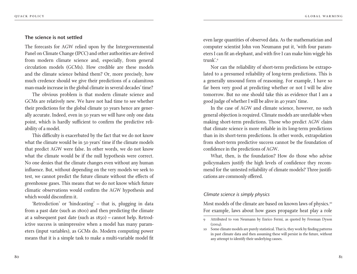#### **The science is not settled**

The forecasts for AGW relied upon by the Intergovernmental Panel on Climate Change (IPCC) and other authorities are derived from modern climate science and, especially, from general circulation models (GCMs). How credible are these models and the climate science behind them? Or, more precisely, how much credence should we give their predictions of a calamitous man-made increase in the global climate in several decades' time?

The obvious problem is that modern climate science and GCMs are relatively new. We have not had time to see whether their predictions for the global climate 50 years hence are generally accurate. Indeed, even in 50 years we will have only one data point, which is hardly sufficient to confirm the predictive reliability of a model.

This difficulty is exacerbated by the fact that we do not know what the climate would be in 50 years' time if the climate models that predict AGW were false. In other words, we do not know what the climate would be if the null hypothesis were correct. No one denies that the climate changes even without any human influence. But, without depending on the very models we seek to test, we cannot predict the future climate without the effects of greenhouse gases. This means that we do not know which future climatic observations would confirm the AGW hypothesis and which would disconfirm it.

'Retrodiction' or 'hindcasting' – that is, plugging in data from a past date (such as 1800) and then predicting the climate at a subsequent past date (such as 1850) – cannot help. Retrodictive success is unimpressive when a model has many parameters (input variables), as GCMs do. Modern computing power means that it is a simple task to make a multi-variable model fit

even large quantities of observed data. As the mathematician and computer scientist John von Neumann put it, 'with four parameters I can fit an elephant, and with five I can make him wiggle his trunk'.9

Nor can the reliability of short-term predictions be extrapolated to a presumed reliability of long-term predictions. This is a generally unsound form of reasoning. For example, I have so far been very good at predicting whether or not I will be alive tomorrow. But no one should take this as evidence that I am a good judge of whether I will be alive in 40 years' time.

In the case of AGW and climate science, however, no such general objection is required. Climate models are unreliable when making short-term predictions. Those who predict AGW claim that climate science is more reliable in its long-term predictions than in its short-term predictions. In other words, extrapolation from short-term predictive success cannot be the foundation of confidence in the predictions of AGW.

What, then, is the foundation? How do those who advise policymakers justify the high levels of confidence they recommend for the untested reliability of climate models? Three justifications are commonly offered.

# *Climate science is simply physics*

Most models of the climate are based on known laws of physics.<sup>10</sup> For example, laws about how gases propagate heat play a role

<sup>9</sup> Attributed to von Neumann by [Enrico Fermi](http://en.wikiquote.org/wiki/Enrico_Fermi), as quoted by Freeman Dyson  $(2004)$ .

<sup>10</sup> Some climate models are purely statistical. That is, they work by finding patterns in past climate data and then assuming these will persist in the future, without any attempt to identify their underlying causes.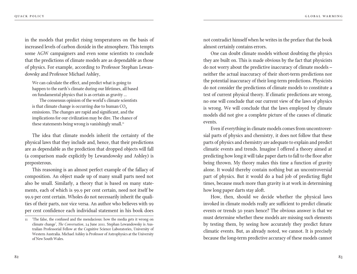in the models that predict rising temperatures on the basis of increased levels of carbon dioxide in the atmosphere. This tempts some AGW campaigners and even some scientists to conclude that the predictions of climate models are as dependable as those of physics. For example, according to Professor Stephan Lewandowsky and Professor Michael Ashley,

We can calculate the effect, and predict what is going to happen to the earth's climate during our lifetimes, all based on fundamental physics that is as certain as gravity …

The consensus opinion of the world's climate scientists is that climate change is occurring due to human  $CO<sub>2</sub>$ emissions. The changes are rapid and significant, and the implications for our civilization may be dire. The chance of these statements being wrong is vanishingly small. $11$ 

The idea that climate models inherit the certainty of the physical laws that they include and, hence, that their predictions are as dependable as the prediction that dropped objects will fall (a comparison made explicitly by Lewandowsky and Ashley) is preposterous.

This reasoning is an almost perfect example of the fallacy of composition. An object made up of many small parts need not also be small. Similarly, a theory that is based on many statements, each of which is 99.9 per cent certain, need not itself be 99.9 per cent certain. Wholes do not necessarily inherit the qualities of their parts, nor vice versa. An author who believes with 99 per cent confidence each individual statement in his book does

not contradict himself when he writes in the preface that the book almost certainly contains errors.

One can doubt climate models without doubting the physics they are built on. This is made obvious by the fact that physicists do not worry about the predictive inaccuracy of climate models – neither the actual inaccuracy of their short-term predictions nor the potential inaccuracy of their long-term predictions. Physicists do not consider the predictions of climate models to constitute a test of current physical theory. If climatic predictions are wrong, no one will conclude that our current view of the laws of physics is wrong. We will conclude that the laws employed by climate models did not give a complete picture of the causes of climatic events.

Even if everything in climate models comes from uncontroversial parts of physics and chemistry, it does not follow that these parts of physics and chemistry are adequate to explain and predict climatic events and trends. Imagine I offered a theory aimed at predicting how long it will take paper darts to fall to the floor after being thrown. My theory makes this time a function of gravity alone. It would thereby contain nothing but an uncontroversial part of physics. But it would do a bad job of predicting flight times, because much more than gravity is at work in determining how long paper darts stay aloft.

How, then, should we decide whether the physical laws invoked in climate models really are sufficient to predict climatic events or trends 50 years hence? The obvious answer is that we must determine whether these models are missing such elements by testing them, by seeing how accurately they predict future climatic events. But, as already noted, we cannot. It is precisely because the long-term predictive accuracy of these models cannot

<sup>11</sup> 'The false, the confused and the mendacious: how the media gets it wrong on climate change', The Conversation, 24 June 2011. Stephan Lewandowsky is Australian Professorial Fellow at the Cognitive Science Laboratories, University of Western Australia. Michael Ashley is Professor of Astrophysics at the University of New South Wales.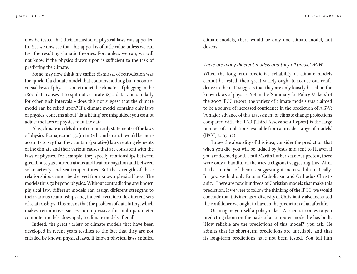now be tested that their inclusion of physical laws was appealed to. Yet we now see that this appeal is of little value unless we can test the resulting climatic theories. For, unless we can, we will not know if the physics drawn upon is sufficient to the task of predicting the climate.

Some may now think my earlier dismissal of retrodiction was too quick. If a climate model that contains nothing but uncontroversial laws of physics can retrodict the climate – if plugging in the 1800 data causes it to spit out accurate 1850 data, and similarly for other such intervals – does this not suggest that the climate model can be relied upon? If a climate model contains only laws of physics, concerns about 'data fitting' are misguided; you cannot adjust the laws of physics to fit the data.

Alas, climate models do not contain only statements of the laws of physics: F=ma, e=mc<sup>2</sup>, g=(m+m)/d<sup>2</sup>, and so on. It would be more accurate to say that they contain (putative) laws relating elements of the climate and their various causes that are consistent with the laws of physics. For example, they specify relationships between greenhouse gas concentrations and heat propagation and between solar activity and sea temperatures. But the strength of these relationships cannot be derived from known physical laws. The models thus go beyond physics. Without contradicting any known physical law, different models can assign different strengths to their various relationships and, indeed, even include different sets of relationships. This means that the problem of data fitting, which makes retrodictive success unimpressive for multi-parameter computer models, does apply to climate models after all.

Indeed, the great variety of climate models that have been developed in recent years testifies to the fact that they are not entailed by known physical laws. If known physical laws entailed

climate models, there would be only one climate model, not dozens.

#### *There are many different models and they all predict AGW*

When the long-term predictive reliability of climate models cannot be tested, their great variety ought to reduce our confidence in them. It suggests that they are only loosely based on the known laws of physics. Yet in the 'Summary for Policy Makers' of the 2007 IPCC report, the variety of climate models was claimed to be a source of increased confidence in the prediction of AGW: 'A major advance of this assessment of climate change projections compared with the TAR [Third Assessment Report] is the large number of simulations available from a broader range of models' (IPCC, 2007: 12).

To see the absurdity of this idea, consider the prediction that when you die, you will be judged by Jesus and sent to Heaven if you are deemed good. Until Martin Luther's famous protest, there were only a handful of theories (religions) suggesting this. After it, the number of theories suggesting it increased dramatically. In 1300 we had only Roman Catholicism and Orthodox Christianity. There are now hundreds of Christian models that make this prediction. If we were to follow the thinking of the IPCC, we would conclude that this increased diversity of Christianity also increased the confidence we ought to have in the prediction of an afterlife.

Or imagine yourself a policymaker. A scientist comes to you predicting doom on the basis of a computer model he has built. 'How reliable are the predictions of this model?' you ask. He admits that its short-term predictions are unreliable and that its long-term predictions have not been tested. You tell him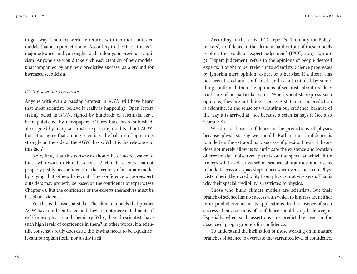to go away. The next week he returns with ten more untested models that also predict doom. According to the IPCC, this is 'a major advance' and you ought to abandon your previous scepticism. Anyone else would take such easy creation of new models, unaccompanied by any new predictive success, as a ground for increased scepticism.

#### *It's the scientific consensus*

Anyone with even a passing interest in AGW will have heard that most scientists believe it really is happening. Open letters stating belief in AGW, signed by hundreds of scientists, have been published by newspapers. Others have been published, also signed by many scientists, expressing doubts about AGW. But let us agree that among scientists, the balance of opinion is strongly on the side of the AGW thesis. What is the relevance of this fact?

Note, first, that this consensus should be of no relevance to those who work in climate science. A climate scientist cannot properly justify his confidence in the accuracy of a climate model by saying that others believe it. The confidence of non-expert outsiders may properly be based on the confidence of experts (see Chapter 6). But the confidence of the experts themselves must be based on evidence.

Yet this is the issue at stake. The climate models that predict AGW have not been tested and they are not mere entailments of well-known physics and chemistry. Why, then, do scientists have such high levels of confidence in them? In other words, if a scientific consensus really does exist, this is what needs to be explained. It cannot explain itself, nor justify itself.

According to the 2007 IPCC report's 'Summary for Policymakers', confidence in the elements and output of these models is often the result of 'expert judgement' (IPCC, 2007: 2, note 5). 'Expert judgement' refers to the opinions of people deemed experts. It ought to be irrelevant to scientists. Science progresses by ignoring mere opinion, expert or otherwise. If a theory has not been tested and confirmed, and is not entailed by something confirmed, then the opinions of scientists about its likely truth are of no particular value. When scientists express such opinions, they are not doing science. A statement or prediction is scientific, in the sense of warranting our credence, because of the way it is arrived at, not because a scientist says it (see also Chapter 6).

We do not have confidence in the predictions of physics because physicists say we should. Rather, our confidence is founded on the extraordinary success of physics. Physical theory does not merely allow us to anticipate the existence and location of previously unobserved planets or the speed at which little trolleys will travel across school science laboratories; it allows us to build televisions, spaceships, microwave ovens and so on. Physicists inherit their credibility from physics, not vice versa. That is why their special credibility is restricted to physics.

Those who build climate models are scientists. But their branch of science has no success with which to impress us, neither in its predictions nor in its applications. In the absence of such success, their assertions of confidence should carry little weight. Especially when such assertions are predictable even in the absence of proper grounds for confidence.

To understand the inclination of those working on immature branches of science to overstate the warranted level of confidence,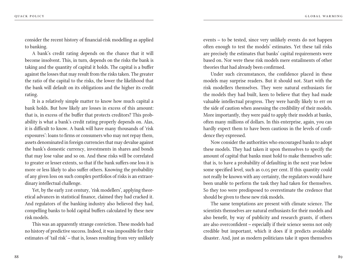consider the recent history of financial-risk modelling as applied to banking.

A bank's credit rating depends on the chance that it will become insolvent. This, in turn, depends on the risks the bank is taking and the quantity of capital it holds. The capital is a buffer against the losses that may result from the risks taken. The greater the ratio of the capital to the risks, the lower the likelihood that the bank will default on its obligations and the higher its credit rating.

It is a relatively simple matter to know how much capital a bank holds. But how likely are losses in excess of this amount: that is, in excess of the buffer that protects creditors? This probability is what a bank's credit rating properly depends on. Alas, it is difficult to know. A bank will have many thousands of 'risk exposures': loans to firms or consumers who may not repay them, assets denominated in foreign currencies that may devalue against the bank's domestic currency, investments in shares and bonds that may lose value and so on. And these risks will be correlated to greater or lesser extents, so that if the bank suffers one loss it is more or less likely to also suffer others. Knowing the probability of any given loss on such complex portfolios of risks is an extraordinary intellectual challenge.

Yet, by the early 21st century, 'risk modellers', applying theoretical advances in statistical finance, claimed they had cracked it. And regulators of the banking industry also believed they had, compelling banks to hold capital buffers calculated by these new risk models.

This was an apparently strange conviction. These models had no history of predictive success. Indeed, it was impossible for their estimates of 'tail risk' – that is, losses resulting from very unlikely events – to be tested, since very unlikely events do not happen often enough to test the models' estimates. Yet these tail risks are precisely the estimates that banks' capital requirements were based on. Nor were these risk models mere entailments of other theories that had already been confirmed.

Under such circumstances, the confidence placed in these models may surprise readers. But it should not. Start with the risk modellers themselves. They were natural enthusiasts for the models they had built, keen to believe that they had made valuable intellectual progress. They were hardly likely to err on the side of caution when assessing the credibility of their models. More importantly, they were paid to apply their models at banks, often many millions of dollars. In this enterprise, again, you can hardly expect them to have been cautious in the levels of confidence they expressed.

Now consider the authorities who encouraged banks to adopt these models. They had taken it upon themselves to specify the amount of capital that banks must hold to make themselves safe: that is, to have a probability of defaulting in the next year below some specified level, such as 0.05 per cent. If this quantity could not really be known with any certainty, the regulators would have been unable to perform the task they had taken for themselves. So they too were predisposed to overestimate the credence that should be given to these new risk models.

The same temptations are present with climate science. The scientists themselves are natural enthusiasts for their models and also benefit, by way of publicity and research grants, if others are also overconfident – especially if their science seems not only credible but important, which it does if it predicts avoidable disaster. And, just as modern politicians take it upon themselves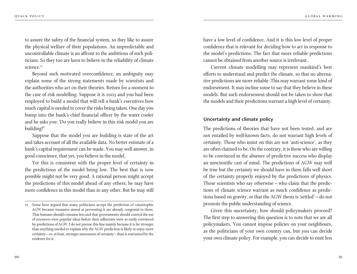to assure the safety of the financial system, so they like to assure the physical welfare of their populations. An unpredictable and uncontrollable climate is an affront to the ambitions of such politicians. So they too are keen to believe in the reliability of climate science<sup>12</sup>

Beyond such motivated overconfidence, an ambiguity may explain some of the strong statements made by scientists and the authorities who act on their theories. Return for a moment to the case of risk modelling. Suppose it is 2003 and you had been employed to build a model that will tell a bank's executives how much capital is needed to cover the risks being taken. One day you bump into the bank's chief financial officer by the water cooler and he asks you: 'Do you really believe in this risk model you are building?'

Suppose that the model you are building is state of the art and takes account of all the available data. No better estimate of a bank's capital requirement can be made. You may well answer, in good conscience, that yes, you believe in the model.

Yet this is consistent with the proper level of certainty in the predictions of the model being low. The best that is now possible might not be very good. A rational person might accept the predictions of this model ahead of any others; he may have more confidence in this model than in any other. But he may still have a low level of confidence. And it is this low level of proper confidence that is relevant for deciding how to act in response to the model's predictions. The fact that more reliable predictions cannot be obtained from another source is irrelevant.

Current climate modelling may represent mankind's best efforts to understand and predict the climate, so that no alternative predictions are more reliable. This may warrant some kind of endorsement. It may incline some to say that they believe in these models. But such endorsement should not be taken to show that the models and their predictions warrant a high level of certainty.

# **Uncertainty and climate policy**

The predictions of theories that have not been tested, and are not entailed by well-known facts, do not warrant high levels of certainty. Those who insist on this are not 'anti-science', as they are often claimed to be. On the contrary, it is those who are willing to be convinced in the absence of predictive success who display an unscientific cast of mind. The predictions of AGW may well be true but the certainty we should have in them falls well short of the certainty properly enjoyed by the predictions of physics. Those scientists who say otherwise – who claim that the predictions of climate science warrant as much confidence as predictions based on gravity, or that the AGW thesis is 'settled' – do not promote the public understanding of science.

Given this uncertainty, how should policymakers proceed? The first step to answering this question is to note that we are all policymakers. You cannot impose policies on your neighbours, as the politicians of your own country can, but you can decide your own climate policy. For example, you can decide to emit less

<sup>12</sup> Some have argued that many politicians accept the prediction of catastrophic AGW because measures aimed at preventing it are already congenial to them. That humans should consume less and that governments should control the use of resources were popular ideas before their adherents were so easily convinced by predictions of AGW. I do not pursue this line mainly because it is far stronger than anything needed to explain why the AGW prediction is likely to enjoy more certainty – or, at least, stronger statements of certainty – than is warranted by the evidence for it.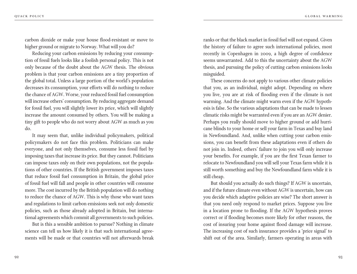carbon dioxide or make your house flood-resistant or move to higher ground or migrate to Norway. What will you do?

Reducing your carbon emissions by reducing your consumption of fossil fuels looks like a foolish personal policy. This is not only because of the doubt about the AGW thesis. The obvious problem is that your carbon emissions are a tiny proportion of the global total. Unless a large portion of the world's population decreases its consumption, your efforts will do nothing to reduce the chance of AGW. Worse, your reduced fossil fuel consumption will increase others' consumption. By reducing aggregate demand for fossil fuel, you will slightly lower its price, which will slightly increase the amount consumed by others. You will be making a tiny gift to people who do not worry about AGW as much as you do.

It may seem that, unlike individual policymakers, political policymakers do not face this problem. Politicians can make everyone, and not only themselves, consume less fossil fuel by imposing taxes that increase its price. But they cannot. Politicians can impose taxes only on their own populations, not the populations of other countries. If the British government imposes taxes that reduce fossil fuel consumption in Britain, the global price of fossil fuel will fall and people in other countries will consume more. The cost incurred by the British population will do nothing to reduce the chance of AGW. This is why those who want taxes and regulations to limit carbon emissions seek not only domestic policies, such as those already adopted in Britain, but international agreements which commit all governments to such policies.

But is this a sensible ambition to pursue? Nothing in climate science can tell us how likely it is that such international agreements will be made or that countries will not afterwards break ranks or that the black market in fossil fuel will not expand. Given the history of failure to agree such international policies, most recently in Copenhagen in 2009, a high degree of confidence seems unwarranted. Add to this the uncertainty about the AGW thesis, and pursuing the policy of cutting carbon emissions looks misguided.

These concerns do not apply to various other climate policies that you, as an individual, might adopt. Depending on where you live, you are at risk of flooding even if the climate is not warming. And the climate might warm even if the AGW hypothesis is false. So the various adaptations that can be made to lessen climatic risks might be warranted even if you are an AGW denier. Perhaps you really should move to higher ground or add hurricane blinds to your home or sell your farm in Texas and buy land in Newfoundland. And, unlike when cutting your carbon emissions, you can benefit from these adaptations even if others do not join in. Indeed, others' failure to join you will only increase your benefits. For example, if you are the first Texan farmer to relocate to Newfoundland you will sell your Texas farm while it is still worth something and buy the Newfoundland farm while it is still cheap.

But should you actually do such things? If AGW is uncertain, and if the future climate even without AGW is uncertain, how can you decide which adaptive policies are wise? The short answer is that you need only respond to market prices. Suppose you live in a location prone to flooding. If the AGW hypothesis proves correct or if flooding becomes more likely for other reasons, the cost of insuring your home against flood damage will increase. The increasing cost of such insurance provides a 'price signal' to shift out of the area. Similarly, farmers operating in areas with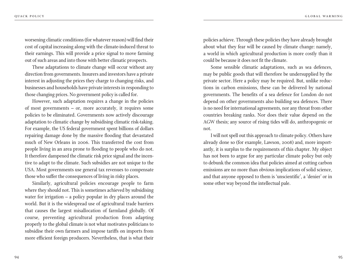worsening climatic conditions (for whatever reason) will find their cost of capital increasing along with the climate-induced threat to their earnings. This will provide a price signal to move farming out of such areas and into those with better climatic prospects.

These adaptations to climate change will occur without any direction from governments. Insurers and investors have a private interest in adjusting the prices they charge to changing risks, and businesses and households have private interests in responding to those changing prices. No government policy is called for.

However, such adaptation requires a change in the policies of most governments – or, more accurately, it requires some policies to be eliminated. Governments now actively discourage adaptation to climatic change by subsidising climatic risk-taking. For example, the US federal government spent billions of dollars repairing damage done by the massive flooding that devastated much of New Orleans in 2006. This transferred the cost from people living in an area prone to flooding to people who do not. It therefore dampened the climatic risk price signal and the incentive to adapt to the climate. Such subsidies are not unique to the USA. Most governments use general tax revenues to compensate those who suffer the consequences of living in risky places.

Similarly, agricultural policies encourage people to farm where they should not. This is sometimes achieved by subsidising water for irrigation – a policy popular in dry places around the world. But it is the widespread use of agricultural trade barriers that causes the largest misallocation of farmland globally. Of course, preventing agricultural production from adapting properly to the global climate is not what motivates politicians to subsidise their own farmers and impose tariffs on imports from more efficient foreign producers. Nevertheless, that is what their

policies achieve. Through these policies they have already brought about what they fear will be caused by climate change: namely, a world in which agricultural production is more costly than it could be because it does not fit the climate.

Some sensible climatic adaptations, such as sea defences, may be public goods that will therefore be undersupplied by the private sector. Here a policy may be required. But, unlike reductions in carbon emissions, these can be delivered by national governments. The benefits of a sea defence for London do not depend on other governments also building sea defences. There is no need for international agreements, nor any threat from other countries breaking ranks. Nor does their value depend on the AGW thesis; any source of rising tides will do, anthropogenic or not.

I will not spell out this approach to climate policy. Others have already done so (for example, Lawson, 2008) and, more importantly, it is surplus to the requirements of this chapter. My object has not been to argue for any particular climate policy but only to debunk the common idea that policies aimed at cutting carbon emissions are no more than obvious implications of solid science, and that anyone opposed to them is 'unscientific', a 'denier' or in some other way beyond the intellectual pale.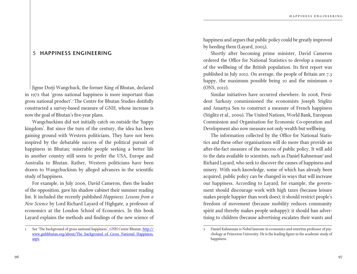# 5 **HAPPINESS ENGINEERING**

Jigme Dorji Wangchuck, the former King of Bhutan, declared in 1972 that 'gross national happiness is more important than gross national product'.1 The Centre for Bhutan Studies dutifully constructed a survey-based measure of GNH, whose increase is now the goal of Bhutan's five-year plans.

Wangchuckism did not initially catch on outside the 'happy kingdom'. But since the turn of the century, the idea has been gaining ground with Western politicians. They have not been inspired by the debatable success of the political pursuit of happiness in Bhutan; miserable people seeking a better life in another country still seem to prefer the USA, Europe and Australia to Bhutan. Rather, Western politicians have been drawn to Wangchuckism by alleged advances in the scientific study of happiness.

For example, in July 2006, David Cameron, then the leader of the opposition, gave his shadow cabinet their summer reading list. It included the recently published Happiness: Lessons from a New Science by Lord Richard Layard of Highgate, a professor of economics at the London School of Economics. In this book Layard explains the methods and findings of the new science of happiness and argues that public policy could be greatly improved by heeding them (Layard, 2005).

Shortly after becoming prime minister, David Cameron ordered the Office for National Statistics to develop a measure of the wellbeing of the British population. Its first report was published in July 2012. On average, the people of Britain are 7.3 happy, the maximum possible being 10 and the minimum o (ONS, 2012).

Similar initiatives have occurred elsewhere. In 2008, President Sarkozy commissioned the economists Joseph Stiglitz and Amartya Sen to construct a measure of French happiness (Stiglitz et al., 2009). The United Nations, World Bank, European Commission and Organisation for Economic Co-operation and Development also now measure not only wealth but wellbeing.

The information collected by the Office for National Statistics and these other organisations will do more than provide an after-the-fact measure of the success of public policy. It will add to the data available to scientists, such as Daniel Kahneman<sup>2</sup> and Richard Layard, who seek to discover the causes of happiness and misery. With such knowledge, some of which has already been acquired, public policy can be changed in ways that will increase our happiness. According to Layard, for example, the government should discourage work with high taxes (because leisure makes people happier than work does); it should restrict people's freedom of movement (because mobility reduces community spirit and thereby makes people unhappy); it should ban advertising to children (because advertising escalates their wants and

See 'The background of gross national happiness', GNH Centre Bhutan, [http://](http://www.gnhbhutan.org/about/The_background_of_Gross_National_Happiness.aspx) [www.gnhbhutan.org/about/The\\_background\\_of\\_Gross\\_National\\_Happiness.](http://www.gnhbhutan.org/about/The_background_of_Gross_National_Happiness.aspx) [aspx](http://www.gnhbhutan.org/about/The_background_of_Gross_National_Happiness.aspx).

<sup>2</sup> Daniel Kahneman is Nobel laureate in economics and emeritus professor of psychology at Princeton University. He is the leading figure in the academic study of happiness.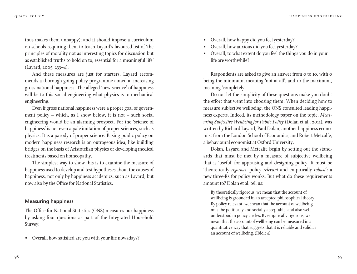thus makes them unhappy); and it should impose a curriculum on schools requiring them to teach Layard's favoured list of 'the principles of morality not as interesting topics for discussion but as established truths to hold on to, essential for a meaningful life' (Layard, 2005: 233–4).

And these measures are just for starters. Layard recommends a thorough-going policy programme aimed at increasing gross national happiness. The alleged 'new science' of happiness will be to this social engineering what physics is to mechanical engineering.

Even if gross national happiness were a proper goal of government policy – which, as I show below, it is not – such social engineering would be an alarming prospect. For the 'science of happiness' is not even a pale imitation of proper sciences, such as physics. It is a parody of proper science. Basing public policy on modern happiness research is an outrageous idea, like building bridges on the basis of Aristotelian physics or developing medical treatments based on homeopathy.

The simplest way to show this is to examine the measure of happiness used to develop and test hypotheses about the causes of happiness, not only by happiness academics, such as Layard, but now also by the Office for National Statistics.

# **Measuring happiness**

The Office for National Statistics (ONS) measures our happiness by asking four questions as part of the Integrated Household Survey:

• Overall, how satisfied are you with your life nowadays?

- Overall, how happy did you feel yesterday?
- Overall, how anxious did you feel yesterday?
- Overall, to what extent do you feel the things you do in your life are worthwhile?

Respondents are asked to give an answer from 0 to 10, with 0 being the minimum, meaning 'not at all', and 10 the maximum, meaning 'completely'.

Do not let the simplicity of these questions make you doubt the effort that went into choosing them. When deciding how to measure subjective wellbeing, the ONS consulted leading happiness experts. Indeed, its methodology paper on the topic, Measuring Subjective Wellbeing for Public Policy (Dolan et al., 2011), was written by Richard Layard, Paul Dolan, another happiness economist from the London School of Economics, and Robert Metcalfe, a behavioural economist at Oxford University.

Dolan, Layard and Metcalfe begin by setting out the standards that must be met by a measure of subjective wellbeing that is 'useful' for appraising and designing policy. It must be 'theoretically rigorous, policy relevant and empirically robust': a new three-Rs for policy wonks. But what do these requirements amount to? Dolan et al. tell us:

By theoretically rigorous, we mean that the account of wellbeing is grounded in an accepted philosophical theory. By policy relevant, we mean that the account of wellbeing must be politically and socially acceptable, and also well understood in policy circles. By empirically rigorous, we mean that the account of wellbeing can be measured in a quantitative way that suggests that it is reliable and valid as an account of wellbeing. (Ibid.: 4)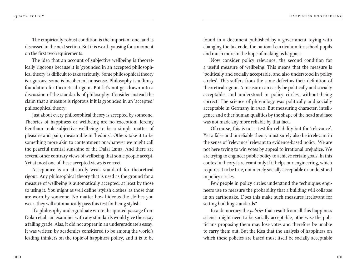The empirically robust condition is the important one, and is discussed in the next section. But it is worth pausing for a moment on the first two requirements.

The idea that an account of subjective wellbeing is theoretically rigorous because it is 'grounded in an accepted philosophical theory' is difficult to take seriously. Some philosophical theory is rigorous; some is incoherent nonsense. Philosophy is a flimsy foundation for theoretical rigour. But let's not get drawn into a discussion of the standards of philosophy. Consider instead the claim that a measure is rigorous if it is grounded in an 'accepted' philosophical theory.

Just about every philosophical theory is accepted by someone. Theories of happiness or wellbeing are no exception. Jeremy Bentham took subjective wellbeing to be a simple matter of pleasure and pain, measurable in 'hedons'. Others take it to be something more akin to contentment or whatever we might call the peaceful mental sunshine of the Dalai Lama. And there are several other contrary views of wellbeing that some people accept. Yet at most one of these accepted views is correct.

Acceptance is an absurdly weak standard for theoretical rigour. Any philosophical theory that is used as the ground for a measure of wellbeing is automatically accepted, at least by those so using it. You might as well define 'stylish clothes' as those that are worn by someone. No matter how hideous the clothes you wear, they will automatically pass this test for being stylish.

If a philosophy undergraduate wrote the quoted passage from Dolan et al., an examiner with any standards would give the essay a failing grade. Alas, it did not appear in an undergraduate's essay. It was written by academics considered to be among the world's leading thinkers on the topic of happiness policy, and it is to be found in a document published by a government toying with changing the tax code, the national curriculum for school pupils and much more in the hope of making us happier.

Now consider policy relevance, the second condition for a useful measure of wellbeing. This means that the measure is 'politically and socially acceptable, and also understood in policy circles'. This suffers from the same defect as their definition of theoretical rigour. A measure can easily be politically and socially acceptable, and understood in policy circles, without being correct. The science of phrenology was politically and socially acceptable in Germany in 1940. But measuring character, intelligence and other human qualities by the shape of the head and face was not made any more reliable by that fact.

Of course, this is not a test for reliability but for 'relevance'. Yet a false and unreliable theory must surely also be irrelevant in the sense of 'relevance' relevant to evidence-based policy. We are not here trying to win votes by appeal to irrational prejudice. We are trying to engineer public policy to achieve certain goals. In this context a theory is relevant only if it helps our engineering, which requires it to be true, not merely socially acceptable or understood in policy circles.

Few people in policy circles understand the techniques engineers use to measure the probability that a building will collapse in an earthquake. Does this make such measures irrelevant for setting building standards?

In a democracy the *policies* that result from all this happiness science might need to be socially acceptable, otherwise the politicians proposing them may lose votes and therefore be unable to carry them out. But the idea that the analysis of happiness on which these policies are based must itself be socially acceptable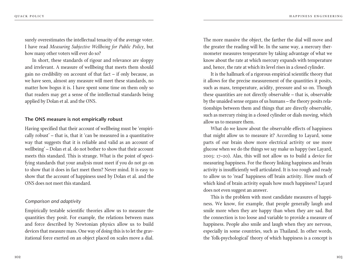surely overestimates the intellectual tenacity of the average voter. I have read Measuring Subjective Wellbeing for Public Policy, but how many other voters will ever do so?

In short, these standards of rigour and relevance are sloppy and irrelevant. A measure of wellbeing that meets them should gain no credibility on account of that fact – if only because, as we have seen, almost any measure will meet these standards, no matter how bogus it is. I have spent some time on them only so that readers may get a sense of the intellectual standards being applied by Dolan et al. and the ONS.

## **The ONS measure is not empirically robust**

Having specified that their account of wellbeing must be 'empirically robust' – that is, that it 'can be measured in a quantitative way that suggests that it is reliable and valid as an account of wellbeing' – Dolan et al. do not bother to show that their account meets this standard. This is strange. What is the point of specifying standards that your analysis must meet if you do not go on to show that it does in fact meet them? Never mind. It is easy to show that the account of happiness used by Dolan et al. and the ONS does not meet this standard.

### *Comparison and adaptivity*

Empirically testable scientific theories allow us to measure the quantities they posit. For example, the relations between mass and force described by Newtonian physics allow us to build devices that measure mass. One way of doing this is to let the gravitational force exerted on an object placed on scales move a dial.

The more massive the object, the farther the dial will move and the greater the reading will be. In the same way, a mercury thermometer measures temperature by taking advantage of what we know about the rate at which mercury expands with temperature and, hence, the rate at which its level rises in a closed cylinder.

It is the hallmark of a rigorous empirical scientific theory that it allows for the precise measurement of the quantities it posits, such as mass, temperature, acidity, pressure and so on. Though these quantities are not directly observable – that is, observable by the unaided sense organs of us humans – the theory posits relationships between them and things that are directly observable, such as mercury rising in a closed cylinder or dials moving, which allow us to measure them.

What do we know about the observable effects of happiness that might allow us to measure it? According to Layard, some parts of our brain show more electrical activity or use more glucose when we do the things we say make us happy (see Layard, 2005: 17–20). Alas, this will not allow us to build a device for measuring happiness. For the theory linking happiness and brain activity is insufficiently well articulated. It is too rough and ready to allow us to 'read' happiness off brain activity. How much of which kind of brain activity equals how much happiness? Layard does not even suggest an answer.

This is the problem with most candidate measures of happiness. We know, for example, that people generally laugh and smile more when they are happy than when they are sad. But the connection is too loose and variable to provide a measure of happiness. People also smile and laugh when they are nervous, especially in some countries, such as Thailand. In other words, the 'folk-psychological' theory of which happiness is a concept is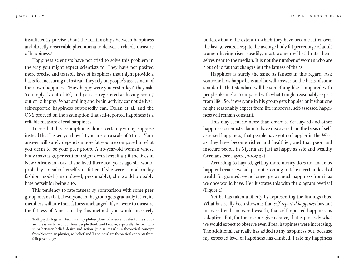insufficiently precise about the relationships between happiness and directly observable phenomena to deliver a reliable measure of happiness.<sup>3</sup>

Happiness scientists have not tried to solve this problem in the way you might expect scientists to. They have not posited more precise and testable laws of happiness that might provide a basis for measuring it. Instead, they rely on people's assessment of their own happiness. 'How happy were you yesterday?' they ask. You reply, '7 out of 10', and you are registered as having been 7 out of 10 happy. What smiling and brain activity cannot deliver, self-reported happiness supposedly can. Dolan et al. and the ONS proceed on the assumption that self-reported happiness is a reliable measure of real happiness.

To see that this assumption is almost certainly wrong, suppose instead that I asked you how fat you are, on a scale of 0 to 10. Your answer will surely depend on how fat you are compared to what you deem to be your peer group. A 40-year-old woman whose body mass is 35 per cent fat might deem herself a 4 if she lives in New Orleans in 2013. If she lived there 100 years ago she would probably consider herself 7 or fatter. If she were a modern-day fashion model (unemployed, presumably), she would probably hate herself for being a 10.

This tendency to rate fatness by comparison with some peer group means that, if everyone in the group gets gradually fatter, its members will rate their fatness unchanged. If you were to measure the fatness of Americans by this method, you would massively underestimate the extent to which they have become fatter over the last 50 years. Despite the average body fat percentage of adult women having risen steadily, most women will still rate themselves near to the median. It is not the number of women who are 5 out of 10 fat that changes but the fatness of the 5s.

Happiness is surely the same as fatness in this regard. Ask someone how happy he is and he will answer on the basis of some standard. That standard will be something like 'compared with people like me' or 'compared with what I might reasonably expect from life'. So, if everyone in his group gets happier or if what one might reasonably expect from life improves, self-assessed happiness will remain constant.

This may seem no more than obvious. Yet Layard and other happiness scientists claim to have discovered, on the basis of selfassessed happiness, that people have got no happier in the West as they have become richer and healthier, and that poor and insecure people in Nigeria are just as happy as safe and wealthy Germans (see Layard, 2005: 32).

According to Layard, getting more money does not make us happier because we adapt to it. Coming to take a certain level of wealth for granted, we no longer get as much happiness from it as we once would have. He illustrates this with the diagram overleaf (Figure 2).

Yet he has taken a liberty by representing the findings thus. What has really been shown is that self-reported happiness has not increased with increased wealth, that self-reported happiness is 'adaptive'. But, for the reasons given above, that is precisely what we would expect to observe even if real happiness were increasing. The additional car really has added to my happiness but, because my expected level of happiness has climbed, I rate my happiness

<sup>3</sup> 'Folk psychology' is a term used by philosophers of science to refer to the standard ideas we have about how people think and behave, especially the relationships between belief, desire and action. Just as 'mass' is a theoretical concept from Newtonian physics, so 'belief' and 'happiness' are theoretical concepts from folk psychology.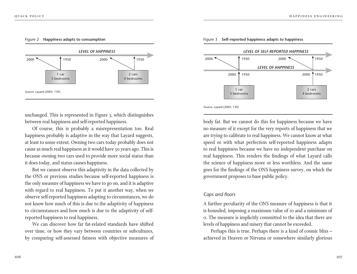

#### Figure 2 **Happiness adapts to consumption**

unchanged. This is represented in Figure 3, which distinguishes between real happiness and self-reported happiness.

Of course, this is probably a misrepresentation too. Real happiness probably is adaptive in the way that Layard suggests, at least to some extent. Owning two cars today probably does not cause as much real happiness as it would have 50 years ago. This is because owning two cars used to provide more social status than it does today, and status causes happiness.

But we cannot observe this adaptivity in the data collected by the ONS or previous studies because self-reported happiness is the only measure of happiness we have to go on, and it is adaptive with regard to real happiness. To put it another way, when we observe self-reported happiness adapting to circumstances, we do not know how much of this is due to the adaptivity of happiness to circumstances and how much is due to the adaptivity of selfreported happiness to real happiness.

We can discover how far fat-related standards have shifted over time, or how they vary between countries or subcultures, by comparing self-assessed fatness with objective measures of



Figure 3 **Self-reported happiness adapts to happiness** 1

body fat. But we cannot do this for happiness because we have no measure of it except for the very reports of happiness that we are trying to calibrate to real happiness. We cannot know at what speed or with what perfection self-reported happiness adapts to real happiness because we have no independent purchase on real happiness. This renders the findings of what Layard calls the science of happiness more or less worthless. And the same goes for the findings of the ONS happiness survey, on which the government proposes to base public policy.

# *Caps and floors*

A further peculiarity of the ONS measure of happiness is that it is bounded, imposing a maximum value of 10 and a minimum of 0. The measure is implicitly committed to the idea that there are levels of happiness and misery that cannot be exceeded.

Perhaps this is true. Perhaps there is a kind of cosmic bliss – achieved in Heaven or Nirvana or somewhere similarly glorious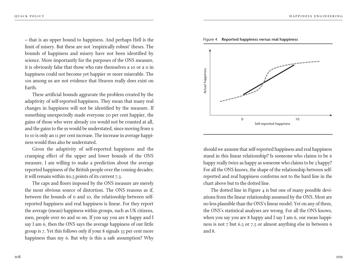– that is an upper bound to happiness. And perhaps Hell is the limit of misery. But these are not 'empirically robust' theses. The bounds of happiness and misery have not been identified by science. More importantly for the purposes of the ONS measure, it is obviously false that those who rate themselves a 10 or a 0 in happiness could not become yet happier or more miserable. The 10s among us are not evidence that Heaven really does exist on Earth.

These artificial bounds aggravate the problem created by the adaptivity of self-reported happiness. They mean that many real changes in happiness will not be identified by the measure. If something unexpectedly made everyone 20 per cent happier, the gains of those who were already 10s would not be counted at all, and the gains to the 9s would be understated, since moving from 9 to 10 is only an 11 per cent increase. The increase in average happiness would thus also be understated.

Given the adaptivity of self-reported happiness and the cramping effect of the upper and lower bounds of the ONS measure, I am willing to make a prediction about the average reported happiness of the British people over the coming decades; it will remain within ±0.5 points of its current 7.3.

The caps and floors imposed by the ONS measure are merely the most obvious source of distortion. The ONS reasons as if, between the bounds of 0 and 10, the relationship between selfreported happiness and real happiness is linear. For they report the average (mean) happiness within groups, such as UK citizens, men, people over 60 and so on. If you say you are 8 happy and I say I am 6, then the ONS says the average happiness of our little group is 7. Yet this follows only if your 8 signals 33 per cent more happiness than my 6. But why is this a safe assumption? Why



Figure 4 **Reported happiness versus real happiness** 1

should we assume that self-reported happiness and real happiness stand in this linear relationship? Is someone who claims to be 6 happy really twice as happy as someone who claims to be 3 happy? For all the ONS knows, the shape of the relationship between selfreported and real happiness conforms not to the hard line in the chart above but to the dotted line.

The dotted line in Figure 4 is but one of many possible deviations from the linear relationship assumed by the ONS. Most are no less plausible than the ONS's linear model. Yet on any of them, the ONS's statistical analyses are wrong. For all the ONS knows, when you say you are 8 happy and I say I am 6, our mean happiness is not 7 but 6.5 or 7.5 or almost anything else in between 6 and 8.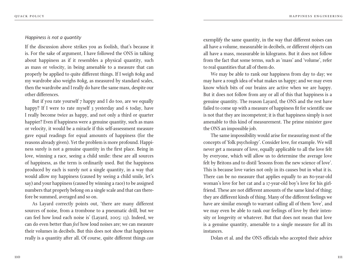### *Happiness is not a quantity*

If the discussion above strikes you as foolish, that's because it is. For the sake of argument, I have followed the ONS in talking about happiness as if it resembles a physical quantity, such as mass or velocity, in being amenable to a measure that can properly be applied to quite different things. If I weigh 80kg and my wardrobe also weighs 80kg, as measured by standard scales, then the wardrobe and I really do have the same mass, despite our other differences.

But if you rate yourself 7 happy and I do too, are we equally happy? If I were to rate myself 3 yesterday and 6 today, have I really become twice as happy, and not only a third or quarter happier? Even if happiness were a genuine quantity, such as mass or velocity, it would be a miracle if this self-assessment measure gave equal readings for equal amounts of happiness (for the reasons already given). Yet the problem is more profound. Happiness surely is not a genuine quantity in the first place. Being in love, winning a race, seeing a child smile: these are all sources of happiness, as the term is ordinarily used. But the happiness produced by each is surely not a single quantity, in a way that would allow my happiness (caused by seeing a child smile, let's say) and your happiness (caused by winning a race) to be assigned numbers that properly belong on a single scale and that can therefore be summed, averaged and so on.

As Layard correctly points out, 'there are many different sources of noise, from a trombone to a pneumatic drill, but we can feel how loud each noise is' (Layard, 2005: 13). Indeed, we can do even better than *feel* how loud noises are; we can measure their volumes in decibels. But this does not show that happiness really is a quantity after all. Of course, quite different things *can* 

exemplify the same quantity, in the way that different noises can all have a volume, measurable in decibels, or different objects can all have a mass, measurable in kilograms. But it does not follow from the fact that some terms, such as 'mass' and 'volume', refer to real quantities that all of them do.

We may be able to rank our happiness from day to day; we may have a rough idea of what makes us happy; and we may even know which bits of our brains are active when we are happy. But it does not follow from any or all of this that happiness is a genuine quantity. The reason Layard, the ONS and the rest have failed to come up with a measure of happiness fit for scientific use is not that they are incompetent; it is that happiness simply is not amenable to this kind of measurement. The prime minister gave the ONS an impossible job.

The same impossibility would arise for measuring most of the concepts of 'folk psychology'. Consider love, for example. We will never get a measure of love, equally applicable to all the love felt by everyone, which will allow us to determine the average love felt by Britons and to distil 'lessons from the new science of love'. This is because love varies not only in its causes but in what it is. There can be no measure that applies equally to an 80-year-old woman's love for her cat and a 17-year-old boy's love for his girlfriend. These are not different amounts of the same kind of thing; they are different kinds of thing. Many of the different feelings we have are similar enough to warrant calling all of them 'love', and we may even be able to rank our feelings of love by their intensity or longevity or whatever. But that does not mean that love is a genuine quantity, amenable to a single measure for all its instances.

Dolan et al. and the ONS officials who accepted their advice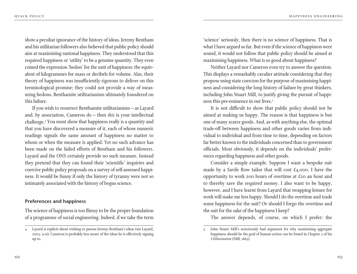show a peculiar ignorance of the history of ideas. Jeremy Bentham and his utilitarian followers also believed that public policy should aim at maximising national happiness. They understood that this required happiness or 'utility' to be a genuine quantity. They even coined the expression 'hedon' for the unit of happiness: the equivalent of kilogrammes for mass or decibels for volume. Alas, their theory of happiness was insufficiently rigorous to deliver on this terminological promise; they could not provide a way of measuring hedons. Benthamite utilitarianism ultimately foundered on this failure.

If you wish to resurrect Benthamite utilitarianism – as Layard and, by association, Cameron do – then this is your intellectual challenge.4 You must show that happiness really is a quantity and that you have discovered a measure of it, each of whose numeric readings signals the same amount of happiness no matter to whom or when the measure is applied. Yet no such advance has been made on the failed efforts of Bentham and his followers. Layard and the ONS certainly provide no such measure. Instead they pretend that they can found their 'scientific' inquiries and coercive public policy proposals on a survey of self-assessed happiness. It would be funny if only the history of tyranny were not so intimately associated with the history of bogus science.

## **Preferences and happiness**

The science of happiness is too flimsy to be the proper foundation of a programme of social engineering. Indeed, if we take the term

'science' seriously, then there is no science of happiness. That is what I have argued so far. But even if the science of happiness were sound, it would not follow that public policy should be aimed at maximising happiness. What is so good about happiness?

Neither Layard nor Cameron even try to answer the question. This displays a remarkably cavalier attitude considering that they propose using state coercion for the purpose of maximising happiness and considering the long history of failure by great thinkers, including John Stuart Mill, to justify giving the pursuit of happiness this pre-eminence in our lives.5

It is not difficult to show that public policy should not be aimed at making us happy. The reason is that happiness is but one of many scarce goods. And, as with anything else, the optimal trade-off between happiness and other goods varies from individual to individual and from time to time, depending on factors far better known to the individuals concerned than to government officials. Most obviously, it depends on the individuals' preferences regarding happiness and other goods.

Consider a simple example. Suppose I want a bespoke suit made by a Savile Row tailor that will cost  $\mathcal{L}_4$ ,000. I have the opportunity to work 200 hours of overtime at £20 an hour and to thereby save the required money. I also want to be happy, however, and I have learnt from Layard that swapping leisure for work will make me less happy. Should I do the overtime and trade some happiness for the suit? Or should I forgo the overtime and the suit for the sake of the happiness I keep?

The answer depends, of course, on which I prefer: the

Layard is explicit about wishing to pursue Jeremy Bentham's ideas (see Layard, 2005: 4–6). Cameron is probably less aware of the ideas he is effectively signing up to.

<sup>5</sup> John Stuart Mill's notoriously bad argument for why maximising aggregate happiness should be the goal of human action can be found in Chapter 3 of his Utilitarianism (Mill, 1863).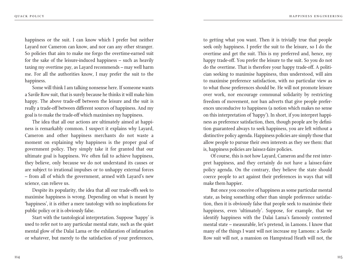happiness or the suit. I can know which I prefer but neither Layard nor Cameron can know, and nor can any other stranger. So policies that aim to make me forgo the overtime-earned suit for the sake of the leisure-induced happiness – such as heavily taxing my overtime pay, as Layard recommends – may well harm me. For all the authorities know, I may prefer the suit to the happiness.

Some will think I am talking nonsense here. If someone wants a Savile Row suit, that is surely because he thinks it will make him happy. The above trade-off between the leisure and the suit is really a trade-off between different sources of happiness. And my goal is to make the trade-off which maximises my happiness.

The idea that all our actions are ultimately aimed at happiness is remarkably common. I suspect it explains why Layard, Cameron and other happiness merchants do not waste a moment on explaining why happiness is the proper goal of government policy. They simply take it for granted that our ultimate goal is happiness. We often fail to achieve happiness, they believe, only because we do not understand its causes or are subject to irrational impulses or to unhappy external forces – from all of which the government, armed with Layard's new science, can relieve us.

Despite its popularity, the idea that all our trade-offs seek to maximise happiness is wrong. Depending on what is meant by 'happiness', it is either a mere tautology with no implications for public policy or it is obviously false.

Start with the tautological interpretation. Suppose 'happy' is used to refer not to any particular mental state, such as the quiet mental glow of the Dalai Lama or the exhilaration of infatuation or whatever, but merely to the satisfaction of your preferences,

to getting what you want. Then it is trivially true that people seek only happiness. I prefer the suit to the leisure, so I do the overtime and get the suit. This is my preferred and, hence, my happy trade-off. You prefer the leisure to the suit. So you do not do the overtime. That is therefore your happy trade-off. A politician seeking to maximise happiness, thus understood, will aim to maximise preference satisfaction, with no particular view as to what those preferences should be. He will not promote leisure over work, nor encourage communal solidarity by restricting freedom of movement, nor ban adverts that give people preferences unconducive to happiness (a notion which makes no sense on this interpretation of 'happy'). In short, if you interpret happiness as preference satisfaction, then, though people are by definition guaranteed always to seek happiness, you are left without a distinctive policy agenda. Happiness policies are simply those that allow people to pursue their own interests as they see them: that is, happiness policies are laissez-faire policies.

Of course, this is not how Layard, Cameron and the rest interpret happiness, and they certainly do not have a laissez-faire policy agenda. On the contrary, they believe the state should coerce people to act against their preferences in ways that will make them happier.

But once you conceive of happiness as some particular mental state, as being something other than simple preference satisfaction, then it is obviously false that people seek to maximise their happiness, even 'ultimately'. Suppose, for example, that we identify happiness with the Dalai Lama's famously contented mental state – measurable, let's pretend, in Lamons. I know that many of the things I want will not increase my Lamons: a Savile Row suit will not, a mansion on Hampstead Heath will not, the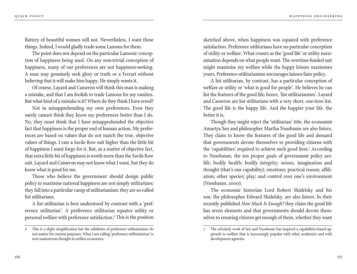flattery of beautiful women will not. Nevertheless, I want these things. Indeed, I would gladly trade some Lamons for them.

The point does not depend on the particular Lamonic conception of happiness being used. On any non-trivial conception of happiness, many of our preferences are not happiness-seeking. A man may genuinely seek glory or truth or a Ferrari without believing that it will make him happy. He simply wants it.

Of course, Layard and Cameron will think this man is making a mistake, and that I am foolish to trade Lamons for my vanities. But what kind of a mistake is it? Where do they think I have erred?

Not in misapprehending my own preferences. Even they surely cannot think they know my preferences better than I do. No, they must think that I have misapprehended the objective fact that happiness is the proper end of human action. My preferences are based on values that do not match the true, objective values of things. I rate a Savile Row suit higher than the little bit of happiness I must forgo for it. But, as a matter of objective fact, that extra little bit of happiness is worth more than the Savile Row suit. Layard and Cameron may not know what I want, but they do know what is good for me.

Those who believe the government should design public policy to maximise national happiness are not simply utilitarians; they fall into a particular camp of utilitarianism: they are so-called list utilitarians.

A list utilitarian is best understood by contrast with a 'preference utilitarian'. A preference utilitarian equates utility or personal welfare with preference satisfaction.<sup>6</sup> This is the position sketched above, when happiness was equated with preference satisfaction. Preference utilitarians have no particular conception of utility or welfare. What counts as the 'good life' or utility maximisation depends on what people want. The overtime-funded suit might maximise my welfare while the happy leisure maximises yours. Preference utilitarianism encourages laissez-faire policy.

A list utilitarian, by contrast, has a particular conception of welfare or utility or 'what is good for people'. He believes he can list the features of the good life: hence, 'list utilitarianism'. Layard and Cameron are list utilitarians with a very short, one-item list. The good life is the happy life. And the happier your life, the better it is.

Though they might reject the 'utilitarian' title, the economist Amartya Sen and philosopher Martha Nussbaum are also listers. They claim to know the features of the good life and demand that governments devote themselves to providing citizens with the 'capabilities' required to achieve such good lives.7 According to Nussbaum, the ten proper goals of government policy are: life; bodily health; bodily integrity; senses, imagination and thought (that's one capability); emotions; practical reason; affiliation; other species; play; and control over one's environment (Nussbaum, 2000).

The economic historian Lord Robert Skidelsky and his son, the philosopher Edward Skidelsky, are also listers. In their recently published How Much Is Enough? they claim the good life has seven elements and that governments should devote themselves to ensuring citizens get enough of them, whether they want

<sup>6</sup> This is a slight simplification but the subtleties of preference utilitarianism do not matter for current purposes. What I am calling 'preference utilitarianism' is now mainstream thought in welfare economics.

<sup>7</sup> The scholarly work of Sen and Nussbaum has inspired a capabilities-based approach to welfare that is increasingly popular with other academics and with development agencies.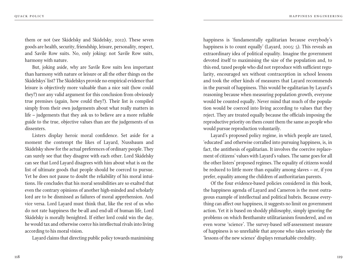them or not (see Skidelsky and Skidelsky, 2012). These seven goods are health, security, friendship, leisure, personality, respect, and Savile Row suits. No, only joking: not Savile Row suits, harmony with nature.

But, joking aside, why are Savile Row suits less important than harmony with nature or leisure or all the other things on the Skidelskys' list? The Skidelskys provide no empirical evidence that leisure is objectively more valuable than a nice suit (how could they?) nor any valid argument for this conclusion from obviously true premises (again, how could they?). Their list is compiled simply from their own judgements about what really matters in life – judgements that they ask us to believe are a more reliable guide to the true, objective values than are the judgements of us dissenters.

Listers display heroic moral confidence. Set aside for a moment the contempt the likes of Layard, Nussbaum and Skidelsky show for the actual preferences of ordinary people. They can surely see that they disagree with each other. Lord Skidelsky can see that Lord Layard disagrees with him about what is on the list of ultimate goods that people should be coerced to pursue. Yet he does not pause to doubt the reliability of his moral intuitions. He concludes that his moral sensibilities are so exalted that even the contrary opinions of another high-minded and scholarly lord are to be dismissed as failures of moral apprehension. And vice versa. Lord Layard must think that, like the rest of us who do not rate happiness the be-all and end-all of human life, Lord Skidelsky is morally benighted. If either lord could win the day, he would tax and otherwise coerce his intellectual rivals into living according to his moral vision.

Layard claims that directing public policy towards maximising

happiness is 'fundamentally egalitarian because everybody's happiness is to count equally' (Layard, 2005: 5). This reveals an extraordinary idea of political equality. Imagine the government devoted itself to maximising the size of the population and, to this end, taxed people who did not reproduce with sufficient regularity, encouraged sex without contraception in school lessons and took the other kinds of measures that Layard recommends in the pursuit of happiness. This would be egalitarian by Layard's reasoning because when measuring population growth, everyone would be counted equally. Never mind that much of the population would be coerced into living according to values that they reject. They are treated equally because the officials imposing the reproductive priority on them count them the same as people who would pursue reproduction voluntarily.

Layard's proposed policy regime, in which people are taxed, 'educated' and otherwise corralled into pursuing happiness, is, in fact, the antithesis of egalitarian. It involves the coercive replacement of citizens' values with Layard's values. The same goes for all the other listers' proposed regimes. The equality of citizens would be reduced to little more than equality among slaves – or, if you prefer, equality among the children of authoritarian parents.

Of the four evidence-based policies considered in this book, the happiness agenda of Layard and Cameron is the most outrageous example of intellectual and political hubris. Because everything can affect our happiness, it suggests no limit on government action. Yet it is based on shoddy philosophy, simply ignoring the problems on which Benthamite utilitarianism foundered, and on even worse 'science'. The survey-based self-assessment measure of happiness is so unreliable that anyone who takes seriously the 'lessons of the new science' displays remarkable credulity.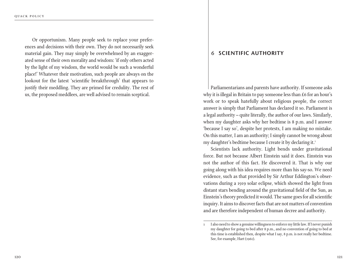Or opportunism. Many people seek to replace your preferences and decisions with their own. They do not necessarily seek material gain. They may simply be overwhelmed by an exaggerated sense of their own morality and wisdom: 'if only others acted by the light of my wisdom, the world would be such a wonderful place!' Whatever their motivation, such people are always on the lookout for the latest 'scientific breakthrough' that appears to justify their meddling. They are primed for credulity. The rest of us, the proposed meddlees, are well advised to remain sceptical.

# 6 **SCIENTIFIC AUTHORITY**

Parliamentarians and parents have authority. If someone asks why it is illegal in Britain to pay someone less than  $\pounds$ 6 for an hour's work or to speak hatefully about religious people, the correct answer is simply that Parliament has declared it so. Parliament is a legal authority – quite literally, the author of our laws. Similarly, when my daughter asks why her bedtime is 8 p.m. and I answer 'because I say so', despite her protests, I am making no mistake. On this matter, I am an authority; I simply cannot be wrong about my daughter's bedtime because I create it by declaring it.<sup>1</sup>

Scientists lack authority. Light bends under gravitational force. But not because Albert Einstein said it does. Einstein was not the author of this fact. He discovered it. That is why our going along with his idea requires more than his say-so. We need evidence, such as that provided by Sir Arthur Eddington's observations during a 1919 solar eclipse, which showed the light from distant stars bending around the gravitational field of the Sun, as Einstein's theory predicted it would. The same goes for all scientific inquiry. It aims to discover facts that are not matters of convention and are therefore independent of human decree and authority.

<sup>1</sup> I also need to show a genuine willingness to enforce my little law. If I never punish my daughter for going to bed after 8 p.m., and no convention of going to bed at this time is established then, despite what I say, 8 p.m. is not really her bedtime. See, for example, Hart (1961).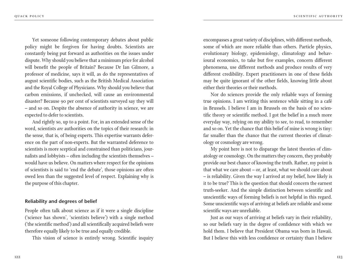Yet someone following contemporary debates about public policy might be forgiven for having doubts. Scientists are constantly being put forward as authorities on the issues under dispute. Why should you believe that a minimum price for alcohol will benefit the people of Britain? Because Dr Ian Gilmore, a professor of medicine, says it will, as do the representatives of august scientific bodies, such as the British Medical Association and the Royal College of Physicians. Why should you believe that carbon emissions, if unchecked, will cause an environmental disaster? Because 90 per cent of scientists surveyed say they will – and so on. Despite the absence of authority in science, we are expected to defer to scientists.

And rightly so, up to a point. For, in an extended sense of the word, scientists are authorities on the topics of their research: in the sense, that is, of being experts. This expertise warrants deference on the part of non-experts. But the warranted deference to scientists is more sceptical and constrained than politicians, journalists and lobbyists – often including the scientists themselves – would have us believe. On matters where respect for the opinions of scientists is said to 'end the debate', those opinions are often owed less than the suggested level of respect. Explaining why is the purpose of this chapter.

### **Reliability and degrees of belief**

People often talk about science as if it were a single discipline ('science has shown', 'scientists believe') with a single method ('the scientific method') and all scientifically acquired beliefs were therefore equally likely to be true and equally credible.

This vision of science is entirely wrong. Scientific inquiry

encompasses a great variety of disciplines, with different methods, some of which are more reliable than others. Particle physics, evolutionary biology, epidemiology, climatology and behavioural economics, to take but five examples, concern different phenomena, use different methods and produce results of very different credibility. Expert practitioners in one of these fields may be quite ignorant of the other fields, knowing little about either their theories or their methods.

Nor do sciences provide the only reliable ways of forming true opinions. I am writing this sentence while sitting in a café in Brussels. I believe I am in Brussels on the basis of no scientific theory or scientific method. I got the belief in a much more everyday way, relying on my ability to see, to read, to remember and so on. Yet the chance that this belief of mine is wrong is tiny: far smaller than the chance that the current theories of climatology or cosmology are wrong.

My point here is not to disparage the latest theories of climatology or cosmology. On the matters they concern, they probably provide our best chance of knowing the truth. Rather, my point is that what we care about – or, at least, what we should care about – is reliability. Given the way I arrived at my belief, how likely is it to be true? This is the question that should concern the earnest truth-seeker. And the simple distinction between scientific and unscientific ways of forming beliefs is not helpful in this regard. Some unscientific ways of arriving at beliefs are reliable and some scientific ways are unreliable.

Just as our ways of arriving at beliefs vary in their reliability, so our beliefs vary in the degree of confidence with which we hold them. I believe that President Obama was born in Hawaii. But I believe this with less confidence or certainty than I believe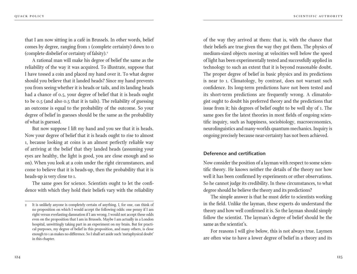that I am now sitting in a café in Brussels. In other words, belief comes by degree, ranging from 1 (complete certainty) down to 0 (complete disbelief or certainty of falsity).2

A rational man will make his degree of belief the same as the reliability of the way it was acquired. To illustrate, suppose that I have tossed a coin and placed my hand over it. To what degree should you believe that it landed heads? Since my hand prevents you from seeing whether it is heads or tails, and its landing heads had a chance of 0.5, your degree of belief that it is heads ought to be 0.5 (and also 0.5 that it is tails). The reliability of guessing an outcome is equal to the probability of the outcome. So your degree of belief in guesses should be the same as the probability of what is guessed.

But now suppose I lift my hand and you see that it is heads. Now your degree of belief that it is heads ought to rise to almost 1, because looking at coins is an almost perfectly reliable way of arriving at the belief that they landed heads (assuming your eyes are healthy, the light is good, you are close enough and so on). When you look at a coin under the right circumstances, and come to believe that it is heads-up, then the probability that it is heads-up is very close to 1.

The same goes for science. Scientists ought to let the confidence with which they hold their beliefs vary with the reliability

of the way they arrived at them: that is, with the chance that their beliefs are true given the way they got them. The physics of medium-sized objects moving at velocities well below the speed of light has been experimentally tested and successfully applied in technology to such an extent that it is beyond reasonable doubt. The proper degree of belief in basic physics and its predictions is near to 1. Climatology, by contrast, does not warrant such confidence. Its long-term predictions have not been tested and its short-term predictions are frequently wrong. A climatologist ought to doubt his preferred theory and the predictions that issue from it; his degrees of belief ought to be well shy of 1. The same goes for the latest theories in most fields of ongoing scientific inquiry, such as happiness, sociobiology, macroeconomics, neurolinguistics and many-worlds quantum mechanics. Inquiry is ongoing precisely because near-certainty has not been achieved.

# **Deference and certification**

Now consider the position of a layman with respect to some scientific theory. He knows neither the details of the theory nor how well it has been confirmed by experiments or other observations. So he cannot judge its credibility. In these circumstances, to what degree should he believe the theory and its predictions?

The simple answer is that he must defer to scientists working in the field. Unlike the layman, these experts do understand the theory and how well confirmed it is. So the layman should simply follow the scientist. The layman's degree of belief should be the same as the scientist's.

For reasons I will give below, this is not always true. Laymen are often wise to have a lower degree of belief in a theory and its

<sup>2</sup> It is unlikely anyone is completely certain of anything. I, for one, can think of no proposition on which I would accept the following odds: one penny if I am right versus everlasting damnation if I am wrong. I would not accept these odds even on the proposition that I am in Brussels. Maybe I am actually in a London hospital, unwittingly taking part in an experiment on my brain. But for practical purposes, my degree of belief in this proposition, and many others, is close enough to 1 as makes no difference. So I shall set aside such 'metaphysical doubt' in this chapter.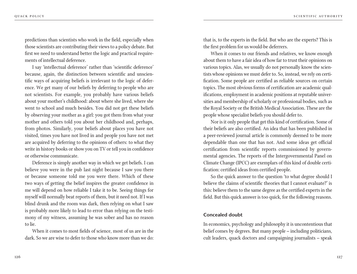predictions than scientists who work in the field, especially when those scientists are contributing their views to a policy debate. But first we need to understand better the logic and practical requirements of intellectual deference.

I say 'intellectual deference' rather than 'scientific deference' because, again, the distinction between scientific and unscientific ways of acquiring beliefs is irrelevant to the logic of deference. We get many of our beliefs by deferring to people who are not scientists. For example, you probably have various beliefs about your mother's childhood: about where she lived, where she went to school and much besides. You did not get these beliefs by observing your mother as a girl: you got them from what your mother and others told you about her childhood and, perhaps, from photos. Similarly, your beliefs about places you have not visited, times you have not lived in and people you have not met are acquired by deferring to the opinions of others: to what they write in history books or show you on TV or tell you in confidence or otherwise communicate.

Deference is simply another way in which we get beliefs. I can believe you were in the pub last night because I saw you there or because someone told me you were there. Which of these two ways of getting the belief inspires the greater confidence in me will depend on how reliable I take it to be. Seeing things for myself will normally beat reports of them, but it need not. If I was blind drunk and the room was dark, then relying on what I saw is probably more likely to lead to error than relying on the testimony of my witness, assuming he was sober and has no reason to lie.

When it comes to most fields of science, most of us are in the dark. So we are wise to defer to those who know more than we do: that is, to the experts in the field. But who are the experts? This is the first problem for us would-be deferrers.

When it comes to our friends and relatives, we know enough about them to have a fair idea of how far to trust their opinions on various topics. Alas, we usually do not personally know the scientists whose opinions we must defer to. So, instead, we rely on certification. Some people are certified as reliable sources on certain topics. The most obvious forms of certification are academic qualifications, employment in academic positions at reputable universities and membership of scholarly or professional bodies, such as the Royal Society or the British Medical Association. These are the people whose specialist beliefs you should defer to.

Nor is it only people that get this kind of certification. Some of their beliefs are also certified. An idea that has been published in a peer-reviewed journal article is commonly deemed to be more dependable than one that has not. And some ideas get official certification from scientific reports commissioned by governmental agencies. The reports of the Intergovernmental Panel on Climate Change (IPCC) are exemplars of this kind of double certification: certified ideas from certified people.

So the quick answer to the question 'to what degree should I believe the claims of scientific theories that I cannot evaluate?' is this: believe them to the same degree as the certified experts in the field. But this quick answer is too quick, for the following reasons.

# **Concealed doubt**

In economics, psychology and philosophy it is uncontentious that belief comes by degrees. But many people – including politicians, cult leaders, quack doctors and campaigning journalists – speak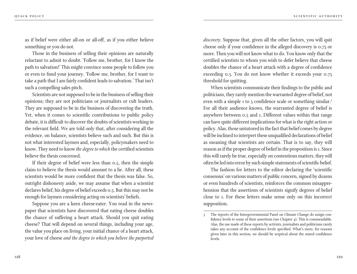as if belief were either all-on or all-off, as if you either believe something or you do not.

Those in the business of selling their opinions are naturally reluctant to admit to doubt. 'Follow me, brother, for I know the path to salvation!' This might convince some people to follow you or even to fund your journey. 'Follow me, brother, for I want to take a path that I am fairly confident leads to salvation.' That isn't such a compelling sales pitch.

Scientists are not supposed to be in the business of selling their opinions; they are not politicians or journalists or cult leaders. They are supposed to be in the business of discovering the truth. Yet, when it comes to scientific contributions to public policy debate, it is difficult to discover the doubts of scientists working in the relevant field. We are told only that, after considering all the evidence, on balance, scientists believe such and such. But this is not what interested laymen and, especially, policymakers need to know. They need to know the degree to which the certified scientists believe the thesis concerned.

If their degree of belief were less than 0.5, then the simple claim to believe the thesis would amount to a lie. After all, these scientists would be more confident that the thesis was false. So, outright dishonesty aside, we may assume that when a scientist declares belief, his degree of belief exceeds 0.5. But this may not be enough for laymen considering acting on scientists' beliefs.

Suppose you are a keen cheese-eater. You read in the newspaper that scientists have discovered that eating cheese doubles the chance of suffering a heart attack. Should you quit eating cheese? That will depend on several things, including your age, the value you place on living, your initial chance of a heart attack, your love of cheese and the degree to which you believe the purported

discovery. Suppose that, given all the other factors, you will quit cheese only if your confidence in the alleged discovery is 0.75 or more. Then you will not know what to do. You know only that the certified scientists to whom you wish to defer believe that cheese doubles the chance of a heart attack with a degree of confidence exceeding 0.5. You do not know whether it exceeds your 0.75 threshold for quitting.

When scientists communicate their findings to the public and politicians, they rarely mention the warranted degree of belief, not even with a simple 1 to 5 confidence scale or something similar.<sup>3</sup> For all their audience knows, the warranted degree of belief is anywhere between 0.5 and 1. Different values within that range can have quite different implications for what is the right action or policy. Alas, those untutored in the fact that belief comes by degree will be inclined to interpret these unqualified declarations of belief as meaning that scientists are certain. That is to say, they will reason as if the proper degree of belief in the proposition is 1. Since this will rarely be true, especially on contentious matters, they will often be led into error by such simple statements of scientific belief.

The fashion for letters to the editor declaring the 'scientific consensus' on various matters of public concern, signed by dozens or even hundreds of scientists, reinforces the common misapprehension that the assertions of scientists signify degrees of belief close to 1. For these letters make sense only on this incorrect supposition.

The reports of the Intergovernmental Panel on Climate Change do assign confidence levels to some of their assertions (see Chapter 4). This is commendable. Alas, the use made of these reports by activists, journalists and politicians rarely takes any account of the confidence levels specified. What's more, for reasons given later in this section, we should be sceptical about the stated confidence levels.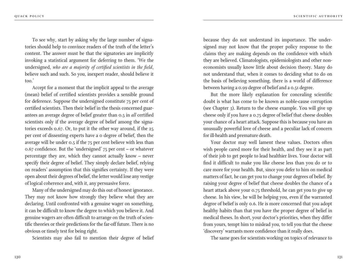To see why, start by asking why the large number of signatories should help to convince readers of the truth of the letter's content. The answer must be that the signatories are implicitly invoking a statistical argument for deferring to them. 'We the undersigned, who are a majority of certified scientists in the field, believe such and such. So you, inexpert reader, should believe it too.'

Accept for a moment that the implicit appeal to the average (mean) belief of certified scientists provides a sensible ground for deference. Suppose the undersigned constitute 75 per cent of certified scientists. Then their belief in the thesis concerned guarantees an average degree of belief greater than 0.5 in all certified scientists only if the average degree of belief among the signatories exceeds 0.67. Or, to put it the other way around, if the 25 per cent of dissenting experts have a 0 degree of belief, then the average will be under 0.5 if the 75 per cent believe with less than 0.67 confidence. But the 'undersigned' 75 per cent – or whatever percentage they are, which they cannot actually know – never specify their degree of belief. They simply declare belief, relying on readers' assumption that this signifies certainty. If they were open about their degrees of belief, the letter would lose any vestige of logical coherence and, with it, any persuasive force.

Many of the undersigned may do this out of honest ignorance. They may not know how strongly they believe what they are declaring. Until confronted with a genuine wager on something, it can be difficult to know the degree to which you believe it. And genuine wagers are often difficult to arrange on the truth of scientific theories or their predictions for the far-off future. There is no obvious or timely test for being right.

Scientists may also fail to mention their degree of belief

because they do not understand its importance. The undersigned may not know that the proper policy response to the claims they are making depends on the confidence with which they are believed. Climatologists, epidemiologists and other noneconomists usually know little about decision theory. Many do not understand that, when it comes to deciding what to do on the basis of believing something, there is a world of difference between having a 0.99 degree of belief and a 0.51 degree.

But the more likely explanation for concealing scientific doubt is what has come to be known as noble-cause corruption (see Chapter 3). Return to the cheese example. You will give up cheese only if you have a 0.75 degree of belief that cheese doubles your chance of a heart attack. Suppose this is because you have an unusually powerful love of cheese and a peculiar lack of concern for ill-health and premature death.

Your doctor may well lament these values. Doctors often wish people cared more for their health, and they see it as part of their job to get people to lead healthier lives. Your doctor will find it difficult to make you like cheese less than you do or to care more for your health. But, since you defer to him on medical matters of fact, he can get you to change your degrees of belief. By raising your degree of belief that cheese doubles the chance of a heart attack above your 0.75 threshold, he can get you to give up cheese. In his view, he will be helping you, even if the warranted degree of belief is only 0.6. He is more concerned that you adopt healthy habits than that you have the proper degree of belief in medical theses. In short, your doctor's priorities, when they differ from yours, tempt him to mislead you, to tell you that the cheese 'discovery' warrants more confidence than it really does.

The same goes for scientists working on topics of relevance to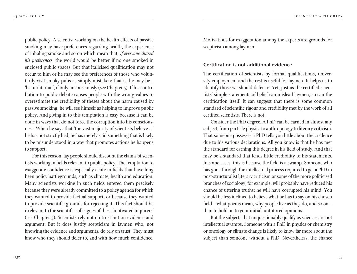public policy. A scientist working on the health effects of passive smoking may have preferences regarding health, the experience of inhaling smoke and so on which mean that, if everyone shared his preferences, the world would be better if no one smoked in enclosed public spaces. But that italicised qualification may not occur to him or he may see the preferences of those who voluntarily visit smoky pubs as simply mistaken: that is, he may be a 'list utilitarian', if only unconsciously (see Chapter 5). If his contribution to public debate causes people with the wrong values to overestimate the credibility of theses about the harm caused by passive smoking, he will see himself as helping to improve public policy. And giving in to this temptation is easy because it can be done in ways that do not force the corruption into his consciousness. When he says that 'the vast majority of scientists believe …' he has not strictly lied; he has merely said something that is likely to be misunderstood in a way that promotes actions he happens to support.

For this reason, lay people should discount the claims of scientists working in fields relevant to public policy. The temptation to exaggerate confidence is especially acute in fields that have long been policy battlegrounds, such as climate, health and education. Many scientists working in such fields entered them precisely because they were already committed to a policy agenda for which they wanted to provide factual support, or because they wanted to provide scientific grounds for rejecting it. This fact should be irrelevant to the scientific colleagues of these 'motivated inquirers' (see Chapter 3). Scientists rely not on trust but on evidence and argument. But it does justify scepticism in laymen who, not knowing the evidence and arguments, do rely on trust. They must know who they should defer to, and with how much confidence.

Motivations for exaggeration among the experts are grounds for scepticism among laymen.

#### **Certification is not additional evidence**

The certification of scientists by formal qualifications, university employment and the rest is useful for laymen. It helps us to identify those we should defer to. Yet, just as the certified scientists' simple statements of belief can mislead laymen, so can the certification itself. It can suggest that there is some common standard of scientific rigour and credibility met by the work of all certified scientists. There is not.

Consider the PhD degree. A PhD can be earned in almost any subject, from particle physics to anthropology to literary criticism. That someone possesses a PhD tells you little about the credence due to his various declarations. All you know is that he has met the standard for earning this degree in his field of study. And that may be a standard that lends little credibility to his statements. In some cases, this is because the field is a swamp. Someone who has gone through the intellectual process required to get a PhD in post-structuralist literary criticism or some of the more politicised branches of sociology, for example, will probably have reduced his chance of uttering truths: he will have corrupted his mind. You should be less inclined to believe what he has to say on his chosen field – what poems mean, why people live as they do, and so on – than to hold on to your initial, untutored opinions.

But the subjects that unquestionably qualify as sciences are not intellectual swamps. Someone with a PhD in physics or chemistry or oncology or climate change is likely to know far more about the subject than someone without a PhD. Nevertheless, the chance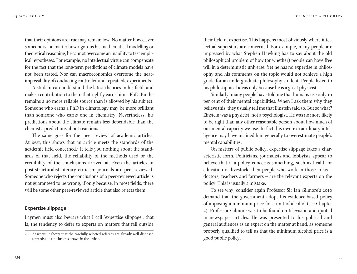that their opinions are true may remain low. No matter how clever someone is, no matter how rigorous his mathematical modelling or theoretical reasoning, he cannot overcome an inability to test empirical hypotheses. For example, no intellectual virtue can compensate for the fact that the long-term predictions of climate models have not been tested. Nor can macroeconomics overcome the nearimpossibility of conducting controlled and repeatable experiments.

A student can understand the latest theories in his field, and make a contribution to them that rightly earns him a PhD. But he remains a no more reliable source than is allowed by his subject. Someone who earns a PhD in climatology may be more brilliant than someone who earns one in chemistry. Nevertheless, his predictions about the climate remain less dependable than the chemist's predictions about reactions.

The same goes for the 'peer review' of academic articles. At best, this shows that an article meets the standards of the academic field concerned.4 It tells you nothing about the standards of that field, the reliability of the methods used or the credibility of the conclusions arrived at. Even the articles in post-structuralist literary criticism journals are peer-reviewed. Someone who rejects the conclusions of a peer-reviewed article is not guaranteed to be wrong, if only because, in most fields, there will be some other peer-reviewed article that also rejects them.

# **Expertise slippage**

Laymen must also beware what I call 'expertise slippage': that is, the tendency to defer to experts on matters that fall outside their field of expertise. This happens most obviously where intellectual superstars are concerned. For example, many people are impressed by what Stephen Hawking has to say about the old philosophical problem of how (or whether) people can have free will in a deterministic universe. Yet he has no expertise in philosophy and his comments on the topic would not achieve a high grade for an undergraduate philosophy student. People listen to his philosophical ideas only because he is a great physicist.

Similarly, many people have told me that humans use only 10 per cent of their mental capabilities. When I ask them why they believe this, they usually tell me that Einstein said so. But so what? Einstein was a physicist, not a psychologist. He was no more likely to be right than any other reasonable person about how much of our mental capacity we use. In fact, his own extraordinary intelligence may have inclined him generally to overestimate people's mental capabilities.

On matters of public policy, expertise slippage takes a characteristic form. Politicians, journalists and lobbyists appear to believe that if a policy concerns something, such as health or education or livestock, then people who work in those areas – doctors, teachers and farmers – are the relevant experts on the policy. This is usually a mistake.

To see why, consider again Professor Sir Ian Gilmore's 2010 demand that the government adopt his evidence-based policy of imposing a minimum price for a unit of alcohol (see Chapter 2). Professor Gilmore was to be found on television and quoted in newspaper articles. He was presented to his political and general audiences as an expert on the matter at hand, as someone properly qualified to tell us that the minimum alcohol price is a good public policy.

At worst, it shows that the carefully selected referees are already well disposed towards the conclusions drawn in the article.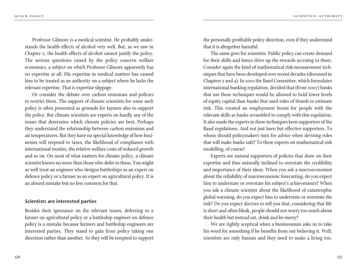Professor Gilmore is a medical scientist. He probably understands the health effects of alcohol very well. But, as we saw in Chapter 2, the health effects of alcohol cannot justify the policy. The serious questions raised by the policy concern welfare economics, a subject on which Professor Gilmore apparently has no expertise at all. His expertise in medical matters has caused him to be treated as an authority on a subject where he lacks the relevant expertise. That is expertise slippage.

Or consider the debate over carbon emissions and policies to restrict them. The support of climate scientists for some such policy is often presented as grounds for laymen also to support the policy. But climate scientists are experts on hardly any of the issues that determine which climate policies are best. Perhaps they understand the relationship between carbon emissions and air temperatures. But they have no special knowledge of how businesses will respond to taxes, the likelihood of compliance with international treaties, the relative welfare costs of reduced growth and so on. On most of what matters for climate policy, a climate scientist knows no more than those who defer to them. You might as well treat an engineer who designs battleships as an expert on defence policy or a farmer as an expert on agricultural policy. It is an absurd mistake but no less common for that.

### **Scientists are interested parties**

Besides their ignorance on the relevant issues, deferring to a farmer on agricultural policy or a battleship engineer on defence policy is a mistake because farmers and battleship engineers are interested parties. They stand to gain from policy taking one direction rather than another. So they will be tempted to support

the personally profitable policy direction, even if they understand that it is altogether harmful.

The same goes for scientists. Public policy can create demand for their skills and hence drive up the rewards accruing to them. Consider again the kind of mathematical risk-measurement techniques that have been developed over recent decades (discussed in Chapters 2 and 4). In 2001 the Basel Committee, which formulates international banking regulation, decided that (from 2007) banks that use these techniques would be allowed to hold lower levels of equity capital than banks that used rules of thumb to estimate risk. This created an employment boom for people with the relevant skills as banks scrambled to comply with this regulation. It also made the experts in these techniques keen supporters of the Basel regulations. And not just keen but effective supporters. To whom should policymakers turn for advice when devising rules that will make banks safe? To these experts on mathematical risk modelling, of course!

Experts are natural supporters of policies that draw on their expertise and thus naturally inclined to overstate the credibility and importance of their ideas. When you ask a macroeconomist about the reliability of macroeconomic forecasting, do you expect him to understate or overstate his subject's achievements? When you ask a climate scientist about the likelihood of catastrophic global warming, do you expect him to understate or overstate the risk? Do you expect doctors to tell you that, considering that life is short and often bleak, people should not worry too much about their health but instead eat, drink and be merry?

We are rightly sceptical when a businessman asks us to take his word for something if he benefits from our believing it. Well, scientists are only human and they need to make a living too.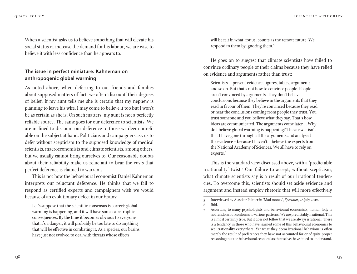When a scientist asks us to believe something that will elevate his social status or increase the demand for his labour, we are wise to believe it with less confidence than he appears to.

# **The issue in perfect miniature: Kahneman on anthropogenic global warming**

As noted above, when deferring to our friends and families about supposed matters of fact, we often 'discount' their degrees of belief. If my aunt tells me she is certain that my nephew is planning to leave his wife, I may come to believe it too but I won't be as certain as she is. On such matters, my aunt is not a perfectly reliable source. The same goes for our deference to scientists. We are inclined to discount our deference to those we deem unreliable on the subject at hand. Politicians and campaigners ask us to defer without scepticism to the supposed knowledge of medical scientists, macroeconomists and climate scientists, among others, but we usually cannot bring ourselves to. Our reasonable doubts about their reliability make us reluctant to bear the costs that perfect deference is claimed to warrant.

This is not how the behavioural economist Daniel Kahneman interprets our reluctant deference. He thinks that we fail to respond as certified experts and campaigners wish we would because of an evolutionary defect in our brains:

Let's suppose that the scientific consensus is correct: global warming is happening, and it will have some catastrophic consequences. By the time it becomes obvious to everyone that it's a danger, it will probably be too late to do anything that will be effective in combating it. As a species, our brains have just not evolved to deal with threats whose effects

will be felt in what, for us, counts as the remote future. We respond to them by ignoring them.5

He goes on to suggest that climate scientists have failed to convince ordinary people of their claims because they have relied on evidence and arguments rather than trust:

Scientists … present evidence, figures, tables, arguments, and so on. But that's not how to convince people. People aren't convinced by arguments. They don't believe conclusions because they believe in the arguments that they read in favour of them. They're convinced because they read or hear the conclusions coming from people they trust. You trust someone and you believe what they say. That's how ideas are communicated. The arguments come later … Why do I believe global warming is happening? The answer isn't that I have gone through all the arguments and analysed the evidence – because I haven't. I believe the experts from the National Academy of Sciences. We all have to rely on experts.<sup>6</sup>

This is the standard view discussed above, with a 'predictable irrationality' twist.7 Our failure to accept, without scepticism, what climate scientists say is a result of our irrational tendencies. To overcome this, scientists should set aside evidence and argument and instead employ rhetoric that will more effectively

<sup>5</sup> Interviewed by Alasdair Palmer in 'Mad money', Spectator, 28 July 2012.

<sup>6</sup> Ibid.

<sup>7</sup> According to many psychologists and behavioural economists, human folly is not random but conforms to various patterns. We are predictably irrational. This is almost certainly true. But it does not follow that we are always irrational. There is a tendency in those who have learned some of this behavioural economics to see irrationality everywhere. Yet what they deem irrational behaviour is often merely the result of preferences they have not accounted for or of quite proper reasoning that the behavioural economists themselves have failed to understand.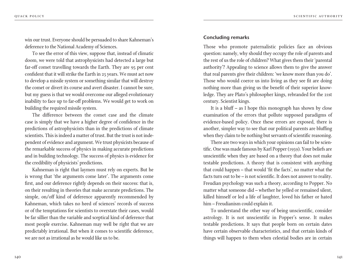win our trust. Everyone should be persuaded to share Kahneman's deference to the National Academy of Sciences.

To see the error of this view, suppose that, instead of climatic doom, we were told that astrophysicists had detected a large but far-off comet travelling towards the Earth. They are 95 per cent confident that it will strike the Earth in 25 years. We must act now to develop a missile system or something similar that will destroy the comet or divert its course and avert disaster. I cannot be sure, but my guess is that we would overcome our alleged evolutionary inability to face up to far-off problems. We would get to work on building the required missile system.

The difference between the comet case and the climate case is simply that we have a higher degree of confidence in the predictions of astrophysicists than in the predictions of climate scientists. This is indeed a matter of trust. But the trust is not independent of evidence and argument. We trust physicists because of the remarkable success of physics in making accurate predictions and in building technology. The success of physics is evidence for the credibility of physicists' predictions.

Kahneman is right that laymen must rely on experts. But he is wrong that 'the arguments come later'. The arguments come first, and our deference rightly depends on their success: that is, on their resulting in theories that make accurate predictions. The simple, on/off kind of deference apparently recommended by Kahneman, which takes no heed of sciences' records of success or of the temptations for scientists to overstate their cases, would be far sillier than the variable and sceptical kind of deference that most people exercise. Kahneman may well be right that we are predictably irrational. But when it comes to scientific deference, we are not as irrational as he would like us to be.

# **Concluding remarks**

Those who promote paternalistic policies face an obvious question: namely, why should they occupy the role of parents and the rest of us the role of children? What gives them their 'parental authority'? Appealing to science allows them to give the answer that real parents give their children: 'we know more than you do'. Those who would coerce us into living as they see fit are doing nothing more than giving us the benefit of their superior knowledge. They are Plato's philosopher kings, rebranded for the 21st century. Scientist kings.

It is a bluff – as I hope this monograph has shown by close examination of the errors that pollute supposed paradigms of evidence-based policy. Once these errors are exposed, there is another, simpler way to see that our political parents are bluffing when they claim to be nothing but servants of scientific reasoning.

There are two ways in which your opinions can fail to be scientific. One was made famous by Karl Popper (1959). Your beliefs are unscientific when they are based on a theory that does not make testable predictions. A theory that is consistent with anything that could happen – that would 'fit the facts', no matter what the facts turn out to be – is not scientific. It does not answer to reality. Freudian psychology was such a theory, according to Popper. No matter what someone did – whether he yelled or remained silent, killed himself or led a life of laughter, loved his father or hated him – Freudianism could explain it.

To understand the other way of being unscientific, consider astrology. It is not unscientific in Popper's sense. It makes testable predictions. It says that people born on certain dates have certain observable characteristics, and that certain kinds of things will happen to them when celestial bodies are in certain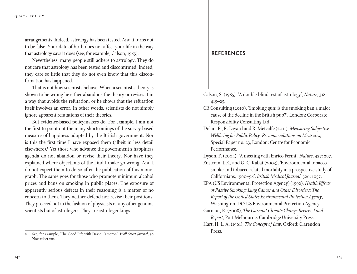arrangements. Indeed, astrology has been tested. And it turns out to be false. Your date of birth does not affect your life in the way that astrology says it does (see, for example, Calson, 1985).

Nevertheless, many people still adhere to astrology. They do not care that astrology has been tested and disconfirmed. Indeed, they care so little that they do not even know that this disconfirmation has happened.

That is not how scientists behave. When a scientist's theory is shown to be wrong he either abandons the theory or revises it in a way that avoids the refutation, or he shows that the refutation itself involves an error. In other words, scientists do not simply ignore apparent refutations of their theories.

But evidence-based policymakers do. For example, I am not the first to point out the many shortcomings of the survey-based measure of happiness adopted by the British government. Nor is this the first time I have exposed them (albeit in less detail elsewhere).<sup>8</sup> Yet those who advance the government's happiness agenda do not abandon or revise their theory. Nor have they explained where objections of the kind I make go wrong. And I do not expect them to do so after the publication of this monograph. The same goes for those who promote minimum alcohol prices and bans on smoking in public places. The exposure of apparently serious defects in their reasoning is a matter of no concern to them. They neither defend nor revise their positions. They proceed not in the fashion of physicists or any other genuine scientists but of astrologers. They are astrologer kings.

# **REFERENCES**

Calson, S. (1985), 'A double-blind test of astrology', Nature, 318: 419–25.

- CR Consulting (2010), 'Smoking gun: is the smoking ban a major cause of the decline in the British pub?', London: Corporate Responsibility Consulting Ltd.
- Dolan, P., R. Layard and R. Metcalfe (2011), Measuring Subjective Wellbeing for Public Policy: Recommendations on Measures, Special Paper no. 23, London: Centre for Economic Performance.

Dyson, F. (2004), 'A meeting with Enrico Fermi', Nature, 427: 297. Enstrom, J. E., and G. C. Kabat (2003), 'Environmental tobacco smoke and tobacco related mortality in a prospective study of Californians, 1960–98', British Medical Journal, 326: 1057.

- EPA (US Environmental Protection Agency) (1992), Health Effects of Passive Smoking: Lung Cancer and Other Disorders: The Report of the United States Environmental Protection Agency, Washington, DC: US Environmental Protection Agency.
- Garnaut, R. (2008), The Garnaut Climate Change Review: Final Report, Port Melbourne: Cambridge University Press.
- Hart, H. L. A. (1961), The Concept of Law, Oxford: Clarendon Press.

<sup>8</sup> See, for example, 'The Good Life with David Cameron', Wall Street Journal, 30 November 2010.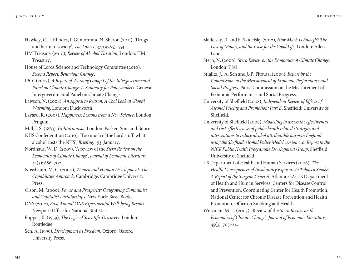- Hawkey, C., J. Rhodes, I. Gilmore and N. Sheron (2011), 'Drugs and harm to society', The Lancet, 377(9765): 554.
- HM Treasury (2010), Review of Alcohol Taxation, London: HM Treasury.
- House of Lords Science and Technology Committee (2010), Second Report: Behaviour Change.
- IPCC (2007), A Report of Working Group I of the Intergovernmental Panel on Climate Change: A Summary for Policymakers, Geneva: Intergovernmental Panel on Climate Change.
- Lawson, N. (2008), An Appeal to Reason: A Cool Look at Global Warming, London: Duckworth.
- Layard, R. (2005), Happiness: Lessons from a New Science, London: Penguin.
- Mill, J. S. (1863), Utilitarianism, London: Parker, Son, and Bourn.
- NHS Confederation (2010), 'Too much of the hard stuff: what alcohol costs the NHS', Briefing, 193, January.
- Nordhaus, W. D. (2007), 'A review of the Stern Review on the Economics of Climate Change', Journal of Economic Literature, 45(3): 686–702.
- Nussbaum, M. C. (2000), Women and Human Development: The Capabilities Approach, Cambridge: Cambridge University Press.
- Olson, M. (2000), Power and Prosperity: Outgrowing Communist and Capitalist Dictatorships, New York: Basic Books.
- ONS (2012), First Annual ONS Experimental Well-being Results, Newport: Office for National Statistics.
- Popper, K. (1959), The Logic of Scientific Discovery, London: Routledge.
- Sen, A. (1999), Development as Freedom, Oxford: Oxford University Press.
- Skidelsky, R. and E. Skidelsky (2012), How Much Is Enough? The Love of Money, and the Case for the Good Life, London: Allen Lane.
- Stern, N. (2006), Stern Review on the Economics of Climate Change, London: TSO.
- Stiglitz, J., A. Sen and J.-P. Fitoussi (2009), Report by the Commission on the Measurement of Economic Performance and Social Progress, Paris: Commission on the Measurement of Economic Performance and Social Progress.
- University of Sheffield (2008), Independent Review of Effects of Alcohol Pricing and Promotion: Part B, Sheffield: University of Sheffield.
- University of Sheffield (2009), Modelling to assess the effectiveness and cost-effectiveness of public health related strategies and interventions to reduce alcohol attributable harm in England using the Sheffield Alcohol Policy Model version 2.0: Report to the NICE Public Health Programme Development Group, Sheffield: University of Sheffield.
- US Department of Health and Human Services (2006), The Health Consequences of Involuntary Exposure to Tobacco Smoke: A Report of the Surgeon General, Atlanta, GA: US Department of Health and Human Services, Centers for Disease Control and Prevention, Coordinating Center for Health Promotion, National Center for Chronic Disease Prevention and Health Promotion, Office on Smoking and Health.
- Weizman, M. L. (2007), 'Review of the Stern Review on the Economics of Climate Change', Journal of Economic Literature,  $45(3)$ : 703–24.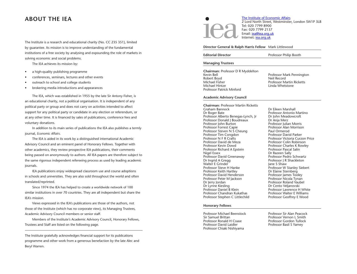# **Abou t the I E A**

The Institute is a research and educational charity (No. CC 235 351), limited by guarantee. Its mission is to improve understanding of the fundamental institutions of a free society by analysing and expounding the role of markets in solving economic and social problems.

The IEA achieves its mission by:

- • a high-quality publishing programme
- conferences, seminars, lectures and other events
- outreach to school and college students
- brokering media introductions and appearances

The IEA, which was established in 1955 by the late Sir Antony Fisher, is an educational charity, not a political organisation. It is independent of any political party or group and does not carry on activities intended to affect support for any political party or candidate in any election or referendum, or at any other time. It is financed by sales of publications, conference fees and voluntary donations.

In addition to its main series of publications the IEA also publishes a termly journal, *Economic Affairs* .

The IEA is aided in its work by a distinguished international Academic Advisory Council and an eminent panel of Honorary Fellows. Together with other academics, they review prospective IEA publications, their comments being passed on anonymously to authors. All IEA papers are therefore subject to the same rigorous independent refereeing process as used by leading academic journals.

IEA publications enjoy widespread classroom use and course adoptions in schools and universities. They are also sold throughout the world and often translated/reprinted.

Since 1974 the IEA has helped to create a worldwide network of 100 similar institutions in over 70 countries. They are all independent but share the IEA's mission.

Views expressed in the IEA's publications are those of the authors, not those of the Institute (which has no corporate view), its Managing Trustees, Academic Advisory Council members or senior staff.

Members of the Institute's Academic Advisory Council, Honorary Fellows, Trustees and Staff are listed on the following page.

The Institute gratefully acknowledges financial support for its publications programme and other work from a generous benefaction by the late Alec and Beryl Warren.

#### [The Institute of Economic Affairs](http://www.iea.org.uk/) 2 Lord North Street, Westminster, London SW1P 3LB Tel: 020 7799 8900 Fax: 020 7799 2137 Email: [iea@iea.org.uk](mailto:iea@iea.org.uk) Internet: jea.org.uk

**Director General & Ralph Harris Fellow** Mark Littlewood

**Editorial Director Professor Philip Booth** 

# **Managing Trustees**

**Chairman:** Professor D R Myddelton Robert Boyd<br>Michael Fisher Michael Fisher **Professor Martin Ricketts**<br>Michael Hintze **Michael Hintself** Professor Patrick Minford

Professor Mark Pennington<br>Neil Record Linda Whetstone

#### **Academic Advisory Council**

**Chairman:** Professor Martin Ricketts Graham Bannock **Dreileen Marshall**<br>Dr Roger Bate<br>Professor Antonio Professor Alberto Benegas-Lynch, Ir Professor Donald J Boudreaux<br>Professor John Burton Professor Forrest Capie **Professor Alan Professor Alan Professor Alan Alan Arab**<br>Professor Steven N S Cheung Paul Ormerod Professor Steven N S Cheung Paul Ormerod<br>Professor Tim Conadon Professor David Parker Professor Tim Congdon<br>Professor N F R Crafts Professor N F R Crafts<br>
Professor David de Meza<br>
Professor Colin Robinson Professor David de Meza<br>Professor Kevin Dowd<br>Professor Charles K Rowl Professor Richard A Epstein<br>Nigel Essex Professor David Greenaway Dr Ingrid A Gregg A Gregg Professor J R Shackleton Walter E Grinder **Matter** E Grinder Professor Steve H Hanke Professor W Stanley Siebert<br>
Professor Keith Hartley **Professor W** Dr Elaine Sternberg Professor Keith Hartley **Drepse Steep Steep Professor David Henderson**<br>Professor David Henderson **Professor James Tooley** Professor David Henderson Professor Peter M Jackson<br>Dr Jerry Jordan Dr Jerry Jordan (D. 2008)<br>
Dr Lynne Kiesling (D. 2008)<br>
Dr Cento Veljanovski Dr Lynne Kiesling **Dr Cento Veljanovski**<br>Professor Daniel B Klein **Dr Professor Lawrence H** Professor Chandran Kukathas Professor Walter E Williams<br>Professor Stephen C Littlechild Professor Geoffrey E Wood Professor Stephen C Littlechild

# Professor Antonio Martino<br>Dr John Meadowcroft Dr Anja Merz Professor Julian Morris<br>Professor Alan Morrison Professor Charles K Rowley<br>Professor Pascal Salin Dr Razeen Sally<br>Professor Pedro Schwartz lane S Shaw Professor Nicola Tynan Professor Lawrence H White<br>Professor Walter E Williams

#### **Honorary Fellows**

Professor Michael Beenstock<br>
Sir Samuel Brittan<br>
Professor Vernon I Smith Professor Ronald H Coase<br>Professor David Laidler Professor Chiaki Nishiyama

Professor Vernon L Smith<br>Professor Gordon Tullock Professor Basil S Yamey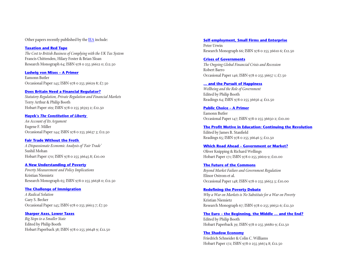Other papers recently published by the [IEA](http://www.iea.org.uk/) include:

## **[Taxation and Red Tape](http://www.iea.org.uk/publications/research/taxation-and-red-tape-the-cost-to-british-business-of-complying-with-the-uk-ta)**

The Cost to British Business of Complying with the UK Tax System Francis Chittenden, Hilary Foster & Brian Sloan Research Monograph 64; ISBN 978 0 255 36612 0; £12.50

# **[Ludwig von Mises – A Primer](http://www.iea.org.uk/record.jsp?type=book&ID=514)**

Eamonn Butler Occasional Paper 143; ISBN 978 0 255 36629 8; £7.50

# **[Does Britain Need a Financial Regulator?](http://www.iea.org.uk/record.jsp?type=book&ID=518)**

Statutory Regulation, Private Regulation and Financial Markets Terry Arthur & Philip Booth Hobart Paper 169; ISBN 978 0 255 36593 2; £12.50

## **Hayek's** *[The Constitution of Liberty](http://www.iea.org.uk/record.jsp?type=book&ID=519)*

An Account of Its Argument Eugene F. Miller Occasional Paper 144; ISBN 978 0 255 36637 3; £12.50

**[Fair Trade Without the Froth](http://www.iea.org.uk/record.jsp?type=book&ID=524)**  A Dispassionate Economic Analysis of 'Fair Trade' Sushil Mohan Hobart Paper 170; ISBN 978 0 255 36645 8; £10.00

# **[A New Understanding of Poverty](http://www.iea.org.uk/publications/research/a-new-understanding-of-poverty)**

Poverty Measurement and Policy Implications Kristian Niemietz Research Monograph 65; ISBN 978 0 255 36638 0; £12.50

# **[The Challenge of Immigration](http://www.iea.org.uk/publications/research/the-challenge-of-immigration-a-radical-solution)**

A Radical Solution Gary S. Becker Occasional Paper 145; ISBN 978 0 255 36613 7; £7.50

# **[Sharper Axes, Lower Taxes](http://www.iea.org.uk/blog/sharper-axes-lower-taxes-a-response-to-the-critics)**

Big Steps to a Smaller State Edited by Philip Booth Hobart Paperback 38; ISBN 978 0 255 36648 9; £12.50

**[Self-employment, Small Firms and Enterprise](http://www.iea.org.uk/publications/research/self-employment-small-firms-and-enterprise)** Peter Urwin Research Monograph 66; ISBN 978 0 255 36610 6; £12.50

**[Crises of Governments](http://www.iea.org.uk/publications/research/crises-of-governments)** The Ongoing Global Financial Crisis and Recession Robert Barro Occasional Paper 146; ISBN 978 0 255 36657 1; £7.50

## **[… and the Pursuit of Happiness](http://www.iea.org.uk/publications/research/and-the-pursuit-of-happiness)**

Wellbeing and the Role of Government Edited by Philip Booth Readings 64; ISBN 978 0 255 36656 4; £12.50

# **[Public Choice – A Primer](http://www.iea.org.uk/publications/research/public-choice-a-primer)**

Eamonn Butler Occasional Paper 147; ISBN 978 0 255 36650 2; £10.00

## **[The Profit Motive in Education: Continuing the Revolution](http://www.iea.org.uk/publications/research/the-profit-motive-in-education-continuing-the-revolution)**

Edited by James B. Stanfield Readings 65; ISBN 978 0 255 36646 5; £12.50

## **[Which Road Ahead – Government or Market?](http://www.iea.org.uk/publications/research/which-road-ahead-government-or-market)**

Oliver Knipping & Richard Wellings Hobart Paper 171; ISBN 978 0 255 36619 9; £10.00

# **[The Future of the Commons](http://www.iea.org.uk/publications/research/the-future-of-the-commons-beyond-market-failure-and-government-regulation)** Beyond Market Failure and Government Regulation Elinor Ostrom et al. Occasional Paper 148; ISBN 978 0 255 36653 3; £10.00

**[Redefining the Poverty Debate](http://www.iea.org.uk/publications/research/redefining-the-poverty-debate-why-a-war-on-markets-is-no-substitute-for-a-war-)** Why a War on Markets is No Substitute for a War on Poverty Kristian Niemietz Research Monograph 67; ISBN 978 0 255 36652 6; £12.50

# **[The Euro – the Beginning, the Middle … and the End?](http://www.iea.org.uk/publications/research/the-euro-%E2%80%93-the-beginning-the-middle-and-the-end)** Edited by Philip Booth Hobart Paperback 39; ISBN 978 0 255 36680 9; £12.50

# **[The Shadow Economy](http://www.iea.org.uk/publications/research/the-shadow-economy)**

Friedrich Schneider & Colin C. Williams Hobart Paper 172; ISBN 978 0 255 36674 8; £12.50